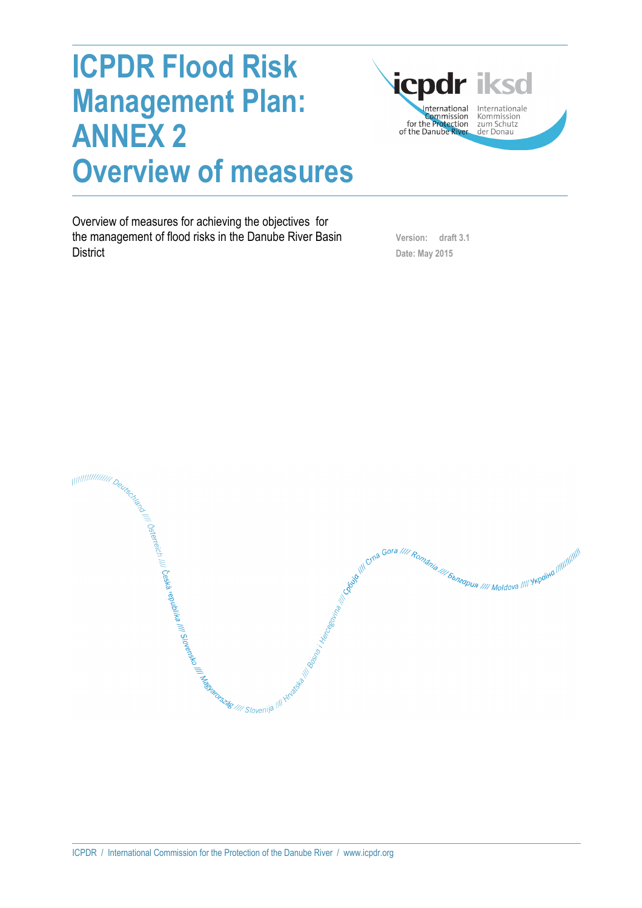# **ICPDR Flood Risk Management Plan: ANNEX 2 Overview of measures**



Overview of measures for achieving the objectives for the management of flood risks in the Danube River Basin **District** 

 **Version: draft 3.1 Date: May 2015** 

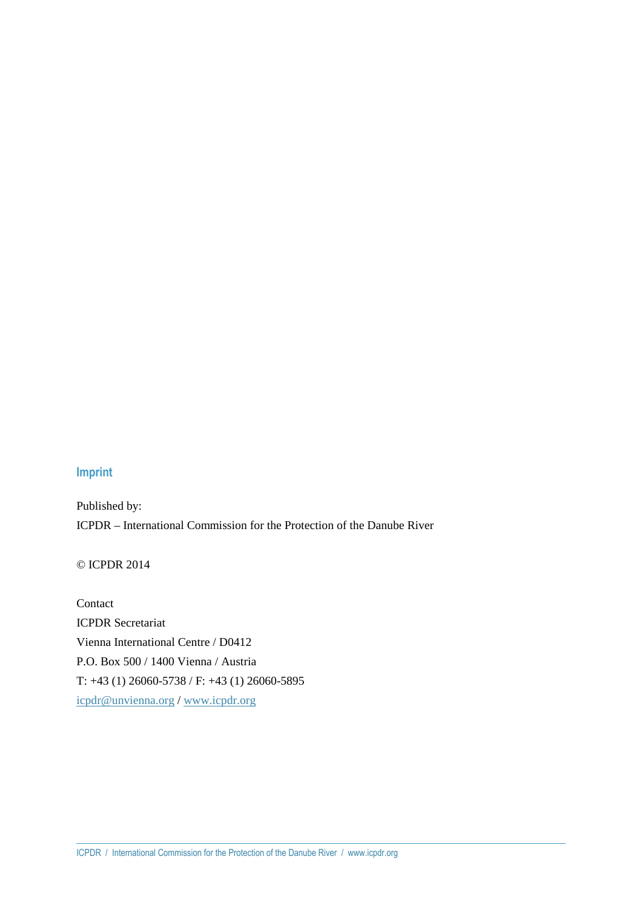#### **Imprint**

Published by: ICPDR – International Commission for the Protection of the Danube River

© ICPDR 2014

Contact ICPDR Secretariat Vienna International Centre / D0412 P.O. Box 500 / 1400 Vienna / Austria T: +43 (1) 26060-5738 / F: +43 (1) 26060-5895 icpdr@unvienna.org / www.icpdr.org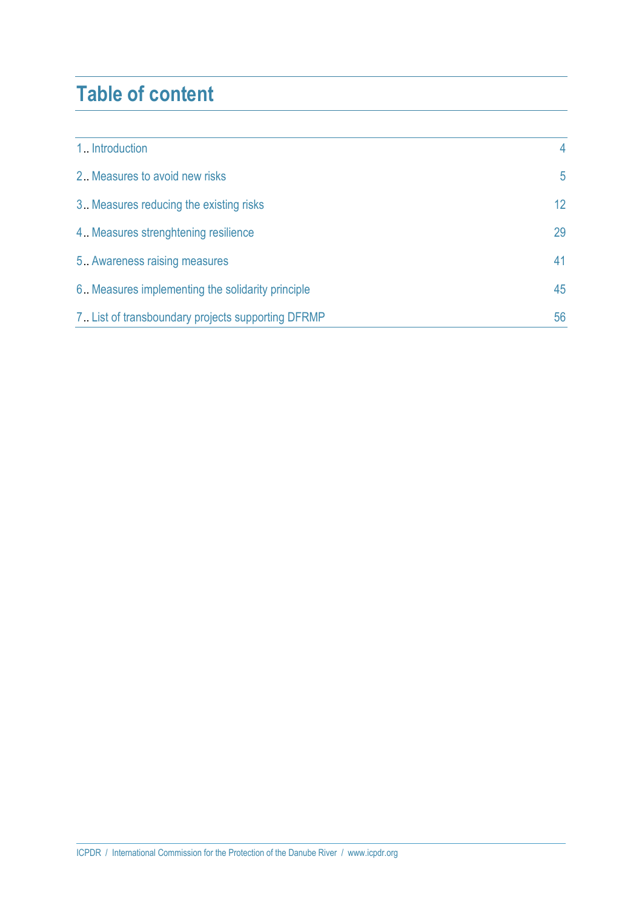### **Table of content**

| 1. Introduction                                    | 4               |
|----------------------------------------------------|-----------------|
| 2. Measures to avoid new risks                     | 5               |
| 3. Measures reducing the existing risks            | 12 <sup>°</sup> |
| 4. Measures strenghtening resilience               | 29              |
| 5. Awareness raising measures                      | 41              |
| 6. Measures implementing the solidarity principle  | 45              |
| 7. List of transboundary projects supporting DFRMP | 56              |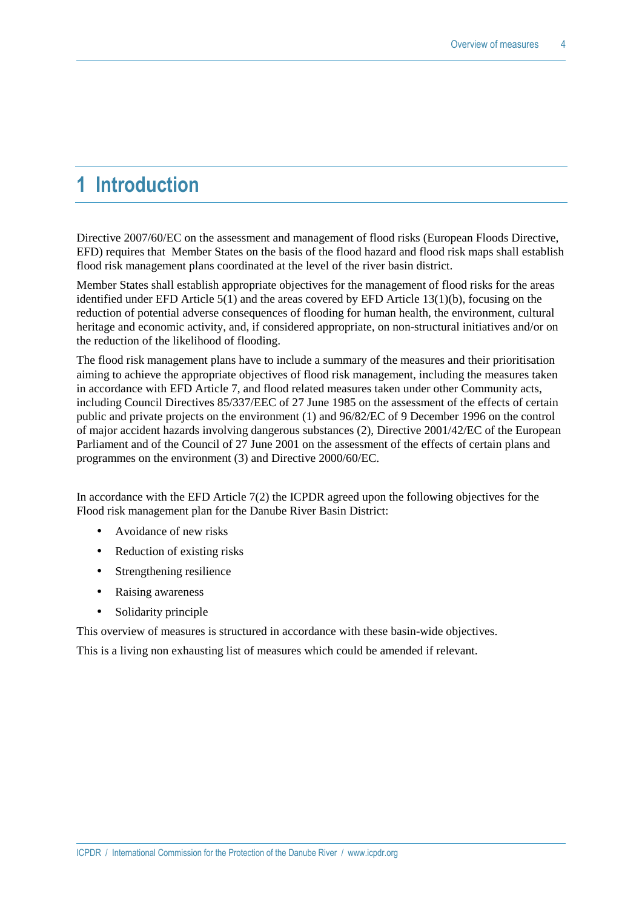### **1 Introduction**

Directive 2007/60/EC on the assessment and management of flood risks (European Floods Directive, EFD) requires that Member States on the basis of the flood hazard and flood risk maps shall establish flood risk management plans coordinated at the level of the river basin district.

Member States shall establish appropriate objectives for the management of flood risks for the areas identified under EFD Article  $5(1)$  and the areas covered by EFD Article  $13(1)(b)$ , focusing on the reduction of potential adverse consequences of flooding for human health, the environment, cultural heritage and economic activity, and, if considered appropriate, on non-structural initiatives and/or on the reduction of the likelihood of flooding.

The flood risk management plans have to include a summary of the measures and their prioritisation aiming to achieve the appropriate objectives of flood risk management, including the measures taken in accordance with EFD Article 7, and flood related measures taken under other Community acts, including Council Directives 85/337/EEC of 27 June 1985 on the assessment of the effects of certain public and private projects on the environment (1) and 96/82/EC of 9 December 1996 on the control of major accident hazards involving dangerous substances (2), Directive 2001/42/EC of the European Parliament and of the Council of 27 June 2001 on the assessment of the effects of certain plans and programmes on the environment (3) and Directive 2000/60/EC.

In accordance with the EFD Article 7(2) the ICPDR agreed upon the following objectives for the Flood risk management plan for the Danube River Basin District:

- Avoidance of new risks
- Reduction of existing risks
- Strengthening resilience
- Raising awareness
- Solidarity principle

This overview of measures is structured in accordance with these basin-wide objectives.

This is a living non exhausting list of measures which could be amended if relevant.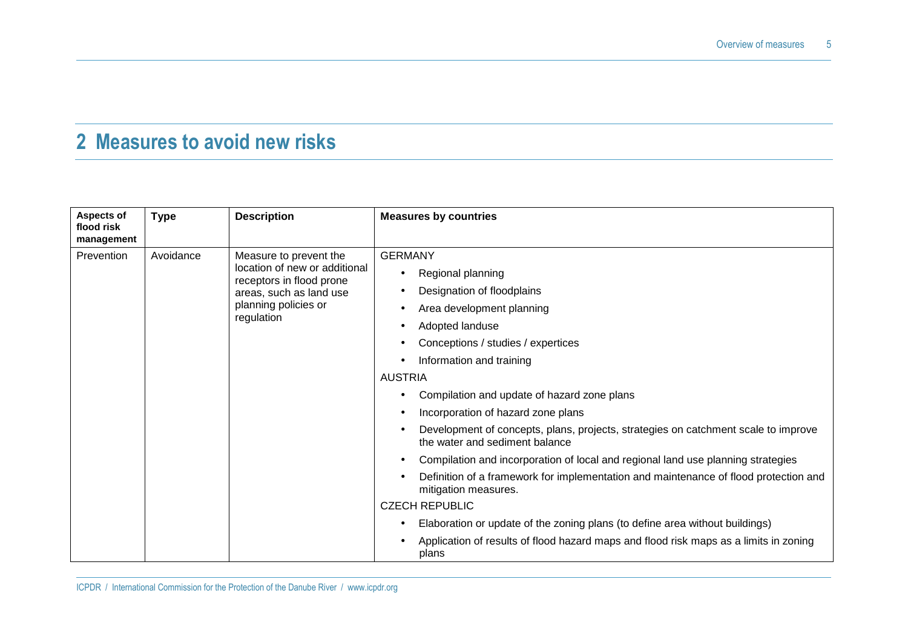## **2 Measures to avoid new risks**

| Aspects of<br>flood risk<br>management | <b>Type</b> | <b>Description</b>                                                                                                                                   | <b>Measures by countries</b>                                                                                                                                                                                                                                                                                                                                                                                                                                                                                                                                                                                                                                                                                                                                                                                                                                                                       |
|----------------------------------------|-------------|------------------------------------------------------------------------------------------------------------------------------------------------------|----------------------------------------------------------------------------------------------------------------------------------------------------------------------------------------------------------------------------------------------------------------------------------------------------------------------------------------------------------------------------------------------------------------------------------------------------------------------------------------------------------------------------------------------------------------------------------------------------------------------------------------------------------------------------------------------------------------------------------------------------------------------------------------------------------------------------------------------------------------------------------------------------|
| Prevention                             | Avoidance   | Measure to prevent the<br>location of new or additional<br>receptors in flood prone<br>areas, such as land use<br>planning policies or<br>regulation | <b>GERMANY</b><br>Regional planning<br>$\bullet$<br>Designation of floodplains<br>Area development planning<br>Adopted landuse<br>$\bullet$<br>Conceptions / studies / expertices<br>Information and training<br>$\bullet$<br><b>AUSTRIA</b><br>Compilation and update of hazard zone plans<br>Incorporation of hazard zone plans<br>Development of concepts, plans, projects, strategies on catchment scale to improve<br>the water and sediment balance<br>Compilation and incorporation of local and regional land use planning strategies<br>$\bullet$<br>Definition of a framework for implementation and maintenance of flood protection and<br>mitigation measures.<br><b>CZECH REPUBLIC</b><br>Elaboration or update of the zoning plans (to define area without buildings)<br>$\bullet$<br>Application of results of flood hazard maps and flood risk maps as a limits in zoning<br>plans |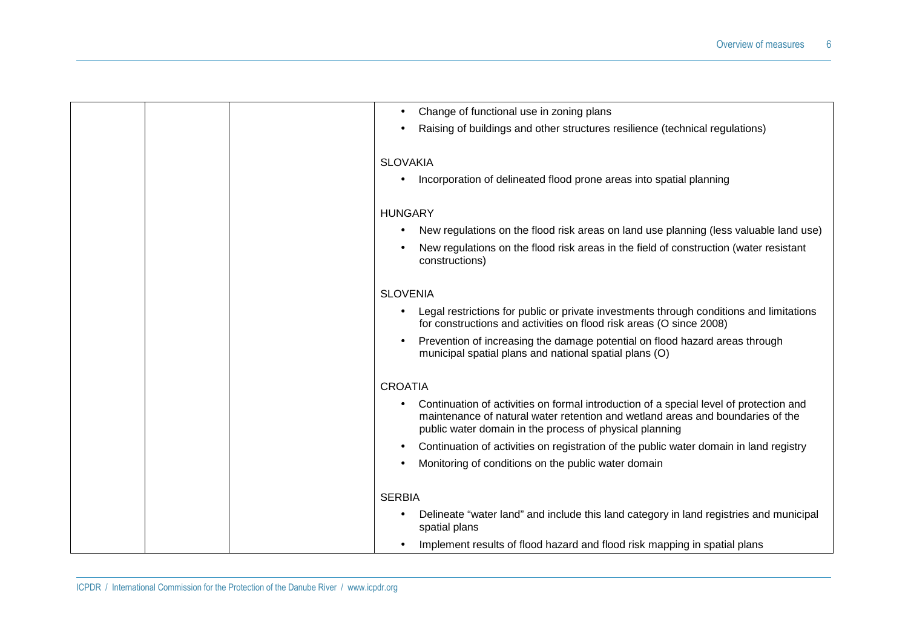| Change of functional use in zoning plans                                                                                                                                                                                            |
|-------------------------------------------------------------------------------------------------------------------------------------------------------------------------------------------------------------------------------------|
| Raising of buildings and other structures resilience (technical regulations)                                                                                                                                                        |
| <b>SLOVAKIA</b>                                                                                                                                                                                                                     |
| Incorporation of delineated flood prone areas into spatial planning                                                                                                                                                                 |
|                                                                                                                                                                                                                                     |
| <b>HUNGARY</b>                                                                                                                                                                                                                      |
| New regulations on the flood risk areas on land use planning (less valuable land use)                                                                                                                                               |
| New regulations on the flood risk areas in the field of construction (water resistant<br>constructions)                                                                                                                             |
| <b>SLOVENIA</b>                                                                                                                                                                                                                     |
| Legal restrictions for public or private investments through conditions and limitations<br>for constructions and activities on flood risk areas (O since 2008)                                                                      |
| Prevention of increasing the damage potential on flood hazard areas through<br>municipal spatial plans and national spatial plans (O)                                                                                               |
| <b>CROATIA</b>                                                                                                                                                                                                                      |
| Continuation of activities on formal introduction of a special level of protection and<br>maintenance of natural water retention and wetland areas and boundaries of the<br>public water domain in the process of physical planning |
| Continuation of activities on registration of the public water domain in land registry                                                                                                                                              |
| Monitoring of conditions on the public water domain                                                                                                                                                                                 |
| <b>SERBIA</b>                                                                                                                                                                                                                       |
|                                                                                                                                                                                                                                     |
| Delineate "water land" and include this land category in land registries and municipal<br>spatial plans                                                                                                                             |
| Implement results of flood hazard and flood risk mapping in spatial plans                                                                                                                                                           |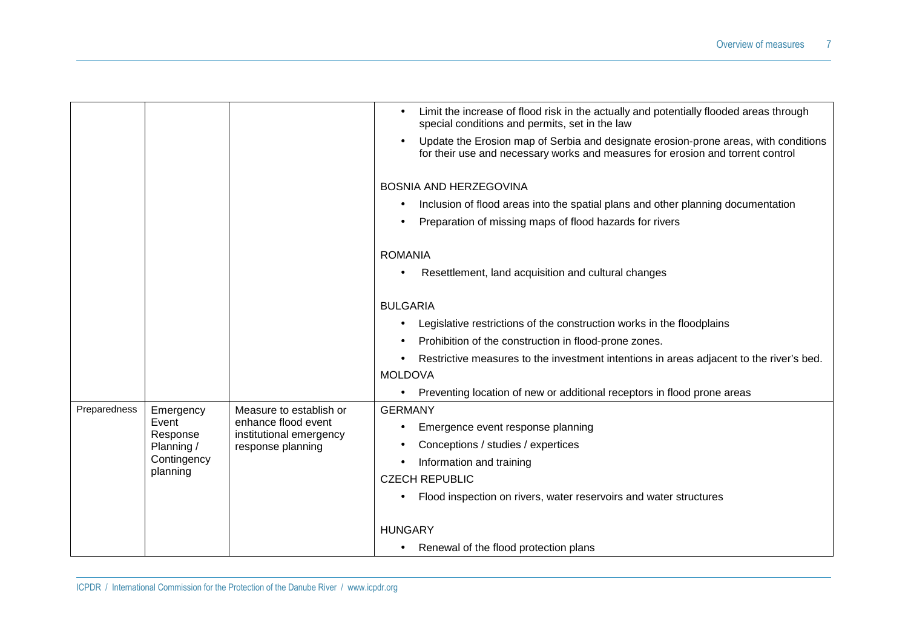|              |                        |                                              | Limit the increase of flood risk in the actually and potentially flooded areas through<br>$\bullet$<br>special conditions and permits, set in the law                                     |
|--------------|------------------------|----------------------------------------------|-------------------------------------------------------------------------------------------------------------------------------------------------------------------------------------------|
|              |                        |                                              | Update the Erosion map of Serbia and designate erosion-prone areas, with conditions<br>$\bullet$<br>for their use and necessary works and measures for erosion and torrent control        |
|              |                        |                                              | <b>BOSNIA AND HERZEGOVINA</b><br>Inclusion of flood areas into the spatial plans and other planning documentation<br>$\bullet$<br>Preparation of missing maps of flood hazards for rivers |
|              |                        |                                              |                                                                                                                                                                                           |
|              |                        |                                              | <b>ROMANIA</b>                                                                                                                                                                            |
|              |                        |                                              | Resettlement, land acquisition and cultural changes<br>$\bullet$                                                                                                                          |
|              |                        |                                              | <b>BULGARIA</b>                                                                                                                                                                           |
|              |                        |                                              | Legislative restrictions of the construction works in the floodplains                                                                                                                     |
|              |                        |                                              | Prohibition of the construction in flood-prone zones.                                                                                                                                     |
|              |                        |                                              | Restrictive measures to the investment intentions in areas adjacent to the river's bed.<br><b>MOLDOVA</b>                                                                                 |
|              |                        |                                              | Preventing location of new or additional receptors in flood prone areas<br>$\bullet$                                                                                                      |
| Preparedness | Emergency              | Measure to establish or                      | <b>GERMANY</b>                                                                                                                                                                            |
|              | Event                  | enhance flood event                          | Emergence event response planning<br>$\bullet$                                                                                                                                            |
|              | Response<br>Planning / | institutional emergency<br>response planning | Conceptions / studies / expertices                                                                                                                                                        |
|              | Contingency            |                                              | Information and training                                                                                                                                                                  |
|              | planning               |                                              | <b>CZECH REPUBLIC</b>                                                                                                                                                                     |
|              |                        |                                              | Flood inspection on rivers, water reservoirs and water structures                                                                                                                         |
|              |                        |                                              | <b>HUNGARY</b>                                                                                                                                                                            |
|              |                        |                                              | Renewal of the flood protection plans                                                                                                                                                     |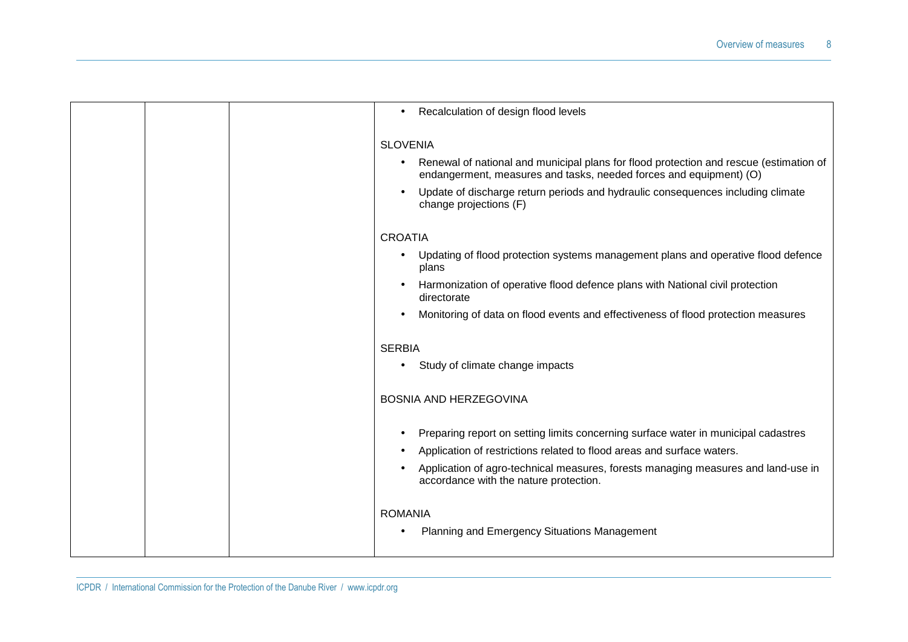| Recalculation of design flood levels                                                                                                                         |
|--------------------------------------------------------------------------------------------------------------------------------------------------------------|
| <b>SLOVENIA</b>                                                                                                                                              |
| Renewal of national and municipal plans for flood protection and rescue (estimation of<br>endangerment, measures and tasks, needed forces and equipment) (O) |
| Update of discharge return periods and hydraulic consequences including climate<br>change projections (F)                                                    |
| <b>CROATIA</b>                                                                                                                                               |
| Updating of flood protection systems management plans and operative flood defence<br>plans                                                                   |
| Harmonization of operative flood defence plans with National civil protection<br>directorate                                                                 |
| Monitoring of data on flood events and effectiveness of flood protection measures                                                                            |
| <b>SERBIA</b>                                                                                                                                                |
| Study of climate change impacts                                                                                                                              |
| <b>BOSNIA AND HERZEGOVINA</b>                                                                                                                                |
| Preparing report on setting limits concerning surface water in municipal cadastres                                                                           |
| Application of restrictions related to flood areas and surface waters.                                                                                       |
| Application of agro-technical measures, forests managing measures and land-use in<br>accordance with the nature protection.                                  |
| <b>ROMANIA</b>                                                                                                                                               |
| Planning and Emergency Situations Management                                                                                                                 |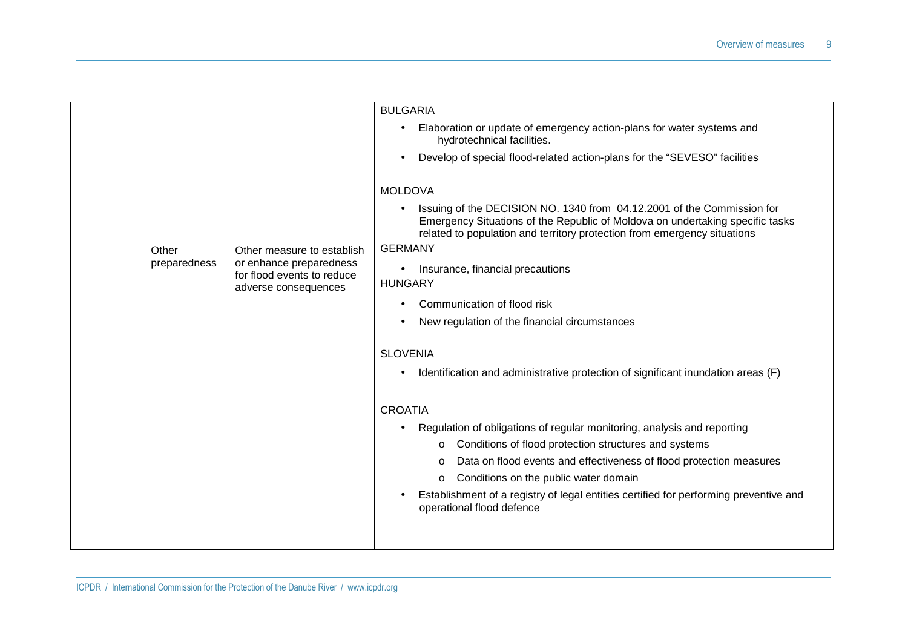|              |                                                                               | <b>BULGARIA</b>                                                                                                                                                                                                                     |
|--------------|-------------------------------------------------------------------------------|-------------------------------------------------------------------------------------------------------------------------------------------------------------------------------------------------------------------------------------|
|              |                                                                               | Elaboration or update of emergency action-plans for water systems and<br>hydrotechnical facilities.                                                                                                                                 |
|              |                                                                               | Develop of special flood-related action-plans for the "SEVESO" facilities                                                                                                                                                           |
|              |                                                                               | <b>MOLDOVA</b>                                                                                                                                                                                                                      |
|              |                                                                               | Issuing of the DECISION NO. 1340 from 04.12.2001 of the Commission for<br>Emergency Situations of the Republic of Moldova on undertaking specific tasks<br>related to population and territory protection from emergency situations |
| Other        | Other measure to establish                                                    | <b>GERMANY</b>                                                                                                                                                                                                                      |
| preparedness | or enhance preparedness<br>for flood events to reduce<br>adverse consequences | Insurance, financial precautions<br>$\bullet$<br><b>HUNGARY</b>                                                                                                                                                                     |
|              |                                                                               | Communication of flood risk                                                                                                                                                                                                         |
|              |                                                                               | New regulation of the financial circumstances                                                                                                                                                                                       |
|              |                                                                               | <b>SLOVENIA</b>                                                                                                                                                                                                                     |
|              |                                                                               | Identification and administrative protection of significant inundation areas (F)                                                                                                                                                    |
|              |                                                                               | <b>CROATIA</b>                                                                                                                                                                                                                      |
|              |                                                                               | Regulation of obligations of regular monitoring, analysis and reporting                                                                                                                                                             |
|              |                                                                               | Conditions of flood protection structures and systems                                                                                                                                                                               |
|              |                                                                               | Data on flood events and effectiveness of flood protection measures<br>$\circ$                                                                                                                                                      |
|              |                                                                               | Conditions on the public water domain<br>$\circ$                                                                                                                                                                                    |
|              |                                                                               | Establishment of a registry of legal entities certified for performing preventive and<br>operational flood defence                                                                                                                  |
|              |                                                                               |                                                                                                                                                                                                                                     |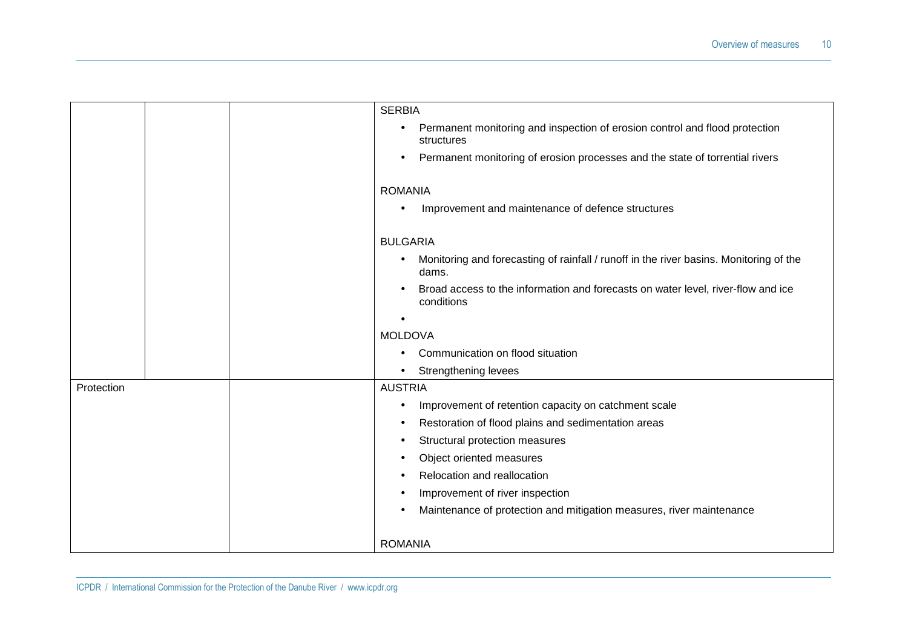|                              |  |  | <b>SERBIA</b>                                                                                                |
|------------------------------|--|--|--------------------------------------------------------------------------------------------------------------|
|                              |  |  | Permanent monitoring and inspection of erosion control and flood protection<br>$\bullet$<br>structures       |
|                              |  |  | Permanent monitoring of erosion processes and the state of torrential rivers<br>$\bullet$                    |
|                              |  |  | <b>ROMANIA</b>                                                                                               |
|                              |  |  | Improvement and maintenance of defence structures                                                            |
|                              |  |  | <b>BULGARIA</b>                                                                                              |
|                              |  |  | Monitoring and forecasting of rainfall / runoff in the river basins. Monitoring of the<br>$\bullet$<br>dams. |
|                              |  |  | Broad access to the information and forecasts on water level, river-flow and ice<br>conditions               |
|                              |  |  |                                                                                                              |
|                              |  |  | <b>MOLDOVA</b>                                                                                               |
|                              |  |  | Communication on flood situation                                                                             |
|                              |  |  | <b>Strengthening levees</b><br>$\bullet$                                                                     |
| <b>AUSTRIA</b><br>Protection |  |  |                                                                                                              |
|                              |  |  | Improvement of retention capacity on catchment scale<br>$\bullet$                                            |
|                              |  |  | Restoration of flood plains and sedimentation areas<br>$\bullet$                                             |
|                              |  |  | Structural protection measures<br>٠                                                                          |
|                              |  |  | Object oriented measures                                                                                     |
|                              |  |  | Relocation and reallocation                                                                                  |
|                              |  |  | Improvement of river inspection<br>٠                                                                         |
|                              |  |  | Maintenance of protection and mitigation measures, river maintenance                                         |
|                              |  |  | <b>ROMANIA</b>                                                                                               |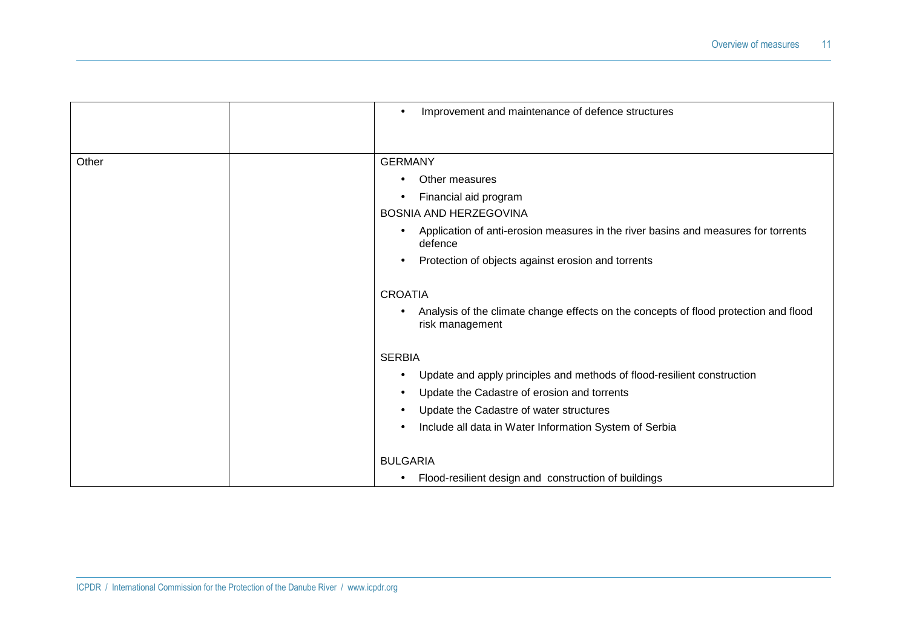|       | $\bullet$       | Improvement and maintenance of defence structures                                                       |
|-------|-----------------|---------------------------------------------------------------------------------------------------------|
|       |                 |                                                                                                         |
| Other | <b>GERMANY</b>  |                                                                                                         |
|       |                 | Other measures                                                                                          |
|       |                 | Financial aid program                                                                                   |
|       |                 | <b>BOSNIA AND HERZEGOVINA</b>                                                                           |
|       | $\bullet$       | Application of anti-erosion measures in the river basins and measures for torrents<br>defence           |
|       |                 | Protection of objects against erosion and torrents                                                      |
|       | <b>CROATIA</b>  |                                                                                                         |
|       |                 | Analysis of the climate change effects on the concepts of flood protection and flood<br>risk management |
|       | <b>SERBIA</b>   |                                                                                                         |
|       | $\bullet$       | Update and apply principles and methods of flood-resilient construction                                 |
|       | $\bullet$       | Update the Cadastre of erosion and torrents                                                             |
|       |                 | Update the Cadastre of water structures                                                                 |
|       |                 | Include all data in Water Information System of Serbia                                                  |
|       | <b>BULGARIA</b> |                                                                                                         |
|       | $\bullet$       | Flood-resilient design and construction of buildings                                                    |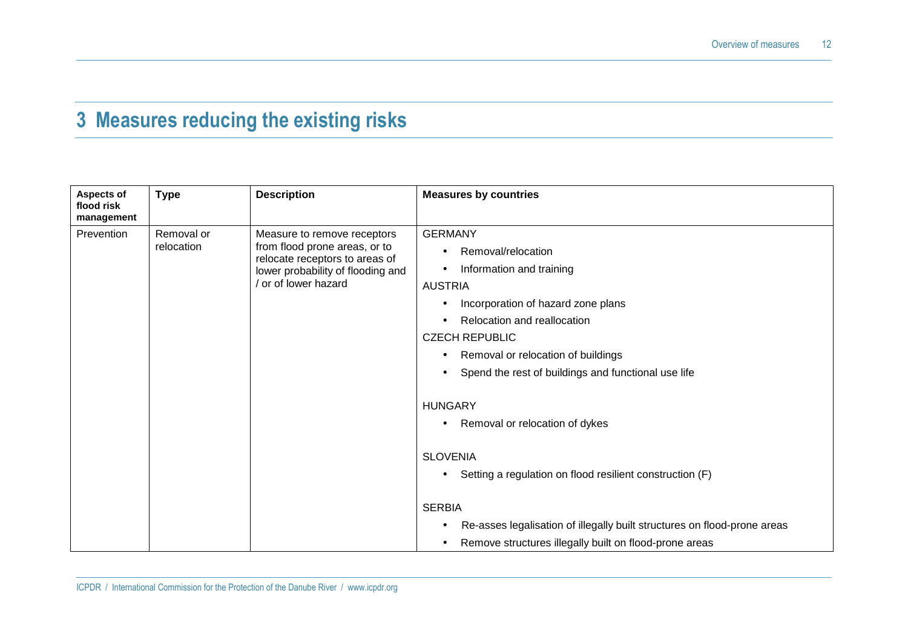### **3 Measures reducing the existing risks**

| Aspects of<br>flood risk<br>management | <b>Type</b>              | <b>Description</b>                                                                                                                                        | <b>Measures by countries</b>                                                                                                                                                                                                                                                                                                                                                                                                  |
|----------------------------------------|--------------------------|-----------------------------------------------------------------------------------------------------------------------------------------------------------|-------------------------------------------------------------------------------------------------------------------------------------------------------------------------------------------------------------------------------------------------------------------------------------------------------------------------------------------------------------------------------------------------------------------------------|
| Prevention                             | Removal or<br>relocation | Measure to remove receptors<br>from flood prone areas, or to<br>relocate receptors to areas of<br>lower probability of flooding and<br>or of lower hazard | <b>GERMANY</b><br>Removal/relocation<br>Information and training<br><b>AUSTRIA</b><br>Incorporation of hazard zone plans<br>Relocation and reallocation<br><b>CZECH REPUBLIC</b><br>Removal or relocation of buildings<br>Spend the rest of buildings and functional use life<br>$\bullet$<br><b>HUNGARY</b><br>Removal or relocation of dykes<br><b>SLOVENIA</b><br>Setting a regulation on flood resilient construction (F) |
|                                        |                          |                                                                                                                                                           | <b>SERBIA</b><br>Re-asses legalisation of illegally built structures on flood-prone areas<br>$\bullet$                                                                                                                                                                                                                                                                                                                        |
|                                        |                          |                                                                                                                                                           | Remove structures illegally built on flood-prone areas                                                                                                                                                                                                                                                                                                                                                                        |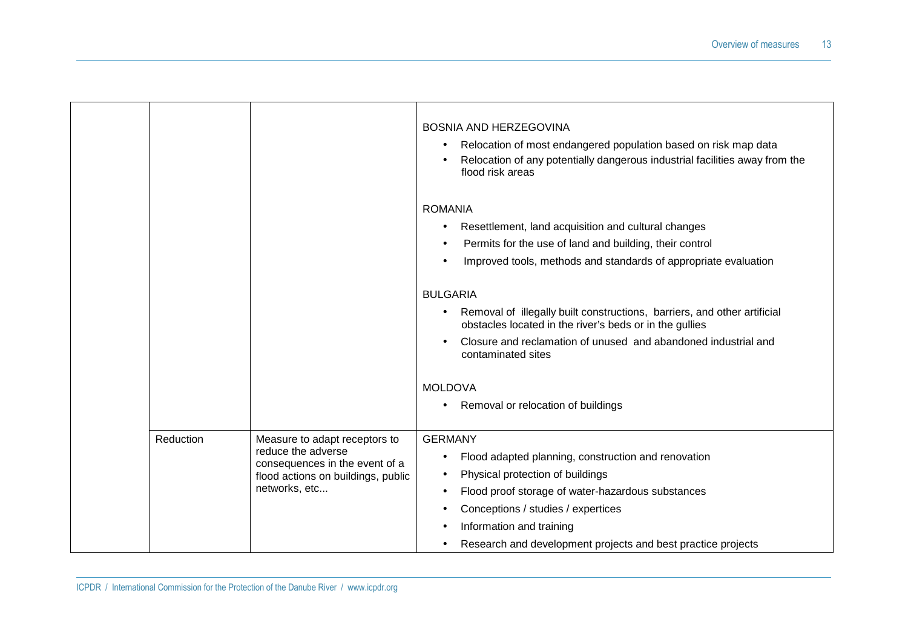|           |                                                                                                                                              | <b>BOSNIA AND HERZEGOVINA</b><br>Relocation of most endangered population based on risk map data<br>$\bullet$<br>Relocation of any potentially dangerous industrial facilities away from the<br>flood risk areas                                                                                                                                       |
|-----------|----------------------------------------------------------------------------------------------------------------------------------------------|--------------------------------------------------------------------------------------------------------------------------------------------------------------------------------------------------------------------------------------------------------------------------------------------------------------------------------------------------------|
|           |                                                                                                                                              | <b>ROMANIA</b><br>Resettlement, land acquisition and cultural changes<br>$\bullet$<br>Permits for the use of land and building, their control<br>$\bullet$<br>Improved tools, methods and standards of appropriate evaluation<br>$\bullet$                                                                                                             |
|           |                                                                                                                                              | <b>BULGARIA</b><br>Removal of illegally built constructions, barriers, and other artificial<br>$\bullet$<br>obstacles located in the river's beds or in the gullies<br>Closure and reclamation of unused and abandoned industrial and<br>$\bullet$<br>contaminated sites                                                                               |
|           |                                                                                                                                              | <b>MOLDOVA</b><br>Removal or relocation of buildings<br>٠                                                                                                                                                                                                                                                                                              |
| Reduction | Measure to adapt receptors to<br>reduce the adverse<br>consequences in the event of a<br>flood actions on buildings, public<br>networks, etc | <b>GERMANY</b><br>Flood adapted planning, construction and renovation<br>$\bullet$<br>Physical protection of buildings<br>٠<br>Flood proof storage of water-hazardous substances<br>$\bullet$<br>Conceptions / studies / expertices<br>٠<br>Information and training<br>٠<br>Research and development projects and best practice projects<br>$\bullet$ |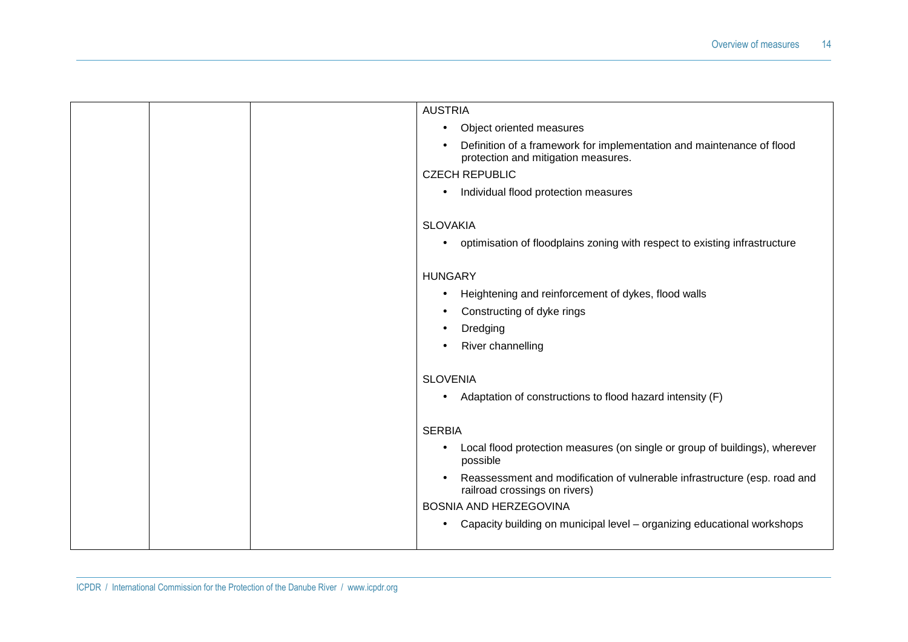|  | <b>AUSTRIA</b>                                                                                                            |
|--|---------------------------------------------------------------------------------------------------------------------------|
|  | Object oriented measures<br>$\bullet$                                                                                     |
|  | Definition of a framework for implementation and maintenance of flood<br>$\bullet$<br>protection and mitigation measures. |
|  | <b>CZECH REPUBLIC</b>                                                                                                     |
|  | Individual flood protection measures<br>$\bullet$                                                                         |
|  | <b>SLOVAKIA</b>                                                                                                           |
|  | optimisation of floodplains zoning with respect to existing infrastructure<br>$\bullet$                                   |
|  | <b>HUNGARY</b>                                                                                                            |
|  | Heightening and reinforcement of dykes, flood walls<br>٠                                                                  |
|  | Constructing of dyke rings<br>٠                                                                                           |
|  | Dredging                                                                                                                  |
|  | River channelling                                                                                                         |
|  | <b>SLOVENIA</b>                                                                                                           |
|  | Adaptation of constructions to flood hazard intensity (F)<br>$\bullet$                                                    |
|  | <b>SERBIA</b>                                                                                                             |
|  | Local flood protection measures (on single or group of buildings), wherever<br>$\bullet$<br>possible                      |
|  | Reassessment and modification of vulnerable infrastructure (esp. road and<br>$\bullet$<br>railroad crossings on rivers)   |
|  | BOSNIA AND HERZEGOVINA                                                                                                    |
|  | Capacity building on municipal level - organizing educational workshops<br>$\bullet$                                      |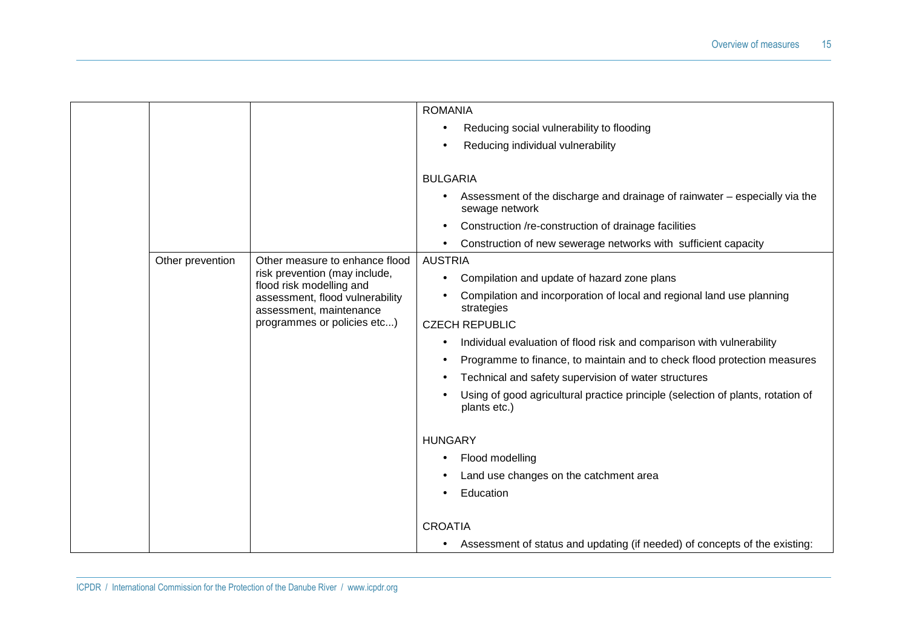|                  |                                                            | <b>ROMANIA</b>                                                                                  |
|------------------|------------------------------------------------------------|-------------------------------------------------------------------------------------------------|
|                  |                                                            | Reducing social vulnerability to flooding                                                       |
|                  |                                                            | Reducing individual vulnerability                                                               |
|                  |                                                            |                                                                                                 |
|                  |                                                            | <b>BULGARIA</b>                                                                                 |
|                  |                                                            | Assessment of the discharge and drainage of rainwater – especially via the<br>sewage network    |
|                  |                                                            | Construction /re-construction of drainage facilities<br>$\bullet$                               |
|                  |                                                            | Construction of new sewerage networks with sufficient capacity                                  |
| Other prevention | Other measure to enhance flood                             | <b>AUSTRIA</b>                                                                                  |
|                  | risk prevention (may include,<br>flood risk modelling and  | Compilation and update of hazard zone plans<br>$\bullet$                                        |
|                  | assessment, flood vulnerability<br>assessment, maintenance | Compilation and incorporation of local and regional land use planning<br>strategies             |
|                  | programmes or policies etc)                                | <b>CZECH REPUBLIC</b>                                                                           |
|                  |                                                            | Individual evaluation of flood risk and comparison with vulnerability                           |
|                  |                                                            | Programme to finance, to maintain and to check flood protection measures                        |
|                  |                                                            | Technical and safety supervision of water structures                                            |
|                  |                                                            | Using of good agricultural practice principle (selection of plants, rotation of<br>plants etc.) |
|                  |                                                            | <b>HUNGARY</b>                                                                                  |
|                  |                                                            | Flood modelling                                                                                 |
|                  |                                                            |                                                                                                 |
|                  |                                                            | Land use changes on the catchment area                                                          |
|                  |                                                            | Education                                                                                       |
|                  |                                                            | <b>CROATIA</b>                                                                                  |
|                  |                                                            | Assessment of status and updating (if needed) of concepts of the existing:<br>$\bullet$         |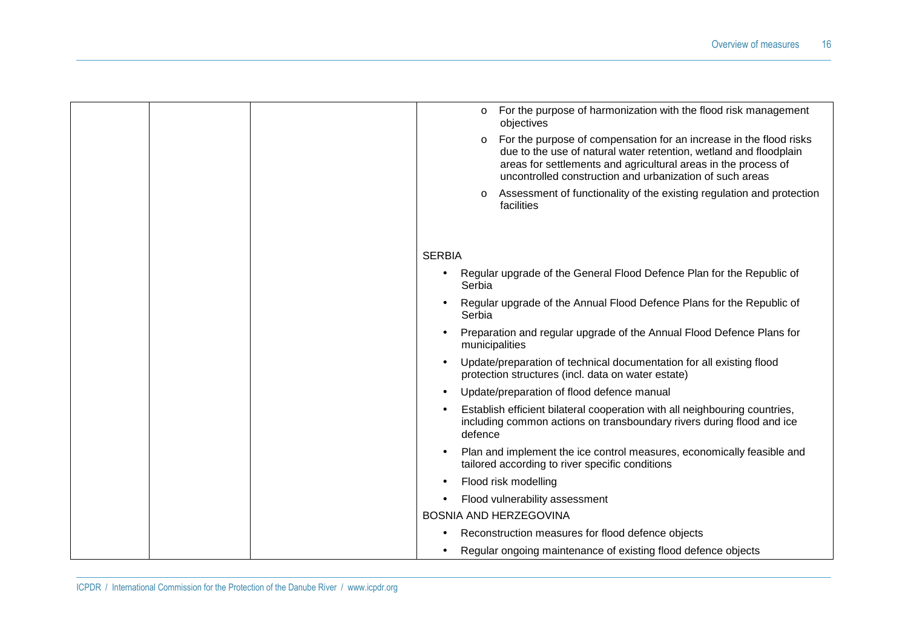| For the purpose of harmonization with the flood risk management<br>$\circ$<br>objectives                                                                                                                                                                                         |
|----------------------------------------------------------------------------------------------------------------------------------------------------------------------------------------------------------------------------------------------------------------------------------|
| For the purpose of compensation for an increase in the flood risks<br>$\circ$<br>due to the use of natural water retention, wetland and floodplain<br>areas for settlements and agricultural areas in the process of<br>uncontrolled construction and urbanization of such areas |
| Assessment of functionality of the existing regulation and protection<br>$\circ$<br>facilities                                                                                                                                                                                   |
|                                                                                                                                                                                                                                                                                  |
| <b>SERBIA</b>                                                                                                                                                                                                                                                                    |
| Regular upgrade of the General Flood Defence Plan for the Republic of<br>Serbia                                                                                                                                                                                                  |
| Regular upgrade of the Annual Flood Defence Plans for the Republic of<br>$\bullet$<br>Serbia                                                                                                                                                                                     |
| Preparation and regular upgrade of the Annual Flood Defence Plans for<br>$\bullet$<br>municipalities                                                                                                                                                                             |
| Update/preparation of technical documentation for all existing flood<br>$\bullet$<br>protection structures (incl. data on water estate)                                                                                                                                          |
| Update/preparation of flood defence manual<br>$\bullet$                                                                                                                                                                                                                          |
| Establish efficient bilateral cooperation with all neighbouring countries,<br>including common actions on transboundary rivers during flood and ice<br>defence                                                                                                                   |
| Plan and implement the ice control measures, economically feasible and<br>$\bullet$<br>tailored according to river specific conditions                                                                                                                                           |
| Flood risk modelling<br>$\bullet$                                                                                                                                                                                                                                                |
| Flood vulnerability assessment                                                                                                                                                                                                                                                   |
| <b>BOSNIA AND HERZEGOVINA</b>                                                                                                                                                                                                                                                    |
| Reconstruction measures for flood defence objects                                                                                                                                                                                                                                |
| Regular ongoing maintenance of existing flood defence objects                                                                                                                                                                                                                    |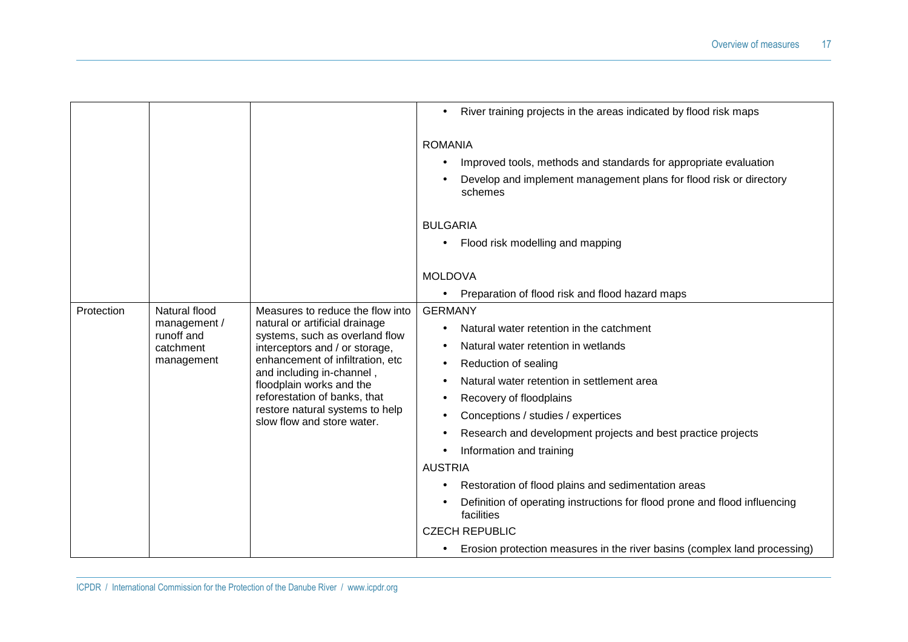|            |                                                                        |                                                                                                                                                                                                                                                                                                                                      | River training projects in the areas indicated by flood risk maps<br>$\bullet$                                                                                                                                                                                                                                                                                                                                                                                                                                                                                                                                               |
|------------|------------------------------------------------------------------------|--------------------------------------------------------------------------------------------------------------------------------------------------------------------------------------------------------------------------------------------------------------------------------------------------------------------------------------|------------------------------------------------------------------------------------------------------------------------------------------------------------------------------------------------------------------------------------------------------------------------------------------------------------------------------------------------------------------------------------------------------------------------------------------------------------------------------------------------------------------------------------------------------------------------------------------------------------------------------|
|            |                                                                        |                                                                                                                                                                                                                                                                                                                                      | <b>ROMANIA</b><br>Improved tools, methods and standards for appropriate evaluation<br>Develop and implement management plans for flood risk or directory<br>schemes<br><b>BULGARIA</b><br>Flood risk modelling and mapping                                                                                                                                                                                                                                                                                                                                                                                                   |
|            |                                                                        |                                                                                                                                                                                                                                                                                                                                      | <b>MOLDOVA</b>                                                                                                                                                                                                                                                                                                                                                                                                                                                                                                                                                                                                               |
|            |                                                                        |                                                                                                                                                                                                                                                                                                                                      | Preparation of flood risk and flood hazard maps<br>$\bullet$                                                                                                                                                                                                                                                                                                                                                                                                                                                                                                                                                                 |
| Protection | Natural flood<br>management /<br>runoff and<br>catchment<br>management | Measures to reduce the flow into<br>natural or artificial drainage<br>systems, such as overland flow<br>interceptors and / or storage,<br>enhancement of infiltration, etc<br>and including in-channel,<br>floodplain works and the<br>reforestation of banks, that<br>restore natural systems to help<br>slow flow and store water. | <b>GERMANY</b><br>Natural water retention in the catchment<br>Natural water retention in wetlands<br>Reduction of sealing<br>Natural water retention in settlement area<br>Recovery of floodplains<br>$\bullet$<br>Conceptions / studies / expertices<br>Research and development projects and best practice projects<br>Information and training<br><b>AUSTRIA</b><br>Restoration of flood plains and sedimentation areas<br>Definition of operating instructions for flood prone and flood influencing<br>facilities<br><b>CZECH REPUBLIC</b><br>Erosion protection measures in the river basins (complex land processing) |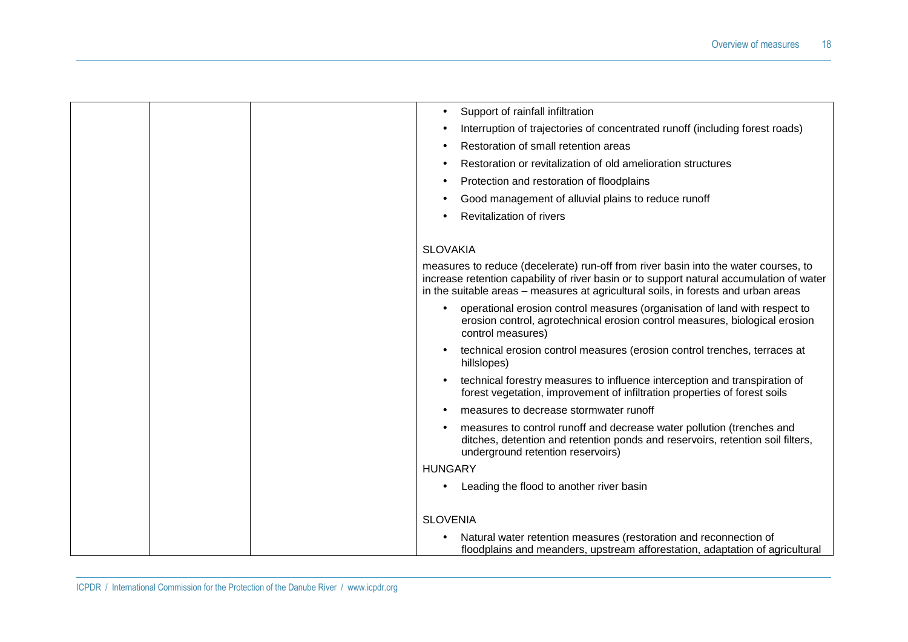|  | Support of rainfall infiltration<br>$\bullet$                                                                                                                                                                                                                         |
|--|-----------------------------------------------------------------------------------------------------------------------------------------------------------------------------------------------------------------------------------------------------------------------|
|  | Interruption of trajectories of concentrated runoff (including forest roads)                                                                                                                                                                                          |
|  | Restoration of small retention areas                                                                                                                                                                                                                                  |
|  | Restoration or revitalization of old amelioration structures                                                                                                                                                                                                          |
|  | Protection and restoration of floodplains                                                                                                                                                                                                                             |
|  | Good management of alluvial plains to reduce runoff                                                                                                                                                                                                                   |
|  | Revitalization of rivers                                                                                                                                                                                                                                              |
|  |                                                                                                                                                                                                                                                                       |
|  | <b>SLOVAKIA</b>                                                                                                                                                                                                                                                       |
|  | measures to reduce (decelerate) run-off from river basin into the water courses, to<br>increase retention capability of river basin or to support natural accumulation of water<br>in the suitable areas – measures at agricultural soils, in forests and urban areas |
|  | operational erosion control measures (organisation of land with respect to<br>erosion control, agrotechnical erosion control measures, biological erosion<br>control measures)                                                                                        |
|  | technical erosion control measures (erosion control trenches, terraces at<br>$\bullet$<br>hillslopes)                                                                                                                                                                 |
|  | technical forestry measures to influence interception and transpiration of<br>$\bullet$<br>forest vegetation, improvement of infiltration properties of forest soils                                                                                                  |
|  | measures to decrease stormwater runoff                                                                                                                                                                                                                                |
|  | measures to control runoff and decrease water pollution (trenches and<br>ditches, detention and retention ponds and reservoirs, retention soil filters,<br>underground retention reservoirs)                                                                          |
|  | <b>HUNGARY</b>                                                                                                                                                                                                                                                        |
|  | Leading the flood to another river basin                                                                                                                                                                                                                              |
|  | <b>SLOVENIA</b>                                                                                                                                                                                                                                                       |
|  | Natural water retention measures (restoration and reconnection of<br>floodplains and meanders, upstream afforestation, adaptation of agricultural                                                                                                                     |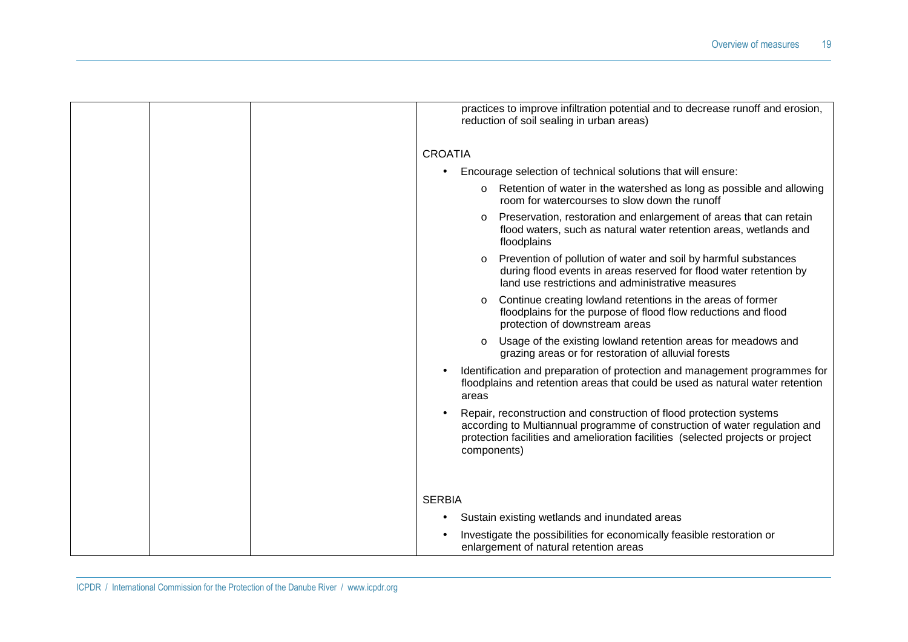| practices to improve infiltration potential and to decrease runoff and erosion,<br>reduction of soil sealing in urban areas)                                                                                                                        |
|-----------------------------------------------------------------------------------------------------------------------------------------------------------------------------------------------------------------------------------------------------|
| <b>CROATIA</b>                                                                                                                                                                                                                                      |
| Encourage selection of technical solutions that will ensure:<br>$\bullet$                                                                                                                                                                           |
| Retention of water in the watershed as long as possible and allowing<br>room for watercourses to slow down the runoff                                                                                                                               |
| Preservation, restoration and enlargement of areas that can retain<br>$\circ$<br>flood waters, such as natural water retention areas, wetlands and<br>floodplains                                                                                   |
| Prevention of pollution of water and soil by harmful substances<br>during flood events in areas reserved for flood water retention by<br>land use restrictions and administrative measures                                                          |
| Continue creating lowland retentions in the areas of former<br>$\circ$<br>floodplains for the purpose of flood flow reductions and flood<br>protection of downstream areas                                                                          |
| Usage of the existing lowland retention areas for meadows and<br>grazing areas or for restoration of alluvial forests                                                                                                                               |
| Identification and preparation of protection and management programmes for<br>floodplains and retention areas that could be used as natural water retention<br>areas                                                                                |
| Repair, reconstruction and construction of flood protection systems<br>according to Multiannual programme of construction of water regulation and<br>protection facilities and amelioration facilities (selected projects or project<br>components) |
|                                                                                                                                                                                                                                                     |
| <b>SERBIA</b>                                                                                                                                                                                                                                       |
| Sustain existing wetlands and inundated areas<br>٠                                                                                                                                                                                                  |
| Investigate the possibilities for economically feasible restoration or<br>enlargement of natural retention areas                                                                                                                                    |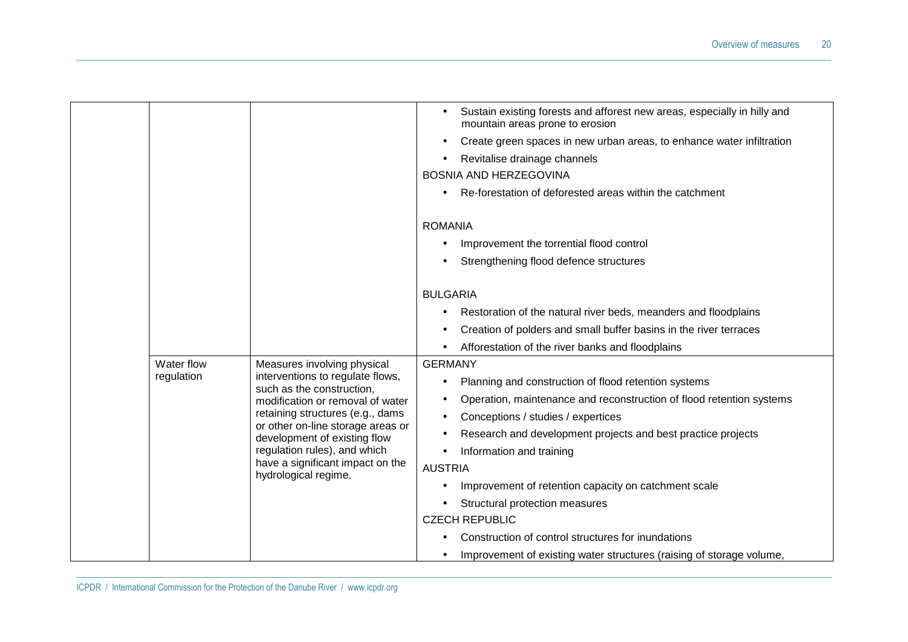|            |                                                                   | Sustain existing forests and afforest new areas, especially in hilly and<br>$\bullet$<br>mountain areas prone to erosion |
|------------|-------------------------------------------------------------------|--------------------------------------------------------------------------------------------------------------------------|
|            |                                                                   | Create green spaces in new urban areas, to enhance water infiltration<br>٠                                               |
|            |                                                                   | Revitalise drainage channels                                                                                             |
|            |                                                                   | <b>BOSNIA AND HERZEGOVINA</b>                                                                                            |
|            |                                                                   | Re-forestation of deforested areas within the catchment                                                                  |
|            |                                                                   | <b>ROMANIA</b>                                                                                                           |
|            |                                                                   | Improvement the torrential flood control                                                                                 |
|            |                                                                   | Strengthening flood defence structures                                                                                   |
|            |                                                                   |                                                                                                                          |
|            |                                                                   | <b>BULGARIA</b>                                                                                                          |
|            |                                                                   | Restoration of the natural river beds, meanders and floodplains                                                          |
|            |                                                                   | Creation of polders and small buffer basins in the river terraces                                                        |
|            |                                                                   | Afforestation of the river banks and floodplains                                                                         |
| Water flow | Measures involving physical                                       | <b>GERMANY</b>                                                                                                           |
| regulation | interventions to regulate flows,<br>such as the construction,     | Planning and construction of flood retention systems<br>$\bullet$                                                        |
|            | modification or removal of water                                  | Operation, maintenance and reconstruction of flood retention systems<br>٠                                                |
|            | retaining structures (e.g., dams                                  | Conceptions / studies / expertices                                                                                       |
|            | or other on-line storage areas or<br>development of existing flow | Research and development projects and best practice projects<br>$\bullet$                                                |
|            | regulation rules), and which                                      | Information and training<br>$\bullet$                                                                                    |
|            | have a significant impact on the<br>hydrological regime.          | <b>AUSTRIA</b>                                                                                                           |
|            |                                                                   | Improvement of retention capacity on catchment scale                                                                     |
|            |                                                                   | Structural protection measures                                                                                           |
|            |                                                                   | <b>CZECH REPUBLIC</b>                                                                                                    |
|            |                                                                   | Construction of control structures for inundations                                                                       |
|            |                                                                   | Improvement of existing water structures (raising of storage volume,<br>٠                                                |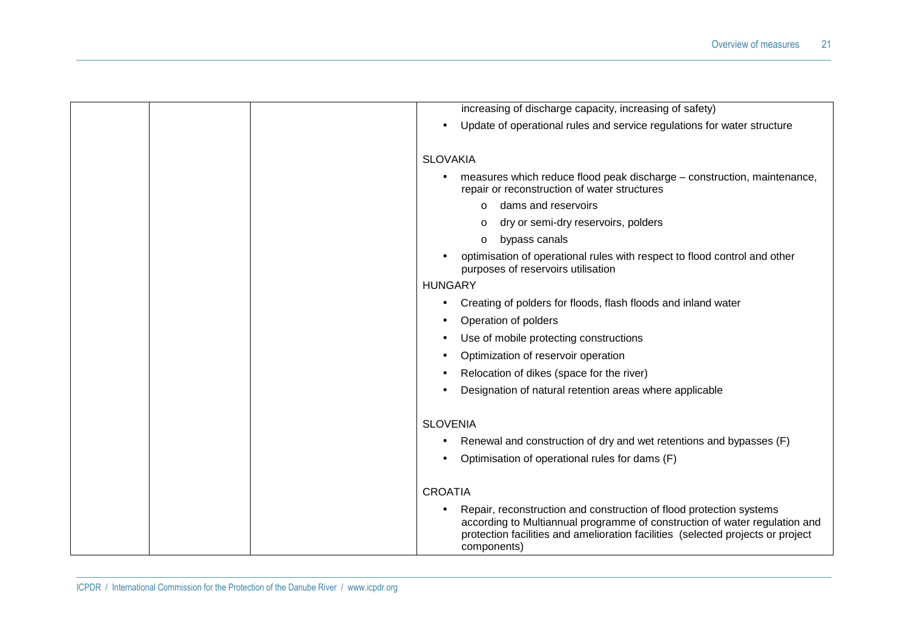| increasing of discharge capacity, increasing of safety)                                                                                                                                                                                             |
|-----------------------------------------------------------------------------------------------------------------------------------------------------------------------------------------------------------------------------------------------------|
| Update of operational rules and service regulations for water structure<br>$\bullet$                                                                                                                                                                |
| <b>SLOVAKIA</b>                                                                                                                                                                                                                                     |
| measures which reduce flood peak discharge - construction, maintenance,                                                                                                                                                                             |
| repair or reconstruction of water structures                                                                                                                                                                                                        |
| dams and reservoirs<br>$\circ$                                                                                                                                                                                                                      |
| dry or semi-dry reservoirs, polders<br>$\circ$                                                                                                                                                                                                      |
| bypass canals<br>$\circ$                                                                                                                                                                                                                            |
| optimisation of operational rules with respect to flood control and other<br>purposes of reservoirs utilisation                                                                                                                                     |
| <b>HUNGARY</b>                                                                                                                                                                                                                                      |
| Creating of polders for floods, flash floods and inland water<br>$\bullet$                                                                                                                                                                          |
| Operation of polders                                                                                                                                                                                                                                |
| Use of mobile protecting constructions                                                                                                                                                                                                              |
| Optimization of reservoir operation                                                                                                                                                                                                                 |
| Relocation of dikes (space for the river)                                                                                                                                                                                                           |
| Designation of natural retention areas where applicable                                                                                                                                                                                             |
| <b>SLOVENIA</b>                                                                                                                                                                                                                                     |
| Renewal and construction of dry and wet retentions and bypasses (F)                                                                                                                                                                                 |
| Optimisation of operational rules for dams (F)                                                                                                                                                                                                      |
|                                                                                                                                                                                                                                                     |
| <b>CROATIA</b>                                                                                                                                                                                                                                      |
| Repair, reconstruction and construction of flood protection systems<br>according to Multiannual programme of construction of water regulation and<br>protection facilities and amelioration facilities (selected projects or project<br>components) |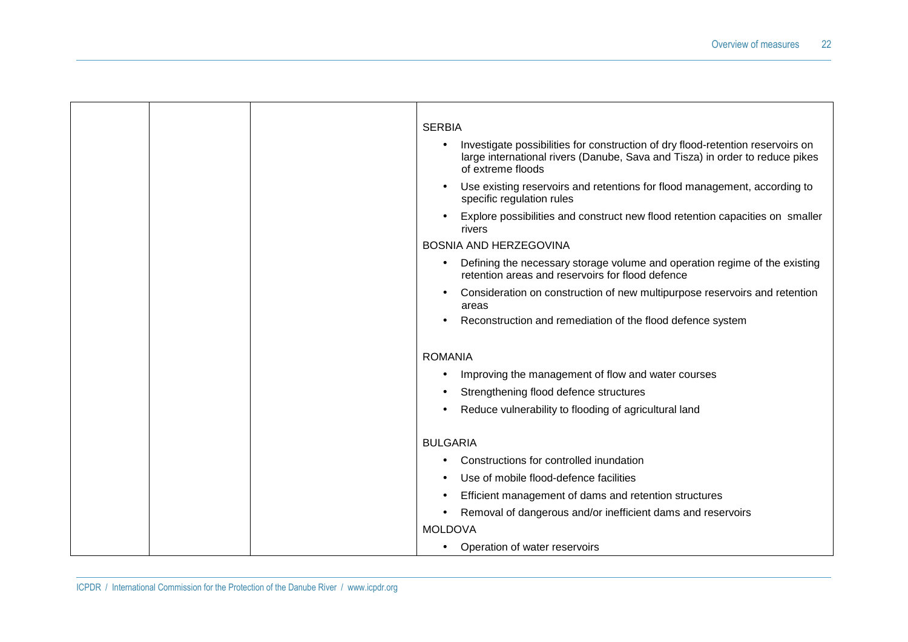|  | <b>SERBIA</b><br>Investigate possibilities for construction of dry flood-retention reservoirs on<br>٠<br>large international rivers (Danube, Sava and Tisza) in order to reduce pikes<br>of extreme floods<br>Use existing reservoirs and retentions for flood management, according to |
|--|-----------------------------------------------------------------------------------------------------------------------------------------------------------------------------------------------------------------------------------------------------------------------------------------|
|  | specific regulation rules<br>Explore possibilities and construct new flood retention capacities on smaller<br>rivers                                                                                                                                                                    |
|  | <b>BOSNIA AND HERZEGOVINA</b>                                                                                                                                                                                                                                                           |
|  | Defining the necessary storage volume and operation regime of the existing<br>$\bullet$<br>retention areas and reservoirs for flood defence                                                                                                                                             |
|  | Consideration on construction of new multipurpose reservoirs and retention<br>areas                                                                                                                                                                                                     |
|  | Reconstruction and remediation of the flood defence system                                                                                                                                                                                                                              |
|  | <b>ROMANIA</b><br>Improving the management of flow and water courses<br>Strengthening flood defence structures<br>Reduce vulnerability to flooding of agricultural land<br>$\bullet$                                                                                                    |
|  | <b>BULGARIA</b>                                                                                                                                                                                                                                                                         |
|  | Constructions for controlled inundation                                                                                                                                                                                                                                                 |
|  | Use of mobile flood-defence facilities                                                                                                                                                                                                                                                  |
|  | Efficient management of dams and retention structures                                                                                                                                                                                                                                   |
|  | Removal of dangerous and/or inefficient dams and reservoirs                                                                                                                                                                                                                             |
|  | <b>MOLDOVA</b>                                                                                                                                                                                                                                                                          |
|  | Operation of water reservoirs<br>$\bullet$                                                                                                                                                                                                                                              |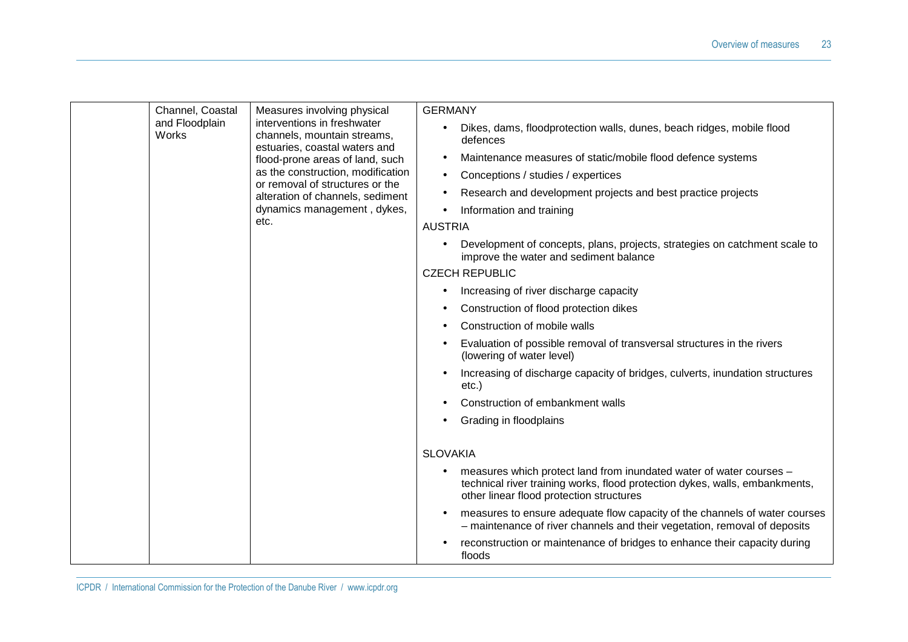| Channel, Coastal                                                                      | Measures involving physical                                                                    | <b>GERMANY</b>                                                                                                                                                                                              |  |
|---------------------------------------------------------------------------------------|------------------------------------------------------------------------------------------------|-------------------------------------------------------------------------------------------------------------------------------------------------------------------------------------------------------------|--|
| and Floodplain<br>interventions in freshwater<br>Works<br>channels, mountain streams, | Dikes, dams, floodprotection walls, dunes, beach ridges, mobile flood<br>$\bullet$<br>defences |                                                                                                                                                                                                             |  |
|                                                                                       | estuaries, coastal waters and<br>flood-prone areas of land, such                               | Maintenance measures of static/mobile flood defence systems<br>$\bullet$                                                                                                                                    |  |
|                                                                                       | as the construction, modification<br>or removal of structures or the                           | Conceptions / studies / expertices<br>$\bullet$                                                                                                                                                             |  |
|                                                                                       | alteration of channels, sediment                                                               | Research and development projects and best practice projects<br>$\bullet$                                                                                                                                   |  |
|                                                                                       | dynamics management, dykes,                                                                    | Information and training                                                                                                                                                                                    |  |
|                                                                                       | etc.                                                                                           | <b>AUSTRIA</b>                                                                                                                                                                                              |  |
|                                                                                       |                                                                                                | Development of concepts, plans, projects, strategies on catchment scale to<br>$\bullet$<br>improve the water and sediment balance                                                                           |  |
|                                                                                       |                                                                                                | <b>CZECH REPUBLIC</b>                                                                                                                                                                                       |  |
|                                                                                       |                                                                                                | Increasing of river discharge capacity<br>٠                                                                                                                                                                 |  |
|                                                                                       |                                                                                                | Construction of flood protection dikes                                                                                                                                                                      |  |
|                                                                                       |                                                                                                | Construction of mobile walls<br>$\bullet$                                                                                                                                                                   |  |
|                                                                                       |                                                                                                | Evaluation of possible removal of transversal structures in the rivers<br>(lowering of water level)                                                                                                         |  |
|                                                                                       |                                                                                                | Increasing of discharge capacity of bridges, culverts, inundation structures<br>$etc.$ )                                                                                                                    |  |
|                                                                                       |                                                                                                | Construction of embankment walls                                                                                                                                                                            |  |
|                                                                                       |                                                                                                | Grading in floodplains                                                                                                                                                                                      |  |
|                                                                                       |                                                                                                | <b>SLOVAKIA</b>                                                                                                                                                                                             |  |
|                                                                                       |                                                                                                | measures which protect land from inundated water of water courses -<br>$\bullet$<br>technical river training works, flood protection dykes, walls, embankments,<br>other linear flood protection structures |  |
|                                                                                       |                                                                                                | measures to ensure adequate flow capacity of the channels of water courses<br>$\bullet$<br>- maintenance of river channels and their vegetation, removal of deposits                                        |  |
|                                                                                       |                                                                                                | reconstruction or maintenance of bridges to enhance their capacity during<br>floods                                                                                                                         |  |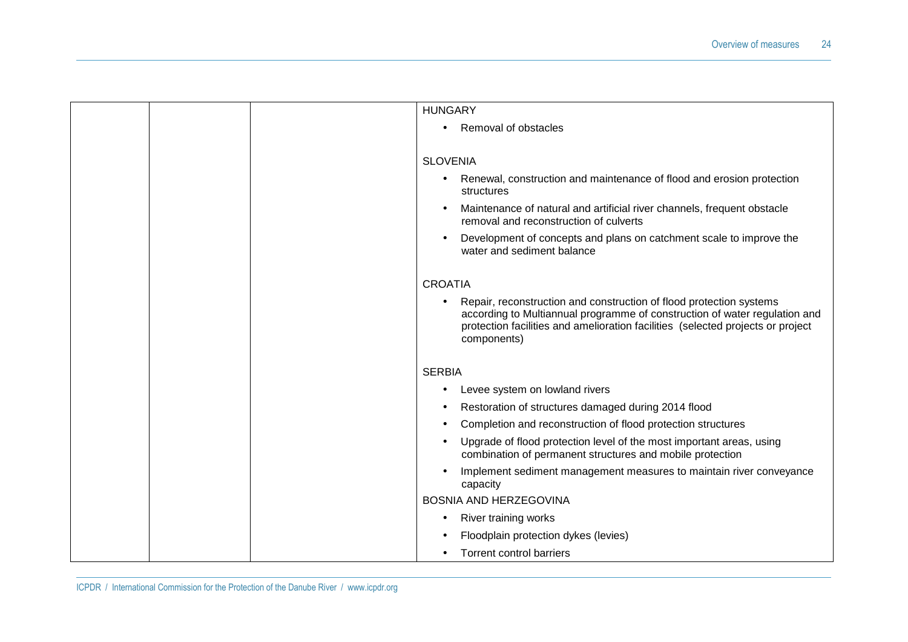|  | <b>HUNGARY</b>                                                                                                                                                                                                                                           |
|--|----------------------------------------------------------------------------------------------------------------------------------------------------------------------------------------------------------------------------------------------------------|
|  | Removal of obstacles<br>$\bullet$                                                                                                                                                                                                                        |
|  |                                                                                                                                                                                                                                                          |
|  | <b>SLOVENIA</b>                                                                                                                                                                                                                                          |
|  | Renewal, construction and maintenance of flood and erosion protection<br>٠<br>structures                                                                                                                                                                 |
|  | Maintenance of natural and artificial river channels, frequent obstacle<br>$\bullet$<br>removal and reconstruction of culverts                                                                                                                           |
|  | Development of concepts and plans on catchment scale to improve the<br>water and sediment balance                                                                                                                                                        |
|  | <b>CROATIA</b>                                                                                                                                                                                                                                           |
|  | Repair, reconstruction and construction of flood protection systems<br>٠<br>according to Multiannual programme of construction of water regulation and<br>protection facilities and amelioration facilities (selected projects or project<br>components) |
|  | <b>SERBIA</b>                                                                                                                                                                                                                                            |
|  | Levee system on lowland rivers<br>٠                                                                                                                                                                                                                      |
|  | Restoration of structures damaged during 2014 flood<br>٠                                                                                                                                                                                                 |
|  | Completion and reconstruction of flood protection structures<br>$\bullet$                                                                                                                                                                                |
|  | Upgrade of flood protection level of the most important areas, using<br>$\bullet$<br>combination of permanent structures and mobile protection                                                                                                           |
|  | Implement sediment management measures to maintain river conveyance<br>capacity                                                                                                                                                                          |
|  | <b>BOSNIA AND HERZEGOVINA</b>                                                                                                                                                                                                                            |
|  | <b>River training works</b>                                                                                                                                                                                                                              |
|  | Floodplain protection dykes (levies)                                                                                                                                                                                                                     |
|  | <b>Torrent control barriers</b><br>٠                                                                                                                                                                                                                     |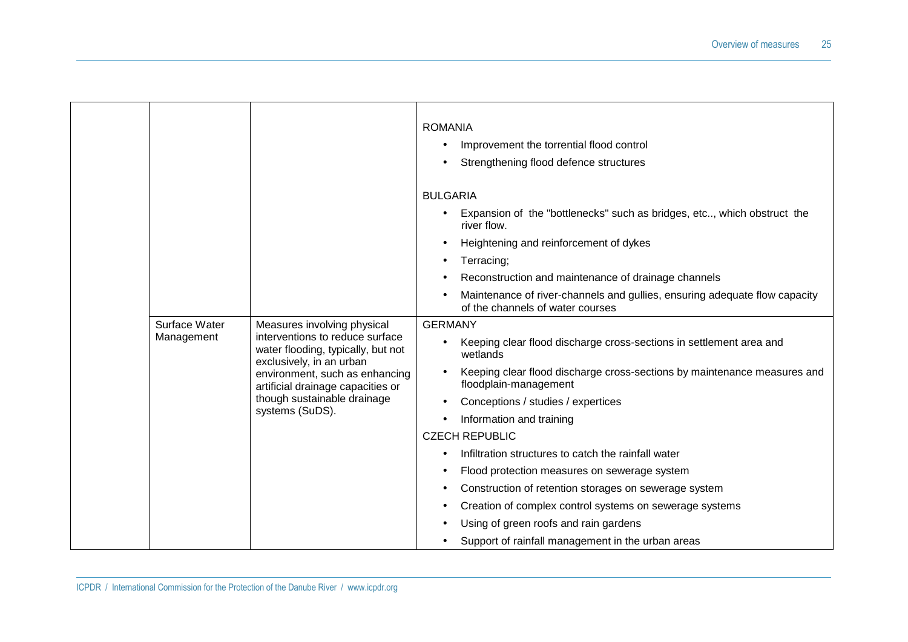|  |                                                                                                                                                                                                                                                                       |                 | <b>ROMANIA</b>                                                                                    | Improvement the torrential flood control<br>Strengthening flood defence structures                             |
|--|-----------------------------------------------------------------------------------------------------------------------------------------------------------------------------------------------------------------------------------------------------------------------|-----------------|---------------------------------------------------------------------------------------------------|----------------------------------------------------------------------------------------------------------------|
|  |                                                                                                                                                                                                                                                                       |                 | <b>BULGARIA</b>                                                                                   |                                                                                                                |
|  |                                                                                                                                                                                                                                                                       |                 |                                                                                                   | Expansion of the "bottlenecks" such as bridges, etc, which obstruct the<br>river flow.                         |
|  |                                                                                                                                                                                                                                                                       |                 |                                                                                                   | Heightening and reinforcement of dykes                                                                         |
|  |                                                                                                                                                                                                                                                                       |                 | ٠                                                                                                 | Terracing;                                                                                                     |
|  |                                                                                                                                                                                                                                                                       |                 |                                                                                                   | Reconstruction and maintenance of drainage channels                                                            |
|  |                                                                                                                                                                                                                                                                       |                 |                                                                                                   | Maintenance of river-channels and gullies, ensuring adequate flow capacity<br>of the channels of water courses |
|  | Surface Water<br>Measures involving physical<br>interventions to reduce surface<br>Management<br>water flooding, typically, but not<br>exclusively, in an urban<br>environment, such as enhancing<br>artificial drainage capacities or<br>though sustainable drainage | <b>GERMANY</b>  |                                                                                                   |                                                                                                                |
|  |                                                                                                                                                                                                                                                                       |                 | Keeping clear flood discharge cross-sections in settlement area and<br>wetlands                   |                                                                                                                |
|  |                                                                                                                                                                                                                                                                       |                 | Keeping clear flood discharge cross-sections by maintenance measures and<br>floodplain-management |                                                                                                                |
|  |                                                                                                                                                                                                                                                                       |                 | Conceptions / studies / expertices                                                                |                                                                                                                |
|  |                                                                                                                                                                                                                                                                       | systems (SuDS). | $\bullet$                                                                                         | Information and training                                                                                       |
|  |                                                                                                                                                                                                                                                                       |                 |                                                                                                   | <b>CZECH REPUBLIC</b>                                                                                          |
|  |                                                                                                                                                                                                                                                                       |                 | ٠                                                                                                 | Infiltration structures to catch the rainfall water                                                            |
|  |                                                                                                                                                                                                                                                                       |                 |                                                                                                   | Flood protection measures on sewerage system                                                                   |
|  |                                                                                                                                                                                                                                                                       |                 |                                                                                                   | Construction of retention storages on sewerage system                                                          |
|  |                                                                                                                                                                                                                                                                       |                 |                                                                                                   | Creation of complex control systems on sewerage systems                                                        |
|  |                                                                                                                                                                                                                                                                       |                 |                                                                                                   | Using of green roofs and rain gardens                                                                          |
|  |                                                                                                                                                                                                                                                                       |                 |                                                                                                   | Support of rainfall management in the urban areas                                                              |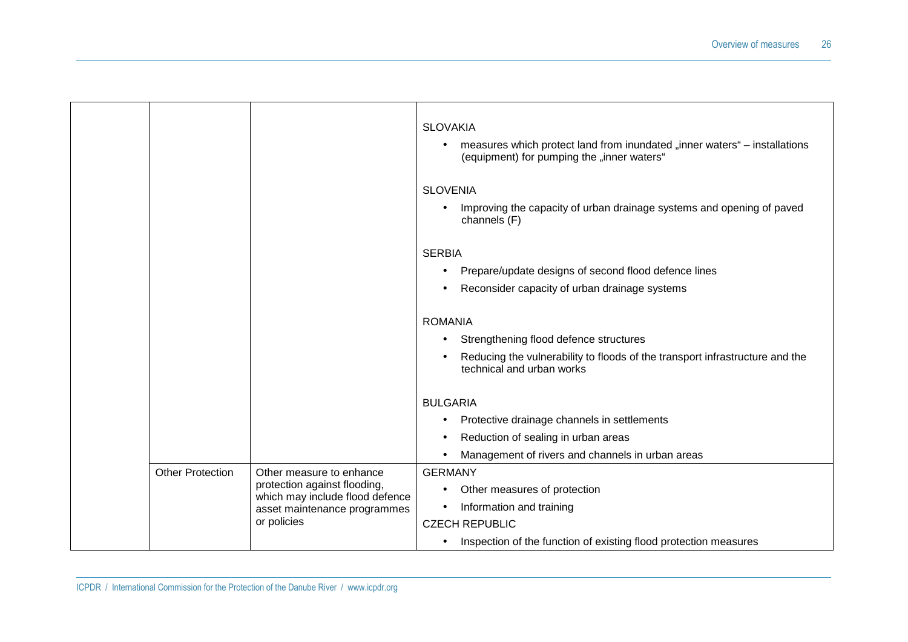|  |                                                                                                 |                                           | <b>SLOVAKIA</b><br>measures which protect land from inundated "inner waters" – installations<br>$\bullet$<br>(equipment) for pumping the "inner waters" |
|--|-------------------------------------------------------------------------------------------------|-------------------------------------------|---------------------------------------------------------------------------------------------------------------------------------------------------------|
|  |                                                                                                 |                                           | <b>SLOVENIA</b>                                                                                                                                         |
|  |                                                                                                 |                                           | Improving the capacity of urban drainage systems and opening of paved<br>$\bullet$<br>channels (F)                                                      |
|  |                                                                                                 |                                           | <b>SERBIA</b>                                                                                                                                           |
|  |                                                                                                 |                                           | Prepare/update designs of second flood defence lines<br>٠                                                                                               |
|  |                                                                                                 |                                           | Reconsider capacity of urban drainage systems<br>$\bullet$                                                                                              |
|  |                                                                                                 |                                           | <b>ROMANIA</b>                                                                                                                                          |
|  |                                                                                                 |                                           |                                                                                                                                                         |
|  |                                                                                                 |                                           | Strengthening flood defence structures<br>$\bullet$                                                                                                     |
|  |                                                                                                 |                                           | Reducing the vulnerability to floods of the transport infrastructure and the<br>technical and urban works                                               |
|  |                                                                                                 |                                           | <b>BULGARIA</b>                                                                                                                                         |
|  |                                                                                                 |                                           | Protective drainage channels in settlements<br>٠                                                                                                        |
|  |                                                                                                 |                                           | Reduction of sealing in urban areas                                                                                                                     |
|  |                                                                                                 |                                           | Management of rivers and channels in urban areas<br>$\bullet$                                                                                           |
|  | <b>Other Protection</b>                                                                         | Other measure to enhance                  | <b>GERMANY</b>                                                                                                                                          |
|  | protection against flooding,<br>which may include flood defence<br>asset maintenance programmes | Other measures of protection<br>$\bullet$ |                                                                                                                                                         |
|  |                                                                                                 | Information and training<br>$\bullet$     |                                                                                                                                                         |
|  |                                                                                                 | or policies                               | <b>CZECH REPUBLIC</b>                                                                                                                                   |
|  |                                                                                                 |                                           | Inspection of the function of existing flood protection measures<br>$\bullet$                                                                           |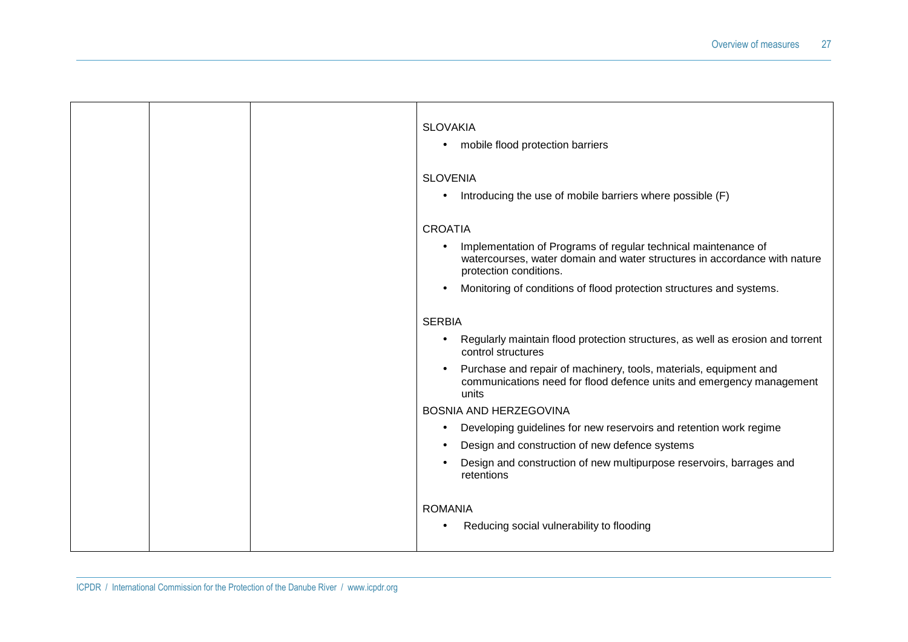|  | <b>SLOVAKIA</b><br>mobile flood protection barriers<br>$\bullet$                                                                                                      |
|--|-----------------------------------------------------------------------------------------------------------------------------------------------------------------------|
|  | <b>SLOVENIA</b>                                                                                                                                                       |
|  | Introducing the use of mobile barriers where possible (F)<br>$\bullet$                                                                                                |
|  | <b>CROATIA</b>                                                                                                                                                        |
|  | Implementation of Programs of regular technical maintenance of<br>watercourses, water domain and water structures in accordance with nature<br>protection conditions. |
|  | Monitoring of conditions of flood protection structures and systems.<br>$\bullet$                                                                                     |
|  | <b>SERBIA</b>                                                                                                                                                         |
|  | Regularly maintain flood protection structures, as well as erosion and torrent<br>$\bullet$<br>control structures                                                     |
|  | Purchase and repair of machinery, tools, materials, equipment and<br>$\bullet$<br>communications need for flood defence units and emergency management<br>units       |
|  | BOSNIA AND HERZEGOVINA                                                                                                                                                |
|  | Developing guidelines for new reservoirs and retention work regime<br>$\bullet$                                                                                       |
|  | Design and construction of new defence systems                                                                                                                        |
|  | Design and construction of new multipurpose reservoirs, barrages and<br>retentions                                                                                    |
|  | <b>ROMANIA</b>                                                                                                                                                        |
|  | Reducing social vulnerability to flooding<br>$\bullet$                                                                                                                |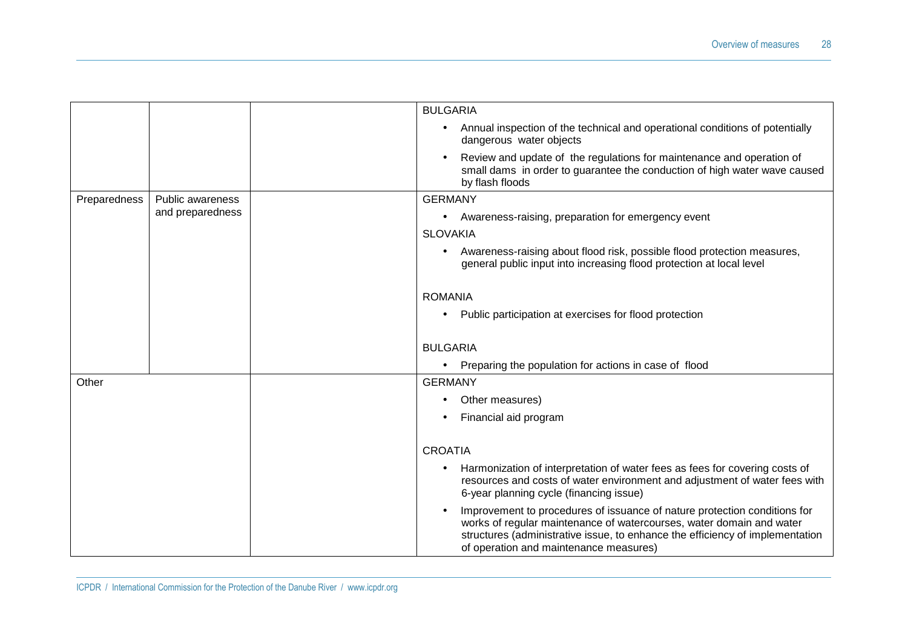|              |                  | <b>BULGARIA</b>                                                                                                                                                                                                                                                              |
|--------------|------------------|------------------------------------------------------------------------------------------------------------------------------------------------------------------------------------------------------------------------------------------------------------------------------|
|              |                  | Annual inspection of the technical and operational conditions of potentially<br>dangerous water objects                                                                                                                                                                      |
|              |                  | Review and update of the regulations for maintenance and operation of<br>small dams in order to guarantee the conduction of high water wave caused<br>by flash floods                                                                                                        |
| Preparedness | Public awareness | <b>GERMANY</b>                                                                                                                                                                                                                                                               |
|              | and preparedness | Awareness-raising, preparation for emergency event<br>$\bullet$                                                                                                                                                                                                              |
|              |                  | <b>SLOVAKIA</b>                                                                                                                                                                                                                                                              |
|              |                  | Awareness-raising about flood risk, possible flood protection measures,<br>general public input into increasing flood protection at local level                                                                                                                              |
|              |                  | <b>ROMANIA</b>                                                                                                                                                                                                                                                               |
|              |                  | Public participation at exercises for flood protection                                                                                                                                                                                                                       |
|              |                  | <b>BULGARIA</b>                                                                                                                                                                                                                                                              |
|              |                  | Preparing the population for actions in case of flood                                                                                                                                                                                                                        |
| Other        |                  | <b>GERMANY</b>                                                                                                                                                                                                                                                               |
|              |                  | Other measures)                                                                                                                                                                                                                                                              |
|              |                  | Financial aid program                                                                                                                                                                                                                                                        |
|              |                  | <b>CROATIA</b>                                                                                                                                                                                                                                                               |
|              |                  | Harmonization of interpretation of water fees as fees for covering costs of<br>resources and costs of water environment and adjustment of water fees with<br>6-year planning cycle (financing issue)                                                                         |
|              |                  | Improvement to procedures of issuance of nature protection conditions for<br>works of regular maintenance of watercourses, water domain and water<br>structures (administrative issue, to enhance the efficiency of implementation<br>of operation and maintenance measures) |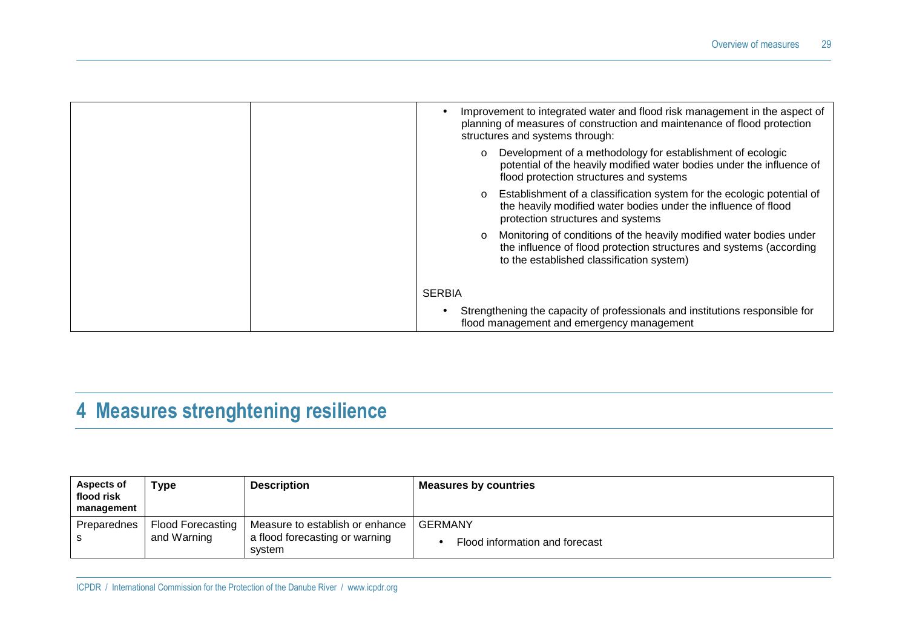| Improvement to integrated water and flood risk management in the aspect of<br>planning of measures of construction and maintenance of flood protection<br>structures and systems through:          |
|----------------------------------------------------------------------------------------------------------------------------------------------------------------------------------------------------|
| Development of a methodology for establishment of ecologic<br>$\circ$<br>potential of the heavily modified water bodies under the influence of<br>flood protection structures and systems          |
| Establishment of a classification system for the ecologic potential of<br>$\circ$<br>the heavily modified water bodies under the influence of flood<br>protection structures and systems           |
| Monitoring of conditions of the heavily modified water bodies under<br>$\circ$<br>the influence of flood protection structures and systems (according<br>to the established classification system) |
| <b>SERBIA</b>                                                                                                                                                                                      |
| Strengthening the capacity of professionals and institutions responsible for<br>flood management and emergency management                                                                          |

### **4 Measures strenghtening resilience**

| Aspects of<br>flood risk<br>management | Type                             | <b>Description</b>                                                          | <b>Measures by countries</b>                     |
|----------------------------------------|----------------------------------|-----------------------------------------------------------------------------|--------------------------------------------------|
| Preparednes                            | Flood Forecasting<br>and Warning | Measure to establish or enhance<br>a flood forecasting or warning<br>svstem | <b>GERMANY</b><br>Flood information and forecast |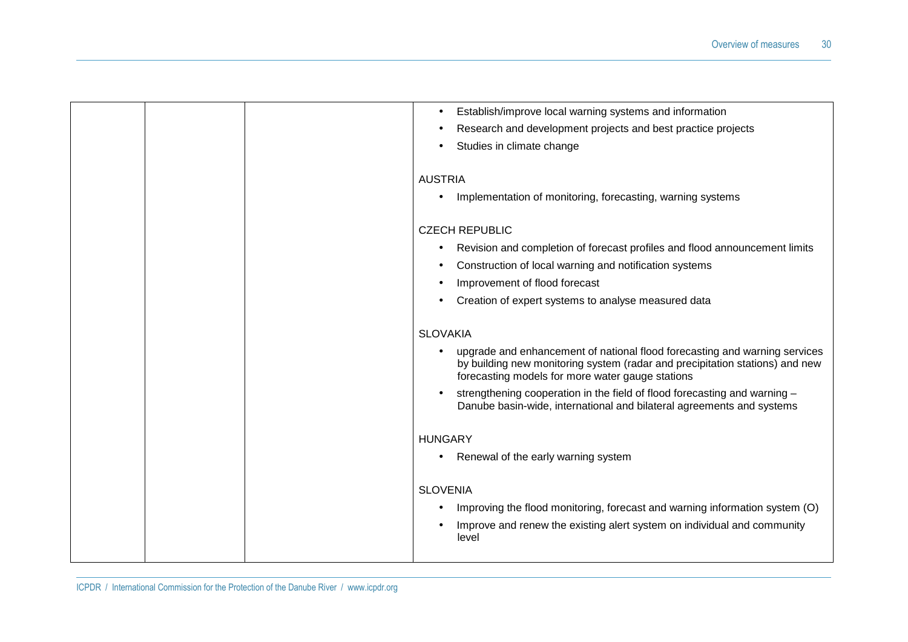|  | Establish/improve local warning systems and information                                                                                                                                                        |
|--|----------------------------------------------------------------------------------------------------------------------------------------------------------------------------------------------------------------|
|  | Research and development projects and best practice projects                                                                                                                                                   |
|  | Studies in climate change                                                                                                                                                                                      |
|  |                                                                                                                                                                                                                |
|  | <b>AUSTRIA</b>                                                                                                                                                                                                 |
|  | Implementation of monitoring, forecasting, warning systems                                                                                                                                                     |
|  | <b>CZECH REPUBLIC</b>                                                                                                                                                                                          |
|  |                                                                                                                                                                                                                |
|  | Revision and completion of forecast profiles and flood announcement limits                                                                                                                                     |
|  | Construction of local warning and notification systems                                                                                                                                                         |
|  | Improvement of flood forecast                                                                                                                                                                                  |
|  | Creation of expert systems to analyse measured data                                                                                                                                                            |
|  | <b>SLOVAKIA</b>                                                                                                                                                                                                |
|  |                                                                                                                                                                                                                |
|  | upgrade and enhancement of national flood forecasting and warning services<br>by building new monitoring system (radar and precipitation stations) and new<br>forecasting models for more water gauge stations |
|  | strengthening cooperation in the field of flood forecasting and warning -<br>Danube basin-wide, international and bilateral agreements and systems                                                             |
|  | <b>HUNGARY</b>                                                                                                                                                                                                 |
|  | Renewal of the early warning system                                                                                                                                                                            |
|  |                                                                                                                                                                                                                |
|  | <b>SLOVENIA</b>                                                                                                                                                                                                |
|  | Improving the flood monitoring, forecast and warning information system (O)                                                                                                                                    |
|  | Improve and renew the existing alert system on individual and community<br>level                                                                                                                               |
|  |                                                                                                                                                                                                                |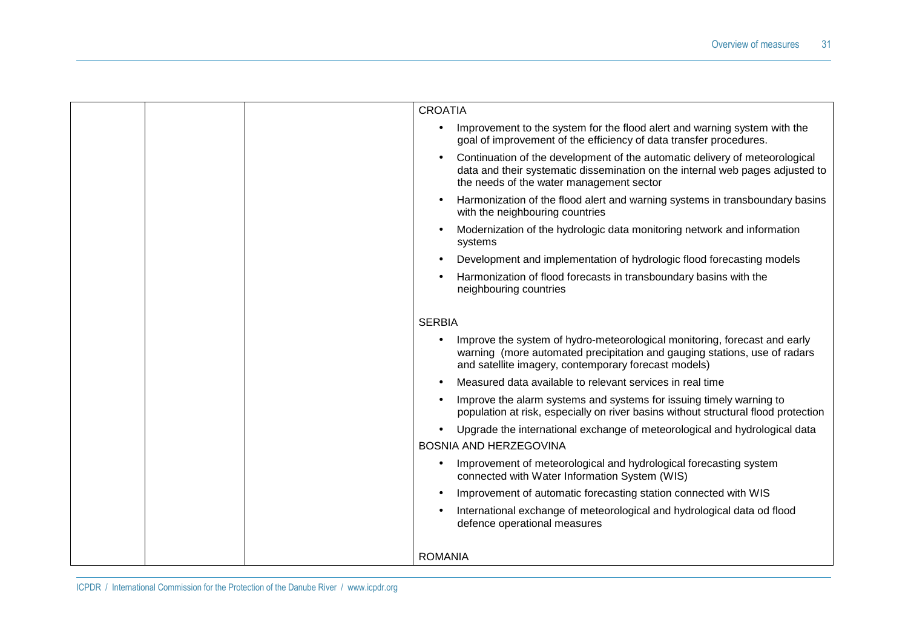|  | <b>CROATIA</b>                                                                                                                                                                                                 |
|--|----------------------------------------------------------------------------------------------------------------------------------------------------------------------------------------------------------------|
|  | Improvement to the system for the flood alert and warning system with the<br>goal of improvement of the efficiency of data transfer procedures.                                                                |
|  | Continuation of the development of the automatic delivery of meteorological<br>data and their systematic dissemination on the internal web pages adjusted to<br>the needs of the water management sector       |
|  | Harmonization of the flood alert and warning systems in transboundary basins<br>with the neighbouring countries                                                                                                |
|  | Modernization of the hydrologic data monitoring network and information<br>systems                                                                                                                             |
|  | Development and implementation of hydrologic flood forecasting models                                                                                                                                          |
|  | Harmonization of flood forecasts in transboundary basins with the<br>neighbouring countries                                                                                                                    |
|  | <b>SERBIA</b>                                                                                                                                                                                                  |
|  | Improve the system of hydro-meteorological monitoring, forecast and early<br>warning (more automated precipitation and gauging stations, use of radars<br>and satellite imagery, contemporary forecast models) |
|  | Measured data available to relevant services in real time                                                                                                                                                      |
|  | Improve the alarm systems and systems for issuing timely warning to<br>population at risk, especially on river basins without structural flood protection                                                      |
|  | Upgrade the international exchange of meteorological and hydrological data                                                                                                                                     |
|  | <b>BOSNIA AND HERZEGOVINA</b>                                                                                                                                                                                  |
|  | Improvement of meteorological and hydrological forecasting system<br>connected with Water Information System (WIS)                                                                                             |
|  | Improvement of automatic forecasting station connected with WIS                                                                                                                                                |
|  | International exchange of meteorological and hydrological data od flood<br>defence operational measures                                                                                                        |
|  | <b>ROMANIA</b>                                                                                                                                                                                                 |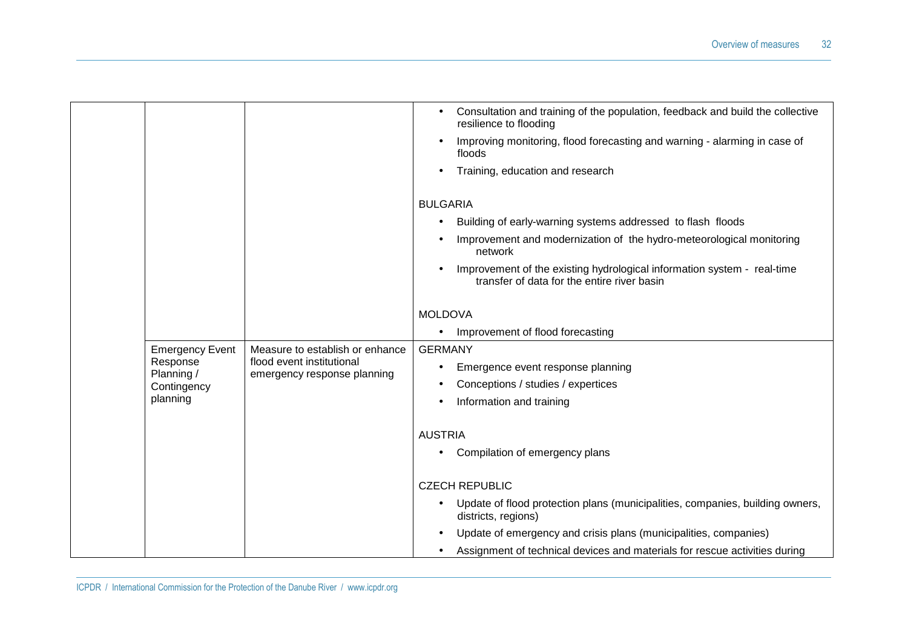|                        |                                                          | Consultation and training of the population, feedback and build the collective<br>resilience to flooding               |
|------------------------|----------------------------------------------------------|------------------------------------------------------------------------------------------------------------------------|
|                        |                                                          | Improving monitoring, flood forecasting and warning - alarming in case of<br>floods                                    |
|                        |                                                          | Training, education and research                                                                                       |
|                        |                                                          | <b>BULGARIA</b>                                                                                                        |
|                        |                                                          | Building of early-warning systems addressed to flash floods                                                            |
|                        |                                                          | Improvement and modernization of the hydro-meteorological monitoring<br>network                                        |
|                        |                                                          | Improvement of the existing hydrological information system - real-time<br>transfer of data for the entire river basin |
|                        |                                                          | <b>MOLDOVA</b>                                                                                                         |
|                        |                                                          | Improvement of flood forecasting                                                                                       |
| <b>Emergency Event</b> | Measure to establish or enhance                          | <b>GERMANY</b>                                                                                                         |
| Response<br>Planning / | flood event institutional<br>emergency response planning | Emergence event response planning<br>٠                                                                                 |
| Contingency            |                                                          | Conceptions / studies / expertices                                                                                     |
| planning               |                                                          | Information and training                                                                                               |
|                        |                                                          | <b>AUSTRIA</b>                                                                                                         |
|                        |                                                          | Compilation of emergency plans                                                                                         |
|                        |                                                          | <b>CZECH REPUBLIC</b>                                                                                                  |
|                        |                                                          | Update of flood protection plans (municipalities, companies, building owners,<br>districts, regions)                   |
|                        |                                                          | Update of emergency and crisis plans (municipalities, companies)                                                       |
|                        |                                                          | Assignment of technical devices and materials for rescue activities during<br>$\bullet$                                |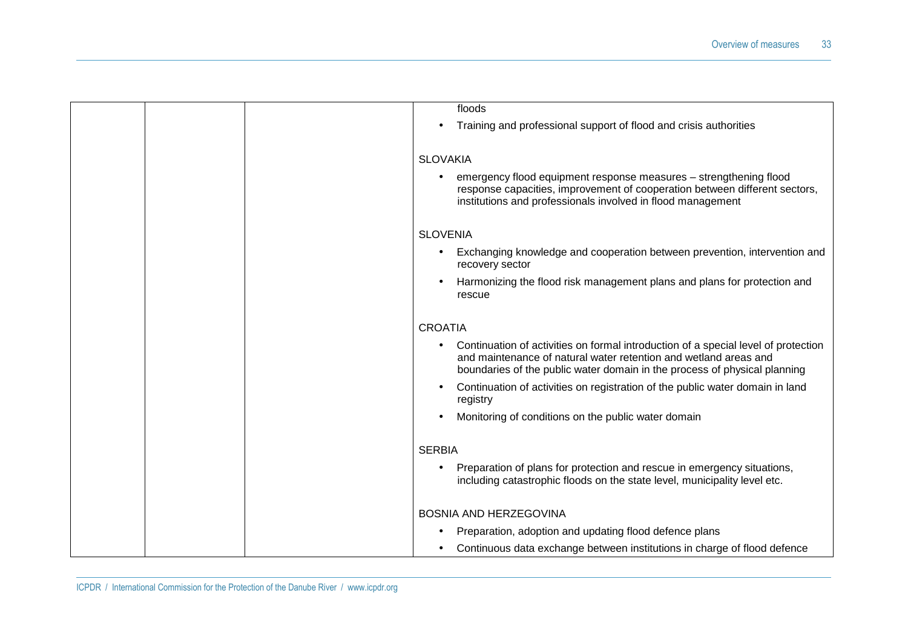| floods                                                                                                                                                                                                                              |
|-------------------------------------------------------------------------------------------------------------------------------------------------------------------------------------------------------------------------------------|
| Training and professional support of flood and crisis authorities                                                                                                                                                                   |
|                                                                                                                                                                                                                                     |
| <b>SLOVAKIA</b>                                                                                                                                                                                                                     |
| emergency flood equipment response measures - strengthening flood<br>response capacities, improvement of cooperation between different sectors,<br>institutions and professionals involved in flood management                      |
| <b>SLOVENIA</b>                                                                                                                                                                                                                     |
| Exchanging knowledge and cooperation between prevention, intervention and<br>recovery sector                                                                                                                                        |
| Harmonizing the flood risk management plans and plans for protection and<br>rescue                                                                                                                                                  |
| <b>CROATIA</b>                                                                                                                                                                                                                      |
| Continuation of activities on formal introduction of a special level of protection<br>and maintenance of natural water retention and wetland areas and<br>boundaries of the public water domain in the process of physical planning |
| Continuation of activities on registration of the public water domain in land<br>registry                                                                                                                                           |
| Monitoring of conditions on the public water domain                                                                                                                                                                                 |
| <b>SERBIA</b>                                                                                                                                                                                                                       |
| Preparation of plans for protection and rescue in emergency situations,<br>including catastrophic floods on the state level, municipality level etc.                                                                                |
| <b>BOSNIA AND HERZEGOVINA</b>                                                                                                                                                                                                       |
| Preparation, adoption and updating flood defence plans                                                                                                                                                                              |
| Continuous data exchange between institutions in charge of flood defence                                                                                                                                                            |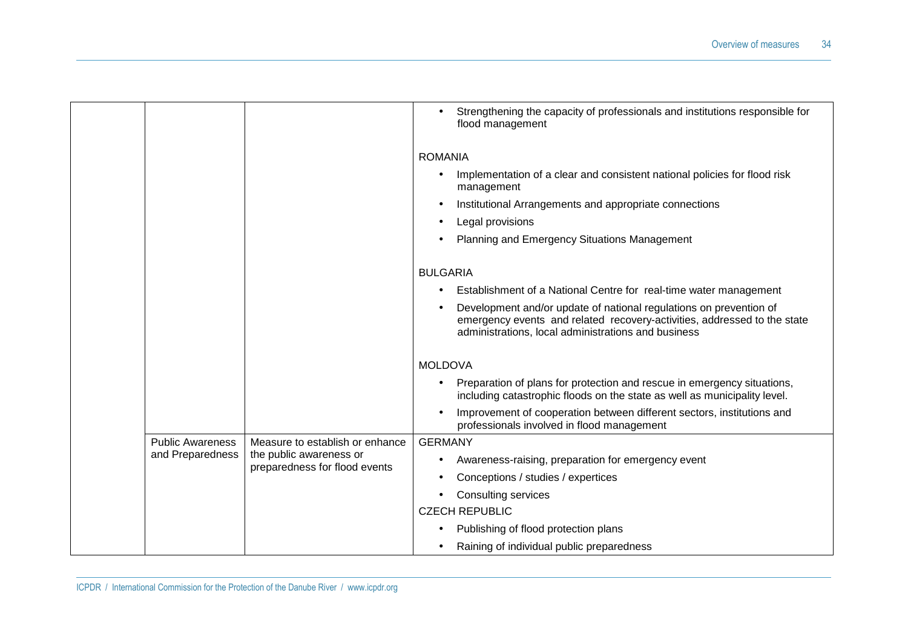|  |                         |                                                          | Strengthening the capacity of professionals and institutions responsible for<br>flood management                                                                                                      |
|--|-------------------------|----------------------------------------------------------|-------------------------------------------------------------------------------------------------------------------------------------------------------------------------------------------------------|
|  |                         |                                                          | <b>ROMANIA</b>                                                                                                                                                                                        |
|  |                         |                                                          | Implementation of a clear and consistent national policies for flood risk<br>management                                                                                                               |
|  |                         |                                                          | Institutional Arrangements and appropriate connections                                                                                                                                                |
|  |                         |                                                          | Legal provisions                                                                                                                                                                                      |
|  |                         |                                                          | Planning and Emergency Situations Management                                                                                                                                                          |
|  |                         |                                                          | <b>BULGARIA</b>                                                                                                                                                                                       |
|  |                         |                                                          | Establishment of a National Centre for real-time water management                                                                                                                                     |
|  |                         |                                                          | Development and/or update of national regulations on prevention of<br>emergency events and related recovery-activities, addressed to the state<br>administrations, local administrations and business |
|  |                         |                                                          | <b>MOLDOVA</b>                                                                                                                                                                                        |
|  |                         |                                                          | Preparation of plans for protection and rescue in emergency situations,<br>including catastrophic floods on the state as well as municipality level.                                                  |
|  |                         |                                                          | Improvement of cooperation between different sectors, institutions and<br>professionals involved in flood management                                                                                  |
|  | <b>Public Awareness</b> | Measure to establish or enhance                          | <b>GERMANY</b>                                                                                                                                                                                        |
|  | and Preparedness        | the public awareness or<br>preparedness for flood events | Awareness-raising, preparation for emergency event                                                                                                                                                    |
|  |                         |                                                          | Conceptions / studies / expertices                                                                                                                                                                    |
|  |                         |                                                          | <b>Consulting services</b>                                                                                                                                                                            |
|  |                         |                                                          | <b>CZECH REPUBLIC</b>                                                                                                                                                                                 |
|  |                         |                                                          | Publishing of flood protection plans                                                                                                                                                                  |
|  |                         |                                                          | Raining of individual public preparedness                                                                                                                                                             |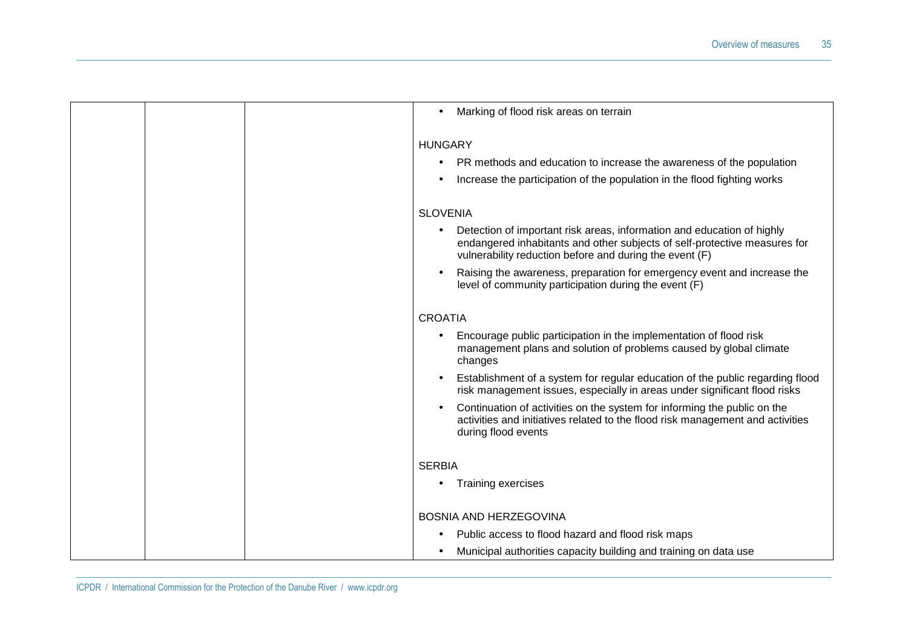| Marking of flood risk areas on terrain                                                                                                                                                                         |
|----------------------------------------------------------------------------------------------------------------------------------------------------------------------------------------------------------------|
| <b>HUNGARY</b><br>PR methods and education to increase the awareness of the population<br>$\bullet$<br>Increase the participation of the population in the flood fighting works                                |
| <b>SLOVENIA</b>                                                                                                                                                                                                |
| Detection of important risk areas, information and education of highly<br>endangered inhabitants and other subjects of self-protective measures for<br>vulnerability reduction before and during the event (F) |
| Raising the awareness, preparation for emergency event and increase the<br>level of community participation during the event (F)                                                                               |
| <b>CROATIA</b>                                                                                                                                                                                                 |
| Encourage public participation in the implementation of flood risk<br>management plans and solution of problems caused by global climate<br>changes                                                            |
| Establishment of a system for regular education of the public regarding flood<br>risk management issues, especially in areas under significant flood risks                                                     |
| Continuation of activities on the system for informing the public on the<br>activities and initiatives related to the flood risk management and activities<br>during flood events                              |
| <b>SERBIA</b>                                                                                                                                                                                                  |
| <b>Training exercises</b>                                                                                                                                                                                      |
| <b>BOSNIA AND HERZEGOVINA</b>                                                                                                                                                                                  |
| Public access to flood hazard and flood risk maps                                                                                                                                                              |
| Municipal authorities capacity building and training on data use                                                                                                                                               |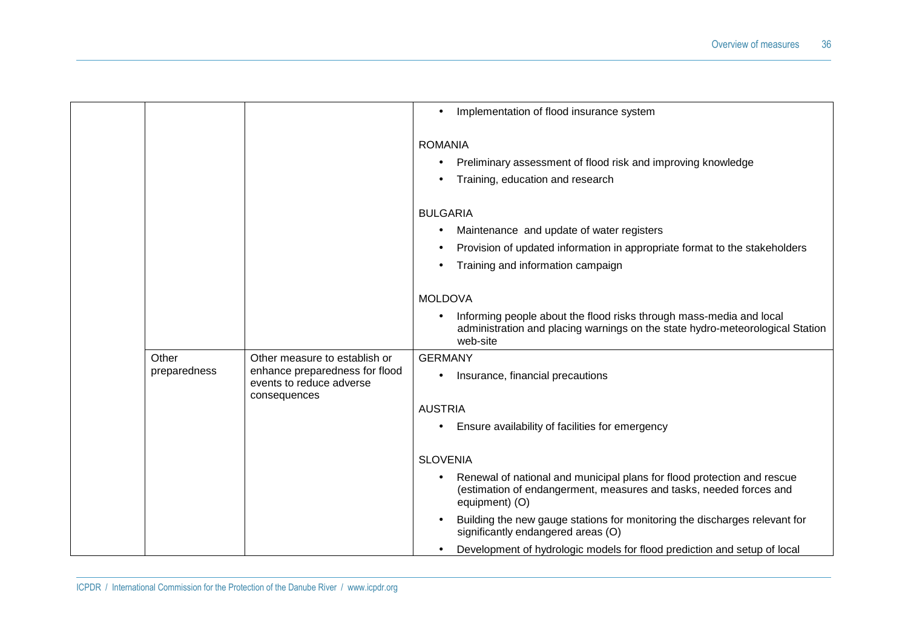|              |                                                            | Implementation of flood insurance system                                                                                                                         |
|--------------|------------------------------------------------------------|------------------------------------------------------------------------------------------------------------------------------------------------------------------|
|              |                                                            | <b>ROMANIA</b>                                                                                                                                                   |
|              |                                                            | Preliminary assessment of flood risk and improving knowledge                                                                                                     |
|              |                                                            | Training, education and research                                                                                                                                 |
|              |                                                            | <b>BULGARIA</b>                                                                                                                                                  |
|              |                                                            | Maintenance and update of water registers                                                                                                                        |
|              |                                                            | Provision of updated information in appropriate format to the stakeholders                                                                                       |
|              |                                                            | Training and information campaign                                                                                                                                |
|              |                                                            | <b>MOLDOVA</b>                                                                                                                                                   |
|              |                                                            | Informing people about the flood risks through mass-media and local<br>administration and placing warnings on the state hydro-meteorological Station<br>web-site |
| Other        | Other measure to establish or                              | <b>GERMANY</b>                                                                                                                                                   |
| preparedness | enhance preparedness for flood<br>events to reduce adverse | Insurance, financial precautions                                                                                                                                 |
|              | consequences                                               | <b>AUSTRIA</b>                                                                                                                                                   |
|              |                                                            | Ensure availability of facilities for emergency                                                                                                                  |
|              |                                                            |                                                                                                                                                                  |
|              |                                                            | <b>SLOVENIA</b>                                                                                                                                                  |
|              |                                                            | Renewal of national and municipal plans for flood protection and rescue<br>(estimation of endangerment, measures and tasks, needed forces and<br>equipment) (O)  |
|              |                                                            | Building the new gauge stations for monitoring the discharges relevant for<br>significantly endangered areas (O)                                                 |
|              |                                                            | Development of hydrologic models for flood prediction and setup of local                                                                                         |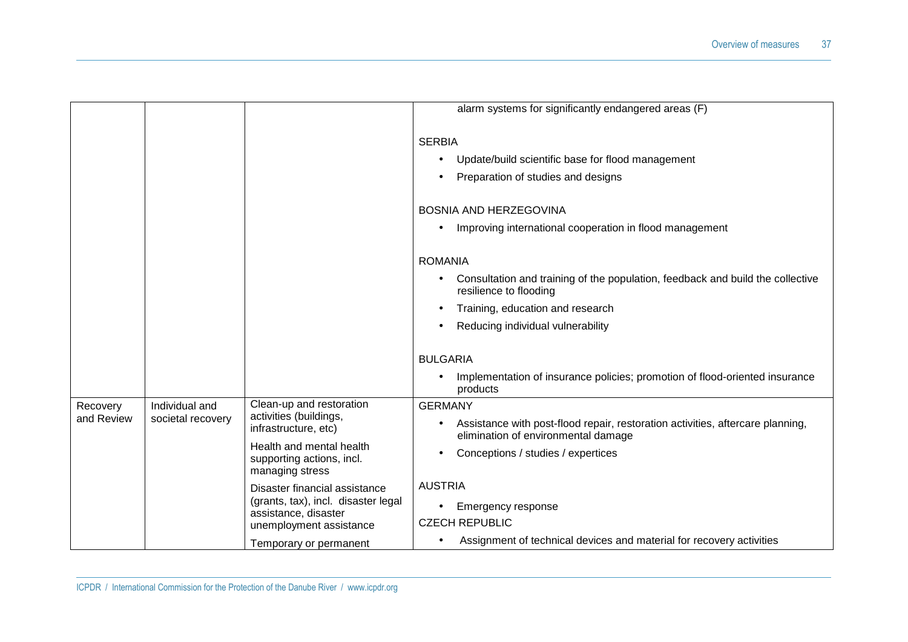|                        |                                     |                                                                                                                         | alarm systems for significantly endangered areas (F)                                                                                    |
|------------------------|-------------------------------------|-------------------------------------------------------------------------------------------------------------------------|-----------------------------------------------------------------------------------------------------------------------------------------|
|                        |                                     |                                                                                                                         | <b>SERBIA</b><br>Update/build scientific base for flood management<br>Preparation of studies and designs                                |
|                        |                                     |                                                                                                                         | BOSNIA AND HERZEGOVINA                                                                                                                  |
|                        |                                     |                                                                                                                         | Improving international cooperation in flood management<br>$\bullet$                                                                    |
|                        |                                     |                                                                                                                         | <b>ROMANIA</b>                                                                                                                          |
|                        |                                     |                                                                                                                         | Consultation and training of the population, feedback and build the collective<br>resilience to flooding                                |
|                        |                                     |                                                                                                                         | Training, education and research                                                                                                        |
|                        |                                     |                                                                                                                         | Reducing individual vulnerability                                                                                                       |
|                        |                                     |                                                                                                                         | <b>BULGARIA</b><br>Implementation of insurance policies; promotion of flood-oriented insurance                                          |
|                        |                                     |                                                                                                                         | products                                                                                                                                |
| Recovery<br>and Review | Individual and<br>societal recovery | Clean-up and restoration<br>activities (buildings,<br>infrastructure, etc)                                              | <b>GERMANY</b><br>Assistance with post-flood repair, restoration activities, aftercare planning,<br>elimination of environmental damage |
|                        |                                     | Health and mental health<br>supporting actions, incl.<br>managing stress                                                | Conceptions / studies / expertices                                                                                                      |
|                        |                                     | Disaster financial assistance<br>(grants, tax), incl. disaster legal<br>assistance, disaster<br>unemployment assistance | <b>AUSTRIA</b><br>Emergency response<br>٠<br><b>CZECH REPUBLIC</b>                                                                      |
|                        |                                     | Temporary or permanent                                                                                                  | Assignment of technical devices and material for recovery activities<br>٠                                                               |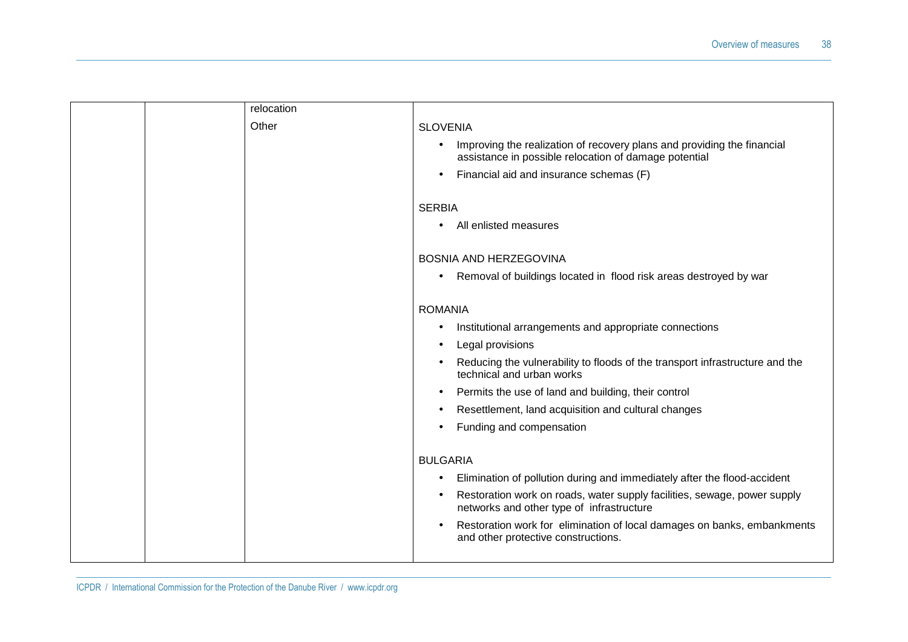|  | relocation |                                                                                                                                  |
|--|------------|----------------------------------------------------------------------------------------------------------------------------------|
|  | Other      | <b>SLOVENIA</b>                                                                                                                  |
|  |            | Improving the realization of recovery plans and providing the financial<br>assistance in possible relocation of damage potential |
|  |            | Financial aid and insurance schemas (F)                                                                                          |
|  |            | <b>SERBIA</b>                                                                                                                    |
|  |            | All enlisted measures                                                                                                            |
|  |            | <b>BOSNIA AND HERZEGOVINA</b>                                                                                                    |
|  |            | Removal of buildings located in flood risk areas destroyed by war<br>$\bullet$                                                   |
|  |            | <b>ROMANIA</b>                                                                                                                   |
|  |            | Institutional arrangements and appropriate connections<br>٠                                                                      |
|  |            | Legal provisions                                                                                                                 |
|  |            | Reducing the vulnerability to floods of the transport infrastructure and the<br>technical and urban works                        |
|  |            | Permits the use of land and building, their control                                                                              |
|  |            | Resettlement, land acquisition and cultural changes                                                                              |
|  |            | Funding and compensation                                                                                                         |
|  |            | <b>BULGARIA</b>                                                                                                                  |
|  |            | Elimination of pollution during and immediately after the flood-accident                                                         |
|  |            | Restoration work on roads, water supply facilities, sewage, power supply<br>networks and other type of infrastructure            |
|  |            | Restoration work for elimination of local damages on banks, embankments<br>$\bullet$<br>and other protective constructions.      |
|  |            |                                                                                                                                  |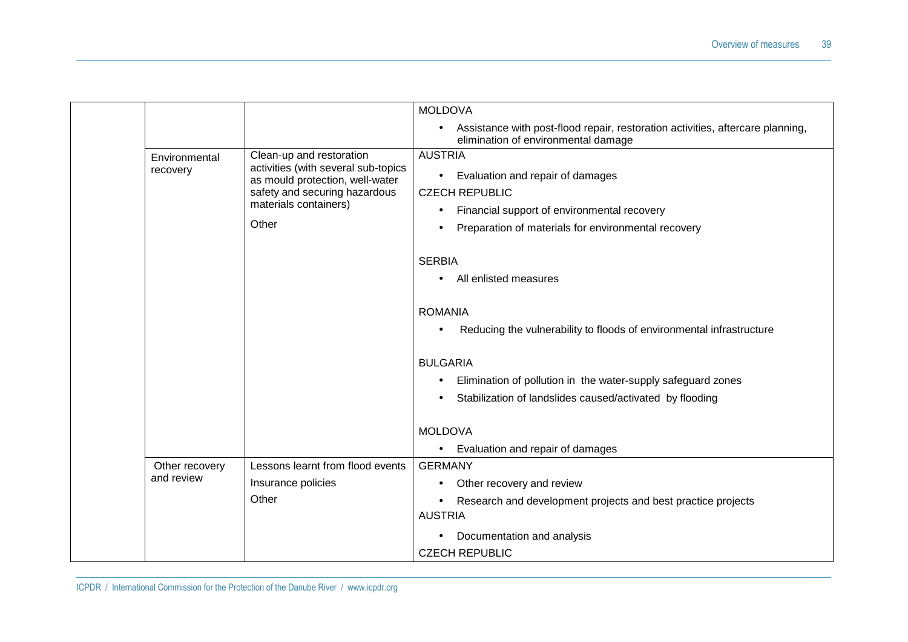|                              |                                                                                                    | <b>MOLDOVA</b>                                                                                                        |  |  |
|------------------------------|----------------------------------------------------------------------------------------------------|-----------------------------------------------------------------------------------------------------------------------|--|--|
|                              |                                                                                                    | Assistance with post-flood repair, restoration activities, aftercare planning,<br>elimination of environmental damage |  |  |
| Environmental                | Clean-up and restoration<br>activities (with several sub-topics<br>as mould protection, well-water | <b>AUSTRIA</b>                                                                                                        |  |  |
| recovery                     |                                                                                                    | Evaluation and repair of damages<br>$\bullet$                                                                         |  |  |
|                              | safety and securing hazardous                                                                      | <b>CZECH REPUBLIC</b>                                                                                                 |  |  |
|                              | materials containers)                                                                              | Financial support of environmental recovery                                                                           |  |  |
|                              | Other                                                                                              | Preparation of materials for environmental recovery                                                                   |  |  |
|                              |                                                                                                    | <b>SERBIA</b>                                                                                                         |  |  |
|                              |                                                                                                    | All enlisted measures                                                                                                 |  |  |
|                              |                                                                                                    |                                                                                                                       |  |  |
|                              |                                                                                                    | <b>ROMANIA</b>                                                                                                        |  |  |
|                              |                                                                                                    | Reducing the vulnerability to floods of environmental infrastructure                                                  |  |  |
|                              |                                                                                                    | <b>BULGARIA</b>                                                                                                       |  |  |
|                              |                                                                                                    | Elimination of pollution in the water-supply safeguard zones                                                          |  |  |
|                              |                                                                                                    | Stabilization of landslides caused/activated by flooding                                                              |  |  |
|                              |                                                                                                    |                                                                                                                       |  |  |
|                              |                                                                                                    | <b>MOLDOVA</b>                                                                                                        |  |  |
|                              |                                                                                                    | Evaluation and repair of damages<br>$\bullet$                                                                         |  |  |
| Other recovery<br>and review | Lessons learnt from flood events                                                                   | <b>GERMANY</b>                                                                                                        |  |  |
|                              | Insurance policies                                                                                 | Other recovery and review                                                                                             |  |  |
|                              | Other                                                                                              | Research and development projects and best practice projects<br><b>AUSTRIA</b>                                        |  |  |
|                              |                                                                                                    |                                                                                                                       |  |  |
|                              |                                                                                                    | Documentation and analysis<br>$\bullet$                                                                               |  |  |
|                              |                                                                                                    | <b>CZECH REPUBLIC</b>                                                                                                 |  |  |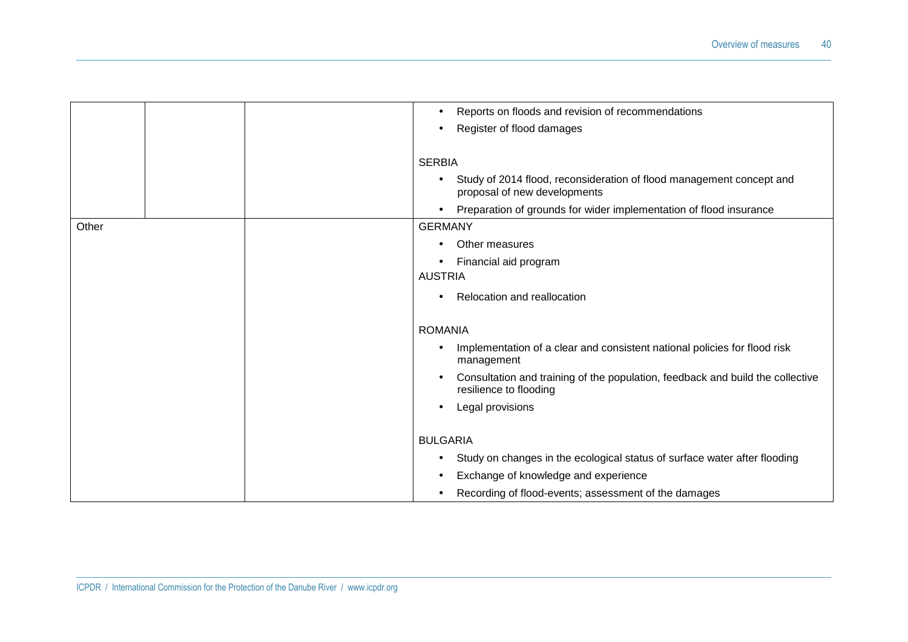|       |  | Reports on floods and revision of recommendations<br>$\bullet$                                                    |
|-------|--|-------------------------------------------------------------------------------------------------------------------|
|       |  | Register of flood damages<br>$\bullet$                                                                            |
|       |  |                                                                                                                   |
|       |  | <b>SERBIA</b>                                                                                                     |
|       |  | Study of 2014 flood, reconsideration of flood management concept and<br>$\bullet$<br>proposal of new developments |
|       |  | Preparation of grounds for wider implementation of flood insurance<br>$\bullet$                                   |
| Other |  | <b>GERMANY</b>                                                                                                    |
|       |  | Other measures<br>$\bullet$                                                                                       |
|       |  | Financial aid program                                                                                             |
|       |  | <b>AUSTRIA</b>                                                                                                    |
|       |  | Relocation and reallocation                                                                                       |
|       |  |                                                                                                                   |
|       |  | <b>ROMANIA</b>                                                                                                    |
|       |  | Implementation of a clear and consistent national policies for flood risk<br>management                           |
|       |  | Consultation and training of the population, feedback and build the collective<br>resilience to flooding          |
|       |  | Legal provisions                                                                                                  |
|       |  | <b>BULGARIA</b>                                                                                                   |
|       |  | Study on changes in the ecological status of surface water after flooding<br>$\bullet$                            |
|       |  | Exchange of knowledge and experience                                                                              |
|       |  | Recording of flood-events; assessment of the damages                                                              |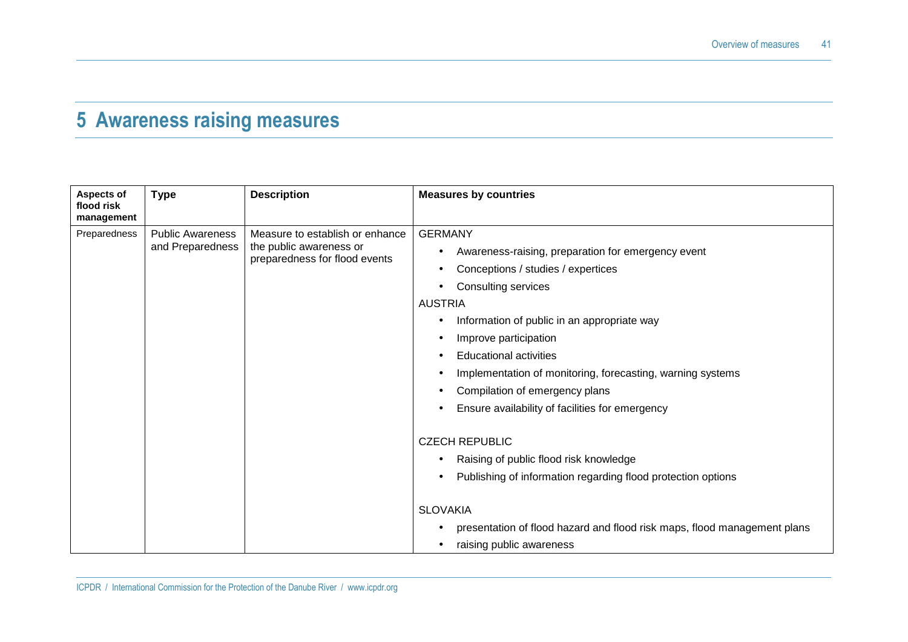### **5 Awareness raising measures**

| <b>Aspects of</b><br>flood risk<br>management | <b>Type</b>                                 | <b>Description</b>                                                                          | <b>Measures by countries</b>                                                                                                                                                                                                                                                                                               |
|-----------------------------------------------|---------------------------------------------|---------------------------------------------------------------------------------------------|----------------------------------------------------------------------------------------------------------------------------------------------------------------------------------------------------------------------------------------------------------------------------------------------------------------------------|
| Preparedness                                  | <b>Public Awareness</b><br>and Preparedness | Measure to establish or enhance<br>the public awareness or<br>preparedness for flood events | <b>GERMANY</b><br>Awareness-raising, preparation for emergency event<br>Conceptions / studies / expertices<br>Consulting services<br><b>AUSTRIA</b><br>Information of public in an appropriate way<br>Improve participation<br><b>Educational activities</b><br>Implementation of monitoring, forecasting, warning systems |
|                                               |                                             |                                                                                             | Compilation of emergency plans<br>Ensure availability of facilities for emergency<br><b>CZECH REPUBLIC</b><br>Raising of public flood risk knowledge<br>Publishing of information regarding flood protection options<br><b>SLOVAKIA</b>                                                                                    |
|                                               |                                             |                                                                                             | presentation of flood hazard and flood risk maps, flood management plans<br>raising public awareness                                                                                                                                                                                                                       |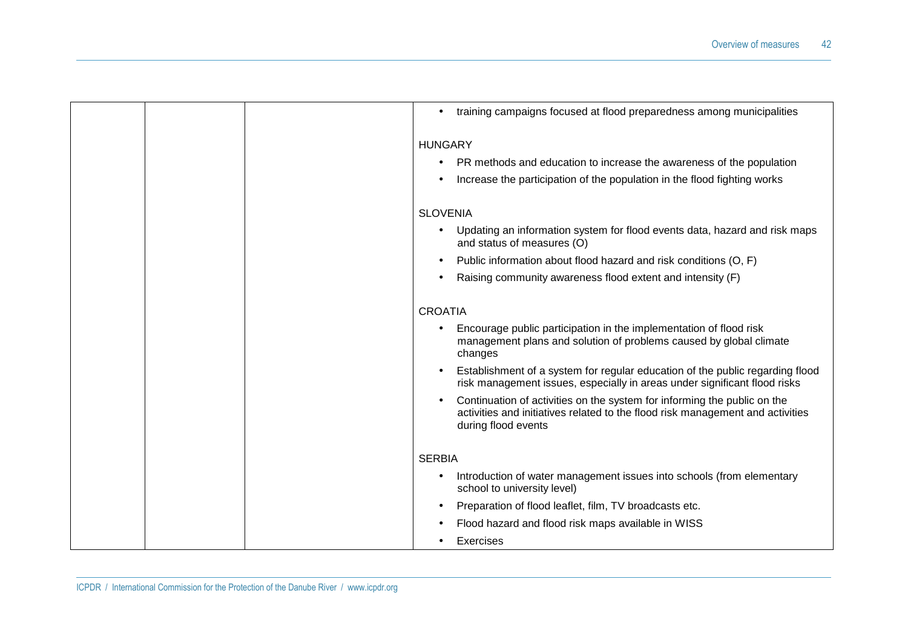| training campaigns focused at flood preparedness among municipalities<br>$\bullet$                                                                                                |
|-----------------------------------------------------------------------------------------------------------------------------------------------------------------------------------|
| <b>HUNGARY</b>                                                                                                                                                                    |
| PR methods and education to increase the awareness of the population                                                                                                              |
| Increase the participation of the population in the flood fighting works                                                                                                          |
| <b>SLOVENIA</b>                                                                                                                                                                   |
| Updating an information system for flood events data, hazard and risk maps<br>and status of measures (O)                                                                          |
| Public information about flood hazard and risk conditions (O, F)                                                                                                                  |
| Raising community awareness flood extent and intensity (F)                                                                                                                        |
| <b>CROATIA</b>                                                                                                                                                                    |
| Encourage public participation in the implementation of flood risk<br>management plans and solution of problems caused by global climate<br>changes                               |
| Establishment of a system for regular education of the public regarding flood<br>risk management issues, especially in areas under significant flood risks                        |
| Continuation of activities on the system for informing the public on the<br>activities and initiatives related to the flood risk management and activities<br>during flood events |
| <b>SERBIA</b>                                                                                                                                                                     |
| Introduction of water management issues into schools (from elementary<br>school to university level)                                                                              |
| Preparation of flood leaflet, film, TV broadcasts etc.                                                                                                                            |
| Flood hazard and flood risk maps available in WISS                                                                                                                                |
| Exercises                                                                                                                                                                         |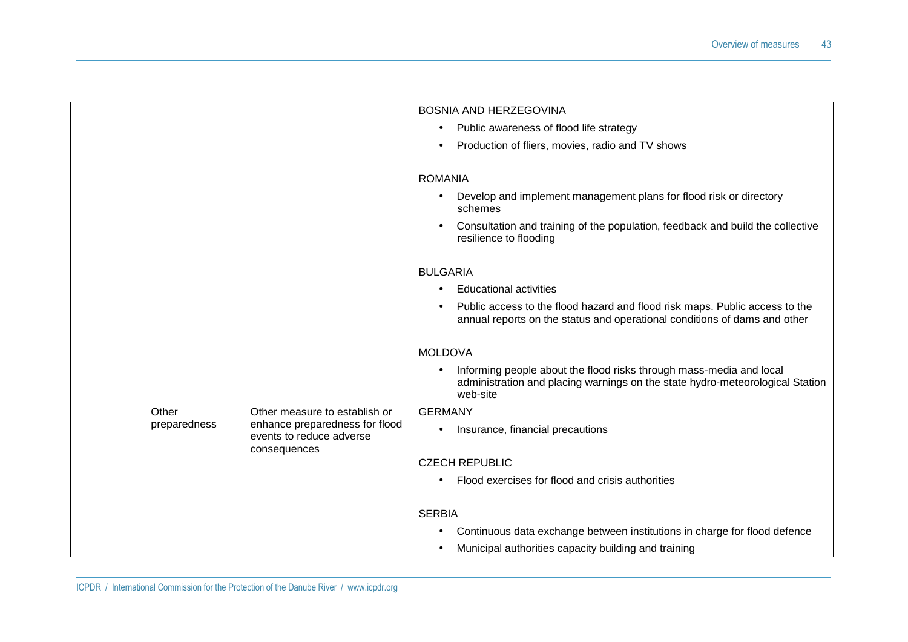|                 |                       |                                                                                             | <b>BOSNIA AND HERZEGOVINA</b>                                                                                                                                                 |
|-----------------|-----------------------|---------------------------------------------------------------------------------------------|-------------------------------------------------------------------------------------------------------------------------------------------------------------------------------|
|                 |                       |                                                                                             | Public awareness of flood life strategy<br>٠                                                                                                                                  |
|                 |                       |                                                                                             | Production of fliers, movies, radio and TV shows                                                                                                                              |
|                 |                       |                                                                                             |                                                                                                                                                                               |
|                 |                       |                                                                                             | <b>ROMANIA</b>                                                                                                                                                                |
|                 |                       |                                                                                             | Develop and implement management plans for flood risk or directory<br>schemes                                                                                                 |
|                 |                       |                                                                                             | Consultation and training of the population, feedback and build the collective<br>$\bullet$<br>resilience to flooding                                                         |
| <b>BULGARIA</b> |                       |                                                                                             |                                                                                                                                                                               |
|                 |                       |                                                                                             | <b>Educational activities</b>                                                                                                                                                 |
|                 |                       |                                                                                             | Public access to the flood hazard and flood risk maps. Public access to the<br>annual reports on the status and operational conditions of dams and other                      |
|                 |                       |                                                                                             | <b>MOLDOVA</b>                                                                                                                                                                |
|                 |                       |                                                                                             | Informing people about the flood risks through mass-media and local<br>$\bullet$<br>administration and placing warnings on the state hydro-meteorological Station<br>web-site |
|                 | Other<br>preparedness | Other measure to establish or<br>enhance preparedness for flood<br>events to reduce adverse | <b>GERMANY</b>                                                                                                                                                                |
|                 |                       |                                                                                             | Insurance, financial precautions                                                                                                                                              |
|                 |                       | consequences                                                                                | <b>CZECH REPUBLIC</b>                                                                                                                                                         |
|                 |                       |                                                                                             | Flood exercises for flood and crisis authorities                                                                                                                              |
|                 |                       |                                                                                             | <b>SERBIA</b>                                                                                                                                                                 |
|                 |                       |                                                                                             | Continuous data exchange between institutions in charge for flood defence                                                                                                     |
|                 |                       |                                                                                             | Municipal authorities capacity building and training                                                                                                                          |
|                 |                       |                                                                                             |                                                                                                                                                                               |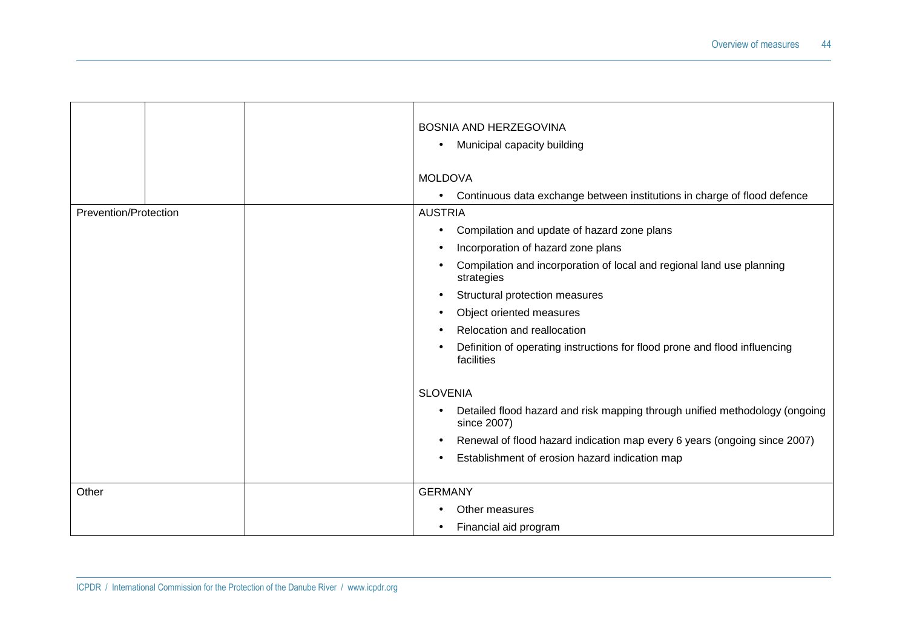|                       | <b>BOSNIA AND HERZEGOVINA</b><br>Municipal capacity building<br>$\bullet$<br><b>MOLDOVA</b> |
|-----------------------|---------------------------------------------------------------------------------------------|
|                       | Continuous data exchange between institutions in charge of flood defence<br>$\bullet$       |
| Prevention/Protection | <b>AUSTRIA</b>                                                                              |
|                       | Compilation and update of hazard zone plans                                                 |
|                       | Incorporation of hazard zone plans                                                          |
|                       | Compilation and incorporation of local and regional land use planning<br>strategies         |
|                       | Structural protection measures                                                              |
|                       | Object oriented measures                                                                    |
|                       | Relocation and reallocation                                                                 |
|                       | Definition of operating instructions for flood prone and flood influencing<br>facilities    |
|                       | <b>SLOVENIA</b>                                                                             |
|                       | Detailed flood hazard and risk mapping through unified methodology (ongoing<br>since 2007)  |
|                       | Renewal of flood hazard indication map every 6 years (ongoing since 2007)                   |
|                       | Establishment of erosion hazard indication map                                              |
| Other                 |                                                                                             |
|                       | <b>GERMANY</b>                                                                              |
|                       | Other measures                                                                              |
|                       | Financial aid program                                                                       |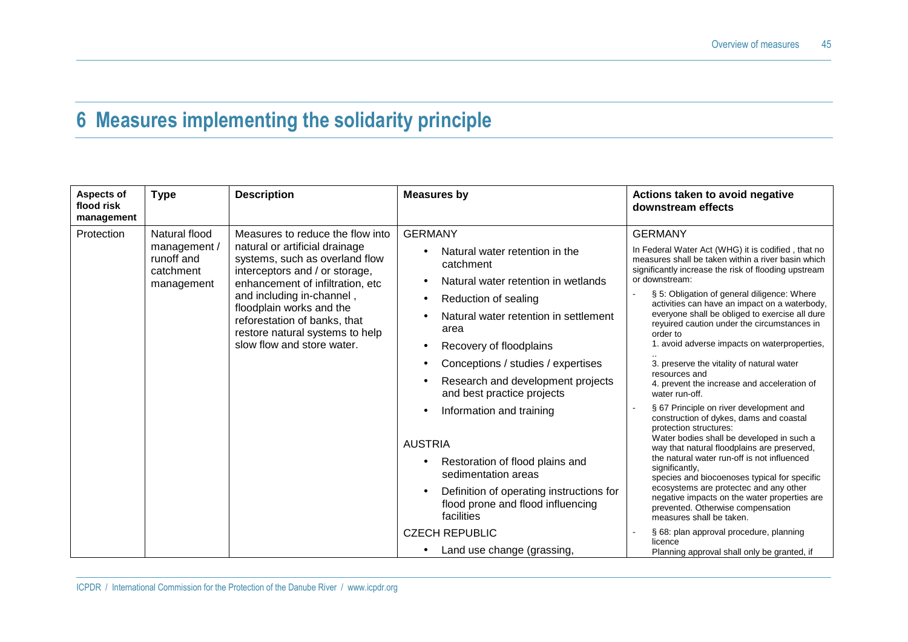### **6 Measures implementing the solidarity principle**

| Aspects of<br>flood risk<br>management | <b>Type</b>                                                            | <b>Description</b>                                                                                                                                                                                                                                                                                                                   | <b>Measures by</b>                                                                                                                                                                                                                                                                                                                                         | Actions taken to avoid negative<br>downstream effects                                                                                                                                                                                                                                                                                                                                                                                                                                                                                                                                                                                                                                  |
|----------------------------------------|------------------------------------------------------------------------|--------------------------------------------------------------------------------------------------------------------------------------------------------------------------------------------------------------------------------------------------------------------------------------------------------------------------------------|------------------------------------------------------------------------------------------------------------------------------------------------------------------------------------------------------------------------------------------------------------------------------------------------------------------------------------------------------------|----------------------------------------------------------------------------------------------------------------------------------------------------------------------------------------------------------------------------------------------------------------------------------------------------------------------------------------------------------------------------------------------------------------------------------------------------------------------------------------------------------------------------------------------------------------------------------------------------------------------------------------------------------------------------------------|
| Protection                             | Natural flood<br>management /<br>runoff and<br>catchment<br>management | Measures to reduce the flow into<br>natural or artificial drainage<br>systems, such as overland flow<br>interceptors and / or storage,<br>enhancement of infiltration, etc<br>and including in-channel,<br>floodplain works and the<br>reforestation of banks, that<br>restore natural systems to help<br>slow flow and store water. | <b>GERMANY</b><br>Natural water retention in the<br>catchment<br>Natural water retention in wetlands<br>Reduction of sealing<br>$\bullet$<br>Natural water retention in settlement<br>area<br>Recovery of floodplains<br>Conceptions / studies / expertises<br>Research and development projects<br>and best practice projects<br>Information and training | <b>GERMANY</b><br>In Federal Water Act (WHG) it is codified, that no<br>measures shall be taken within a river basin which<br>significantly increase the risk of flooding upstream<br>or downstream:<br>§ 5: Obligation of general diligence: Where<br>activities can have an impact on a waterbody,<br>everyone shall be obliged to exercise all dure<br>reyuired caution under the circumstances in<br>order to<br>1. avoid adverse impacts on waterproperties,<br>3. preserve the vitality of natural water<br>resources and<br>4. prevent the increase and acceleration of<br>water run-off.<br>§ 67 Principle on river development and<br>construction of dykes, dams and coastal |
|                                        |                                                                        |                                                                                                                                                                                                                                                                                                                                      | <b>AUSTRIA</b><br>Restoration of flood plains and<br>sedimentation areas<br>Definition of operating instructions for<br>flood prone and flood influencing<br>facilities<br><b>CZECH REPUBLIC</b><br>Land use change (grassing,                                                                                                                             | protection structures:<br>Water bodies shall be developed in such a<br>way that natural floodplains are preserved,<br>the natural water run-off is not influenced<br>significantly,<br>species and biocoenoses typical for specific<br>ecosystems are protectec and any other<br>negative impacts on the water properties are<br>prevented. Otherwise compensation<br>measures shall be taken.<br>§ 68: plan approval procedure, planning<br>licence<br>Planning approval shall only be granted, if                                                                                                                                                                                    |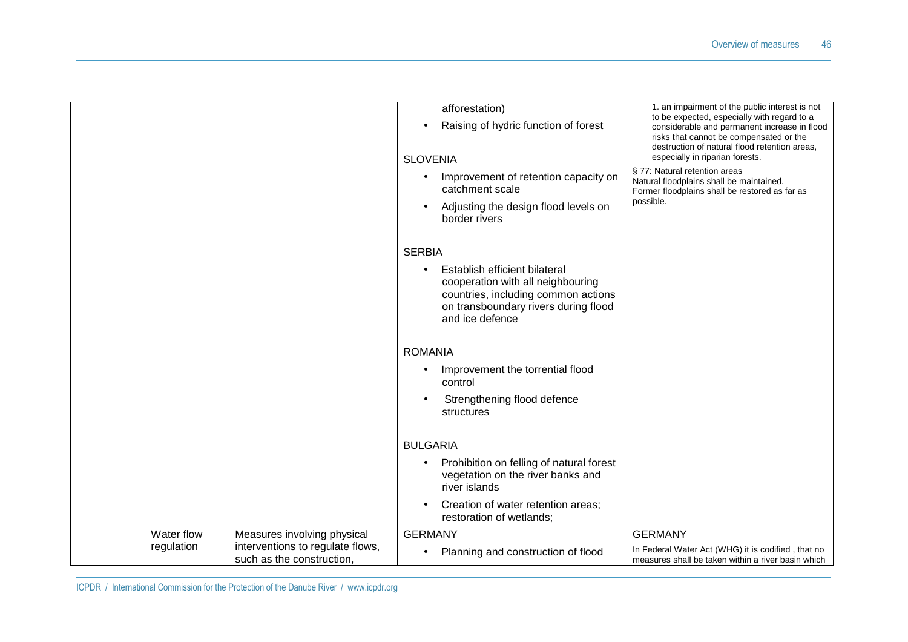|            |                                                               | afforestation)<br>Raising of hydric function of forest                      | 1. an impairment of the public interest is not<br>to be expected, especially with regard to a<br>considerable and permanent increase in flood |
|------------|---------------------------------------------------------------|-----------------------------------------------------------------------------|-----------------------------------------------------------------------------------------------------------------------------------------------|
|            |                                                               |                                                                             | risks that cannot be compensated or the<br>destruction of natural flood retention areas,<br>especially in riparian forests.                   |
|            |                                                               | <b>SLOVENIA</b>                                                             |                                                                                                                                               |
|            |                                                               | Improvement of retention capacity on<br>catchment scale                     | § 77: Natural retention areas<br>Natural floodplains shall be maintained.<br>Former floodplains shall be restored as far as                   |
|            |                                                               | Adjusting the design flood levels on<br>$\bullet$<br>border rivers          | possible.                                                                                                                                     |
|            |                                                               | <b>SERBIA</b>                                                               |                                                                                                                                               |
|            |                                                               | Establish efficient bilateral<br>cooperation with all neighbouring          |                                                                                                                                               |
|            |                                                               | countries, including common actions<br>on transboundary rivers during flood |                                                                                                                                               |
|            |                                                               | and ice defence                                                             |                                                                                                                                               |
|            |                                                               | <b>ROMANIA</b>                                                              |                                                                                                                                               |
|            |                                                               | Improvement the torrential flood<br>control                                 |                                                                                                                                               |
|            |                                                               | Strengthening flood defence<br>structures                                   |                                                                                                                                               |
|            |                                                               | <b>BULGARIA</b>                                                             |                                                                                                                                               |
|            |                                                               | Prohibition on felling of natural forest                                    |                                                                                                                                               |
|            |                                                               | vegetation on the river banks and<br>river islands                          |                                                                                                                                               |
|            |                                                               | Creation of water retention areas;<br>$\bullet$<br>restoration of wetlands; |                                                                                                                                               |
| Water flow | Measures involving physical                                   | <b>GERMANY</b>                                                              | <b>GERMANY</b>                                                                                                                                |
| regulation | interventions to regulate flows,<br>such as the construction, | Planning and construction of flood                                          | In Federal Water Act (WHG) it is codified, that no<br>measures shall be taken within a river basin which                                      |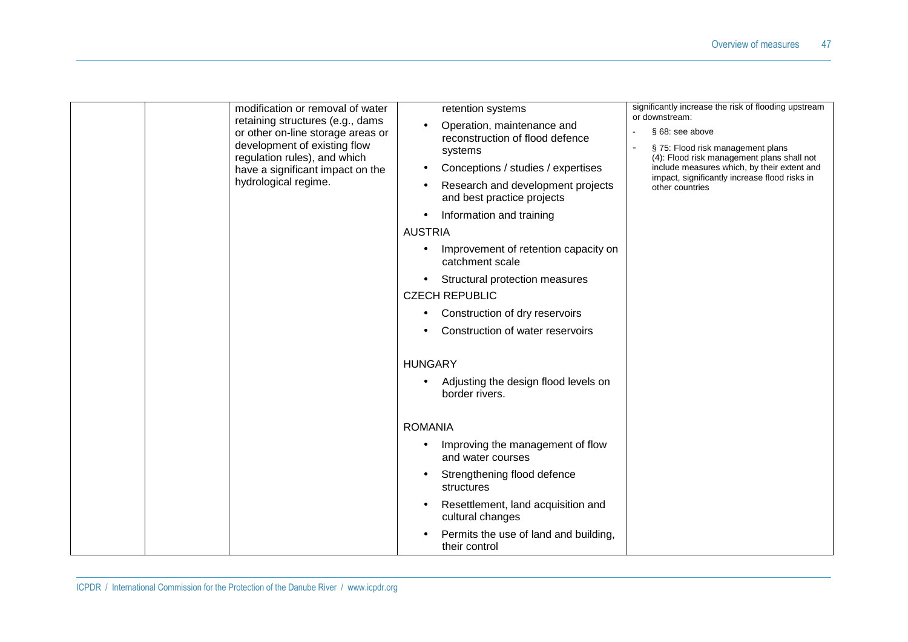| modification or removal of water<br>retaining structures (e.g., dams<br>or other on-line storage areas or<br>development of existing flow<br>regulation rules), and which<br>have a significant impact on the<br>hydrological regime. | retention systems<br>Operation, maintenance and<br>$\bullet$<br>reconstruction of flood defence<br>systems<br>Conceptions / studies / expertises<br>$\bullet$<br>Research and development projects<br>and best practice projects<br>Information and training<br>$\bullet$<br><b>AUSTRIA</b><br>Improvement of retention capacity on<br>catchment scale<br>Structural protection measures<br><b>CZECH REPUBLIC</b><br>Construction of dry reservoirs<br>Construction of water reservoirs<br><b>HUNGARY</b><br>Adjusting the design flood levels on<br>border rivers. | significantly increase the risk of flooding upstream<br>or downstream:<br>§ 68: see above<br>§ 75: Flood risk management plans<br>(4): Flood risk management plans shall not<br>include measures which, by their extent and<br>impact, significantly increase flood risks in<br>other countries |
|---------------------------------------------------------------------------------------------------------------------------------------------------------------------------------------------------------------------------------------|---------------------------------------------------------------------------------------------------------------------------------------------------------------------------------------------------------------------------------------------------------------------------------------------------------------------------------------------------------------------------------------------------------------------------------------------------------------------------------------------------------------------------------------------------------------------|-------------------------------------------------------------------------------------------------------------------------------------------------------------------------------------------------------------------------------------------------------------------------------------------------|
|                                                                                                                                                                                                                                       | <b>ROMANIA</b><br>Improving the management of flow                                                                                                                                                                                                                                                                                                                                                                                                                                                                                                                  |                                                                                                                                                                                                                                                                                                 |
|                                                                                                                                                                                                                                       | and water courses                                                                                                                                                                                                                                                                                                                                                                                                                                                                                                                                                   |                                                                                                                                                                                                                                                                                                 |
|                                                                                                                                                                                                                                       | Strengthening flood defence<br>structures                                                                                                                                                                                                                                                                                                                                                                                                                                                                                                                           |                                                                                                                                                                                                                                                                                                 |
|                                                                                                                                                                                                                                       | Resettlement, land acquisition and<br>$\bullet$<br>cultural changes                                                                                                                                                                                                                                                                                                                                                                                                                                                                                                 |                                                                                                                                                                                                                                                                                                 |
|                                                                                                                                                                                                                                       | Permits the use of land and building,<br>their control                                                                                                                                                                                                                                                                                                                                                                                                                                                                                                              |                                                                                                                                                                                                                                                                                                 |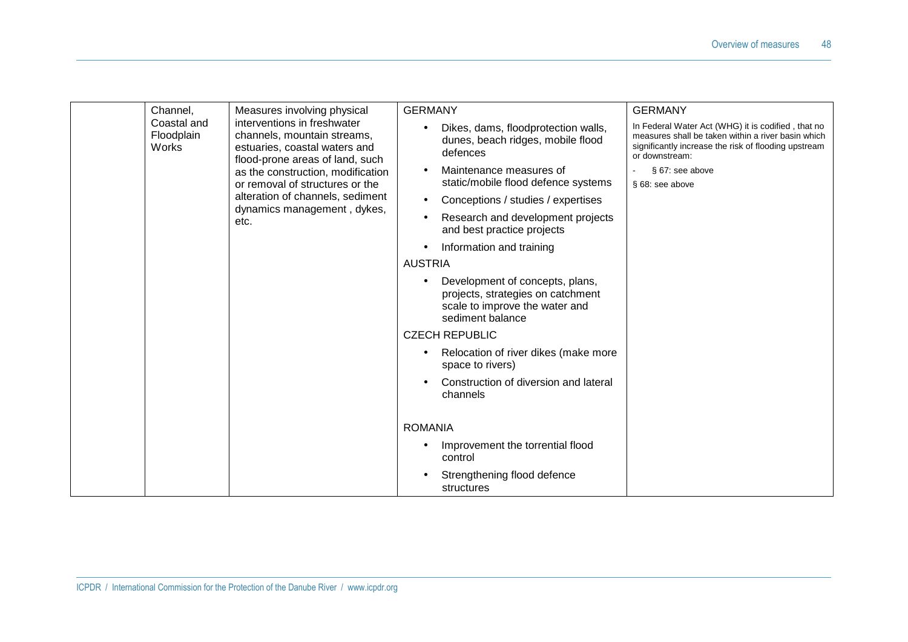|  | Channel,                           | Measures involving physical                                                                                                                                                                            | <b>GERMANY</b>                                                                                                             | <b>GERMANY</b>                                                                                                                                                                     |
|--|------------------------------------|--------------------------------------------------------------------------------------------------------------------------------------------------------------------------------------------------------|----------------------------------------------------------------------------------------------------------------------------|------------------------------------------------------------------------------------------------------------------------------------------------------------------------------------|
|  | Coastal and<br>Floodplain<br>Works | interventions in freshwater<br>channels, mountain streams,<br>estuaries, coastal waters and<br>flood-prone areas of land, such<br>as the construction, modification<br>or removal of structures or the | Dikes, dams, floodprotection walls,<br>dunes, beach ridges, mobile flood<br>defences                                       | In Federal Water Act (WHG) it is codified, that no<br>measures shall be taken within a river basin which<br>significantly increase the risk of flooding upstream<br>or downstream: |
|  |                                    |                                                                                                                                                                                                        | Maintenance measures of<br>$\bullet$<br>static/mobile flood defence systems                                                | § 67: see above<br>§ 68: see above                                                                                                                                                 |
|  |                                    | alteration of channels, sediment                                                                                                                                                                       | Conceptions / studies / expertises<br>$\bullet$                                                                            |                                                                                                                                                                                    |
|  |                                    | dynamics management, dykes,<br>etc.                                                                                                                                                                    | Research and development projects<br>and best practice projects                                                            |                                                                                                                                                                                    |
|  |                                    |                                                                                                                                                                                                        | Information and training                                                                                                   |                                                                                                                                                                                    |
|  |                                    |                                                                                                                                                                                                        | <b>AUSTRIA</b>                                                                                                             |                                                                                                                                                                                    |
|  |                                    |                                                                                                                                                                                                        | Development of concepts, plans,<br>projects, strategies on catchment<br>scale to improve the water and<br>sediment balance |                                                                                                                                                                                    |
|  |                                    |                                                                                                                                                                                                        | <b>CZECH REPUBLIC</b>                                                                                                      |                                                                                                                                                                                    |
|  |                                    |                                                                                                                                                                                                        | Relocation of river dikes (make more<br>space to rivers)                                                                   |                                                                                                                                                                                    |
|  |                                    |                                                                                                                                                                                                        | Construction of diversion and lateral<br>channels                                                                          |                                                                                                                                                                                    |
|  |                                    |                                                                                                                                                                                                        | <b>ROMANIA</b>                                                                                                             |                                                                                                                                                                                    |
|  |                                    |                                                                                                                                                                                                        | Improvement the torrential flood<br>control                                                                                |                                                                                                                                                                                    |
|  |                                    |                                                                                                                                                                                                        | Strengthening flood defence<br>structures                                                                                  |                                                                                                                                                                                    |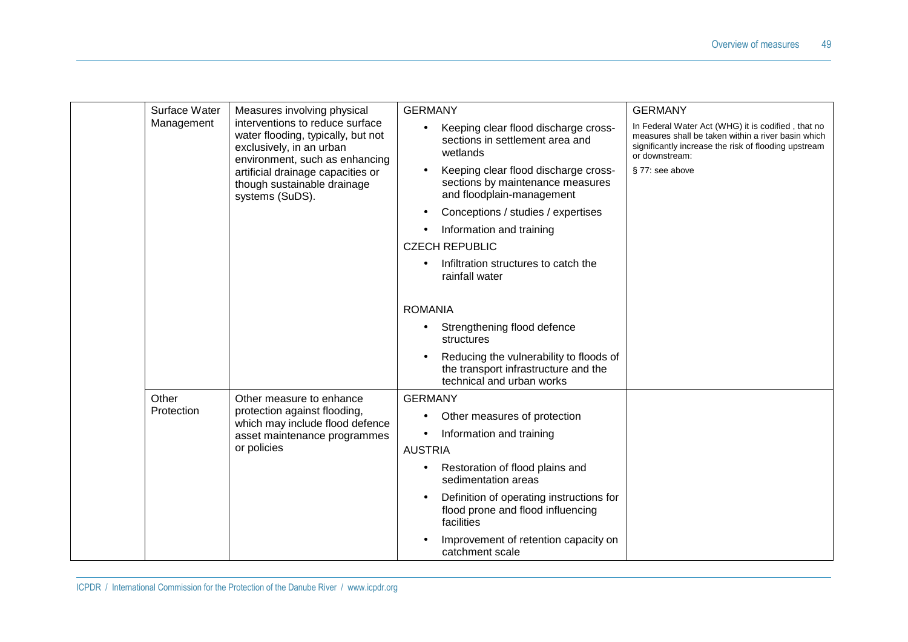|  | Surface Water       | Measures involving physical                                                                                                                                                                                                | <b>GERMANY</b>                                                                                                     | <b>GERMANY</b>                                                                                                                                                                     |
|--|---------------------|----------------------------------------------------------------------------------------------------------------------------------------------------------------------------------------------------------------------------|--------------------------------------------------------------------------------------------------------------------|------------------------------------------------------------------------------------------------------------------------------------------------------------------------------------|
|  | Management          | interventions to reduce surface<br>water flooding, typically, but not<br>exclusively, in an urban<br>environment, such as enhancing<br>artificial drainage capacities or<br>though sustainable drainage<br>systems (SuDS). | Keeping clear flood discharge cross-<br>$\bullet$<br>sections in settlement area and<br>wetlands                   | In Federal Water Act (WHG) it is codified, that no<br>measures shall be taken within a river basin which<br>significantly increase the risk of flooding upstream<br>or downstream: |
|  |                     |                                                                                                                                                                                                                            | Keeping clear flood discharge cross-<br>$\bullet$<br>sections by maintenance measures<br>and floodplain-management | § 77: see above                                                                                                                                                                    |
|  |                     |                                                                                                                                                                                                                            | Conceptions / studies / expertises<br>$\bullet$                                                                    |                                                                                                                                                                                    |
|  |                     |                                                                                                                                                                                                                            | Information and training                                                                                           |                                                                                                                                                                                    |
|  |                     |                                                                                                                                                                                                                            | <b>CZECH REPUBLIC</b>                                                                                              |                                                                                                                                                                                    |
|  |                     |                                                                                                                                                                                                                            | Infiltration structures to catch the<br>rainfall water                                                             |                                                                                                                                                                                    |
|  |                     |                                                                                                                                                                                                                            | <b>ROMANIA</b>                                                                                                     |                                                                                                                                                                                    |
|  |                     |                                                                                                                                                                                                                            | Strengthening flood defence<br>$\bullet$<br>structures                                                             |                                                                                                                                                                                    |
|  |                     |                                                                                                                                                                                                                            | Reducing the vulnerability to floods of<br>the transport infrastructure and the<br>technical and urban works       |                                                                                                                                                                                    |
|  | Other<br>Protection | Other measure to enhance<br>protection against flooding,<br>which may include flood defence<br>asset maintenance programmes<br>or policies                                                                                 | <b>GERMANY</b>                                                                                                     |                                                                                                                                                                                    |
|  |                     |                                                                                                                                                                                                                            | Other measures of protection<br>$\bullet$                                                                          |                                                                                                                                                                                    |
|  |                     |                                                                                                                                                                                                                            | Information and training<br>$\bullet$                                                                              |                                                                                                                                                                                    |
|  |                     |                                                                                                                                                                                                                            | <b>AUSTRIA</b>                                                                                                     |                                                                                                                                                                                    |
|  |                     |                                                                                                                                                                                                                            | Restoration of flood plains and<br>$\bullet$<br>sedimentation areas                                                |                                                                                                                                                                                    |
|  |                     |                                                                                                                                                                                                                            | Definition of operating instructions for<br>$\bullet$<br>flood prone and flood influencing<br>facilities           |                                                                                                                                                                                    |
|  |                     |                                                                                                                                                                                                                            | Improvement of retention capacity on<br>catchment scale                                                            |                                                                                                                                                                                    |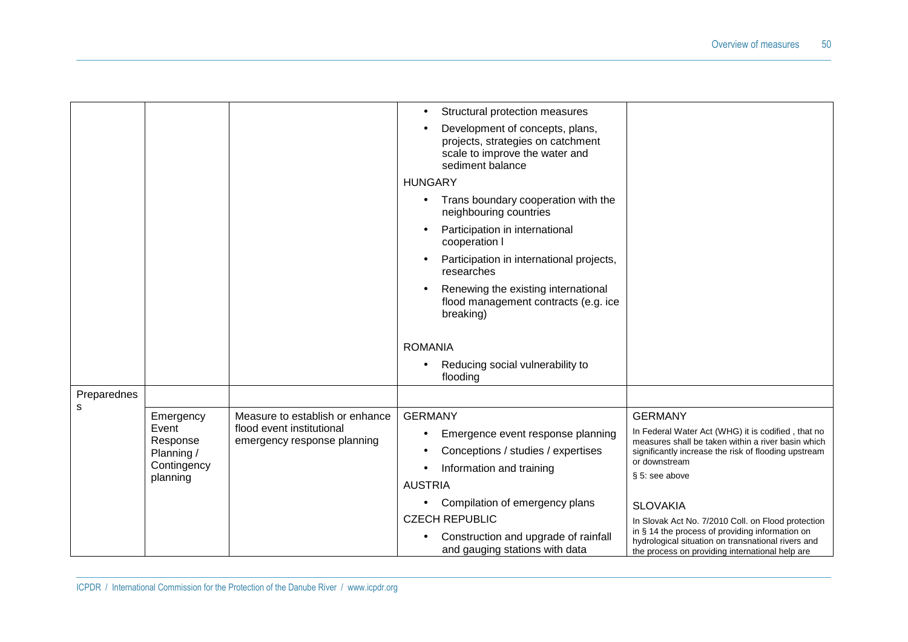|             |                                                            |                                                          | Structural protection measures<br>$\bullet$                                                                                |                                                                                                                                                                                                     |
|-------------|------------------------------------------------------------|----------------------------------------------------------|----------------------------------------------------------------------------------------------------------------------------|-----------------------------------------------------------------------------------------------------------------------------------------------------------------------------------------------------|
|             |                                                            |                                                          | Development of concepts, plans,<br>projects, strategies on catchment<br>scale to improve the water and<br>sediment balance |                                                                                                                                                                                                     |
|             |                                                            |                                                          | <b>HUNGARY</b>                                                                                                             |                                                                                                                                                                                                     |
|             |                                                            |                                                          | Trans boundary cooperation with the<br>neighbouring countries                                                              |                                                                                                                                                                                                     |
|             |                                                            |                                                          | Participation in international<br>cooperation I                                                                            |                                                                                                                                                                                                     |
|             |                                                            |                                                          | Participation in international projects,<br>researches                                                                     |                                                                                                                                                                                                     |
|             |                                                            |                                                          | Renewing the existing international<br>flood management contracts (e.g. ice<br>breaking)                                   |                                                                                                                                                                                                     |
|             |                                                            |                                                          | <b>ROMANIA</b>                                                                                                             |                                                                                                                                                                                                     |
|             |                                                            |                                                          | Reducing social vulnerability to<br>flooding                                                                               |                                                                                                                                                                                                     |
| Preparednes |                                                            |                                                          |                                                                                                                            |                                                                                                                                                                                                     |
| s           | Emergency                                                  | Measure to establish or enhance                          | <b>GERMANY</b>                                                                                                             | <b>GERMANY</b>                                                                                                                                                                                      |
|             | Event<br>Response<br>Planning /<br>Contingency<br>planning | flood event institutional<br>emergency response planning | Emergence event response planning<br>٠<br>Conceptions / studies / expertises                                               | In Federal Water Act (WHG) it is codified, that no<br>measures shall be taken within a river basin which<br>significantly increase the risk of flooding upstream<br>or downstream<br>§ 5: see above |
|             |                                                            |                                                          | Information and training                                                                                                   |                                                                                                                                                                                                     |
|             |                                                            |                                                          | <b>AUSTRIA</b>                                                                                                             |                                                                                                                                                                                                     |
|             |                                                            |                                                          | Compilation of emergency plans                                                                                             | <b>SLOVAKIA</b>                                                                                                                                                                                     |
|             |                                                            |                                                          | <b>CZECH REPUBLIC</b>                                                                                                      | In Slovak Act No. 7/2010 Coll. on Flood protection<br>in § 14 the process of providing information on                                                                                               |
|             |                                                            |                                                          | Construction and upgrade of rainfall<br>and gauging stations with data                                                     | hydrological situation on transnational rivers and<br>the process on providing international help are                                                                                               |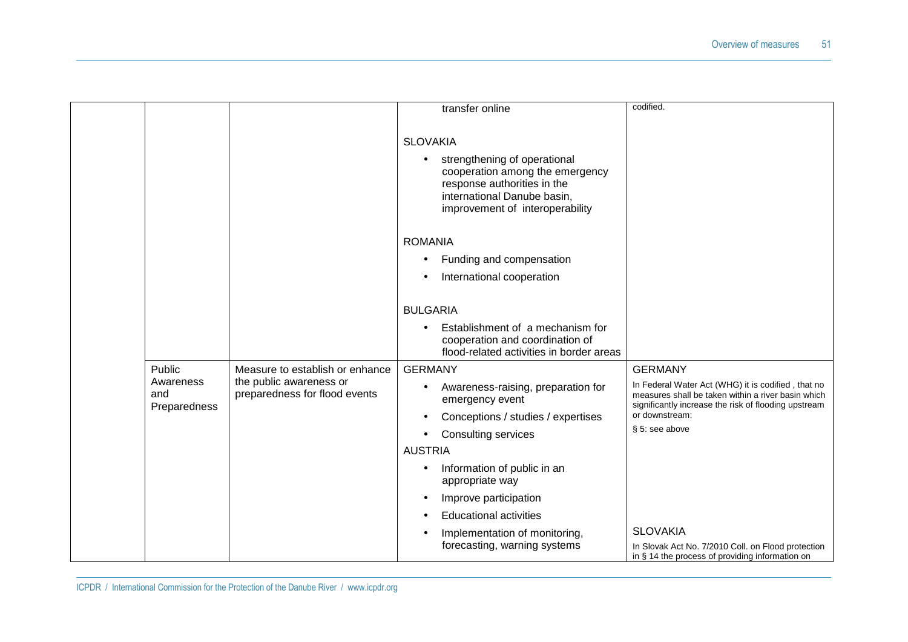|                                            |                                                                                             | transfer online                                                                                                                                                                                                                                                                                     | codified.                                                                                                                                                                                                                                 |
|--------------------------------------------|---------------------------------------------------------------------------------------------|-----------------------------------------------------------------------------------------------------------------------------------------------------------------------------------------------------------------------------------------------------------------------------------------------------|-------------------------------------------------------------------------------------------------------------------------------------------------------------------------------------------------------------------------------------------|
|                                            |                                                                                             | <b>SLOVAKIA</b><br>strengthening of operational<br>$\bullet$<br>cooperation among the emergency<br>response authorities in the<br>international Danube basin,<br>improvement of interoperability                                                                                                    |                                                                                                                                                                                                                                           |
|                                            |                                                                                             | <b>ROMANIA</b><br>Funding and compensation<br>International cooperation                                                                                                                                                                                                                             |                                                                                                                                                                                                                                           |
|                                            |                                                                                             | <b>BULGARIA</b><br>Establishment of a mechanism for<br>cooperation and coordination of<br>flood-related activities in border areas                                                                                                                                                                  |                                                                                                                                                                                                                                           |
| Public<br>Awareness<br>and<br>Preparedness | Measure to establish or enhance<br>the public awareness or<br>preparedness for flood events | <b>GERMANY</b><br>Awareness-raising, preparation for<br>emergency event<br>Conceptions / studies / expertises<br>Consulting services<br><b>AUSTRIA</b><br>Information of public in an<br>appropriate way<br>Improve participation<br><b>Educational activities</b><br>Implementation of monitoring, | <b>GERMANY</b><br>In Federal Water Act (WHG) it is codified, that no<br>measures shall be taken within a river basin which<br>significantly increase the risk of flooding upstream<br>or downstream:<br>§ 5: see above<br><b>SLOVAKIA</b> |
|                                            |                                                                                             | forecasting, warning systems                                                                                                                                                                                                                                                                        | In Slovak Act No. 7/2010 Coll. on Flood protection<br>in § 14 the process of providing information on                                                                                                                                     |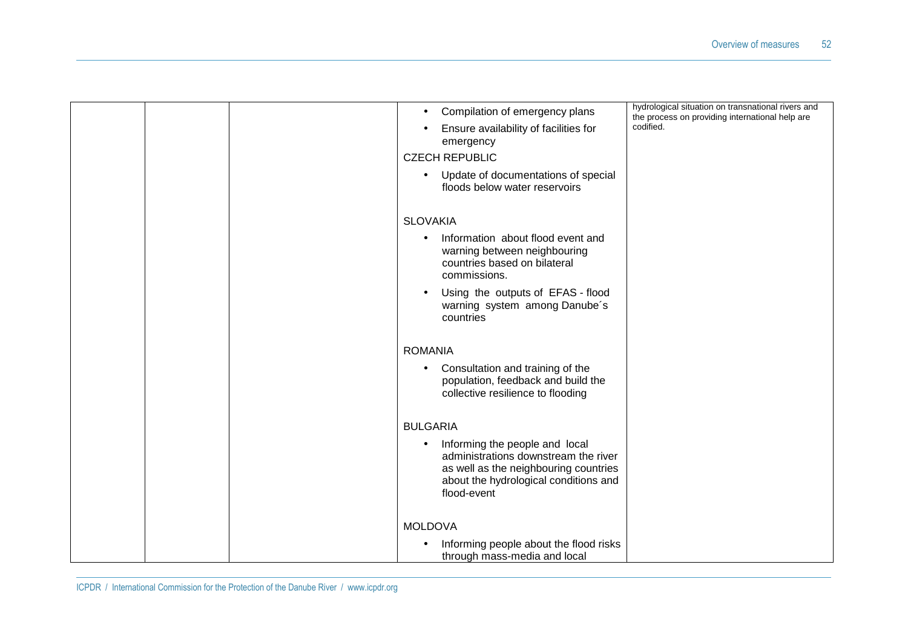|  | Compilation of emergency plans                                                                                                                                                       | hydrological situation on transnational rivers and<br>the process on providing international help are |
|--|--------------------------------------------------------------------------------------------------------------------------------------------------------------------------------------|-------------------------------------------------------------------------------------------------------|
|  | Ensure availability of facilities for<br>emergency                                                                                                                                   | codified.                                                                                             |
|  | <b>CZECH REPUBLIC</b>                                                                                                                                                                |                                                                                                       |
|  | Update of documentations of special<br>floods below water reservoirs                                                                                                                 |                                                                                                       |
|  | <b>SLOVAKIA</b>                                                                                                                                                                      |                                                                                                       |
|  | Information about flood event and<br>warning between neighbouring<br>countries based on bilateral<br>commissions.                                                                    |                                                                                                       |
|  | Using the outputs of EFAS - flood<br>$\bullet$<br>warning system among Danube's<br>countries                                                                                         |                                                                                                       |
|  | <b>ROMANIA</b>                                                                                                                                                                       |                                                                                                       |
|  | Consultation and training of the<br>$\bullet$<br>population, feedback and build the<br>collective resilience to flooding                                                             |                                                                                                       |
|  | <b>BULGARIA</b>                                                                                                                                                                      |                                                                                                       |
|  | Informing the people and local<br>$\bullet$<br>administrations downstream the river<br>as well as the neighbouring countries<br>about the hydrological conditions and<br>flood-event |                                                                                                       |
|  | <b>MOLDOVA</b>                                                                                                                                                                       |                                                                                                       |
|  | Informing people about the flood risks<br>through mass-media and local                                                                                                               |                                                                                                       |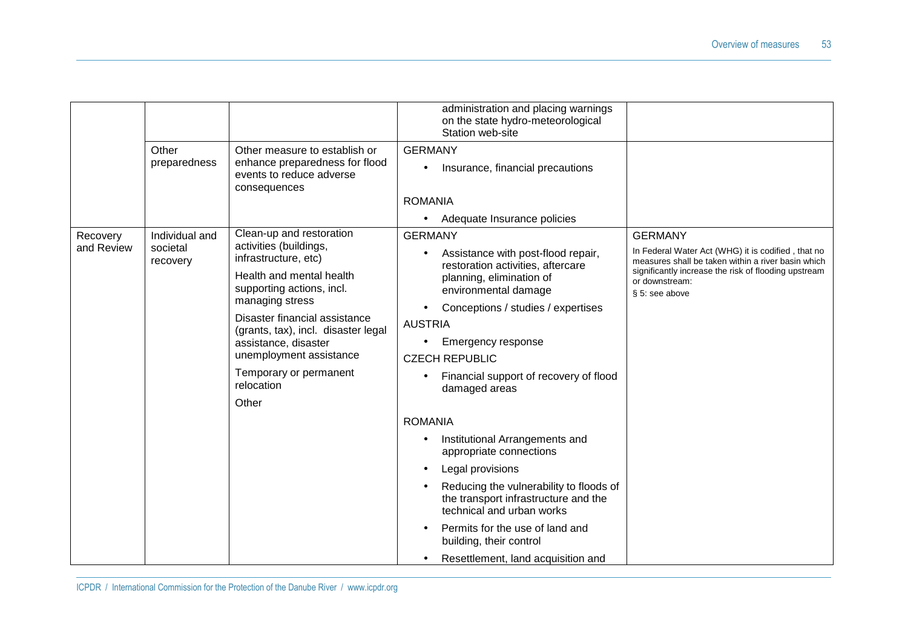|                        | Other<br>preparedness                  | Other measure to establish or<br>enhance preparedness for flood<br>events to reduce adverse<br>consequences                                                                                                                                                                                                                        | administration and placing warnings<br>on the state hydro-meteorological<br>Station web-site<br><b>GERMANY</b><br>Insurance, financial precautions<br><b>ROMANIA</b>                                                                                                                                                                                                                                                                                                                                                                                                                                                                                                                            |                                                                                                                                                                                                                        |
|------------------------|----------------------------------------|------------------------------------------------------------------------------------------------------------------------------------------------------------------------------------------------------------------------------------------------------------------------------------------------------------------------------------|-------------------------------------------------------------------------------------------------------------------------------------------------------------------------------------------------------------------------------------------------------------------------------------------------------------------------------------------------------------------------------------------------------------------------------------------------------------------------------------------------------------------------------------------------------------------------------------------------------------------------------------------------------------------------------------------------|------------------------------------------------------------------------------------------------------------------------------------------------------------------------------------------------------------------------|
| Recovery<br>and Review | Individual and<br>societal<br>recovery | Clean-up and restoration<br>activities (buildings,<br>infrastructure, etc)<br>Health and mental health<br>supporting actions, incl.<br>managing stress<br>Disaster financial assistance<br>(grants, tax), incl. disaster legal<br>assistance, disaster<br>unemployment assistance<br>Temporary or permanent<br>relocation<br>Other | Adequate Insurance policies<br><b>GERMANY</b><br>Assistance with post-flood repair,<br>restoration activities, aftercare<br>planning, elimination of<br>environmental damage<br>Conceptions / studies / expertises<br>$\bullet$<br><b>AUSTRIA</b><br>Emergency response<br>$\bullet$<br><b>CZECH REPUBLIC</b><br>Financial support of recovery of flood<br>damaged areas<br><b>ROMANIA</b><br>Institutional Arrangements and<br>appropriate connections<br>Legal provisions<br>Reducing the vulnerability to floods of<br>the transport infrastructure and the<br>technical and urban works<br>Permits for the use of land and<br>building, their control<br>Resettlement, land acquisition and | <b>GERMANY</b><br>In Federal Water Act (WHG) it is codified, that no<br>measures shall be taken within a river basin which<br>significantly increase the risk of flooding upstream<br>or downstream:<br>§ 5: see above |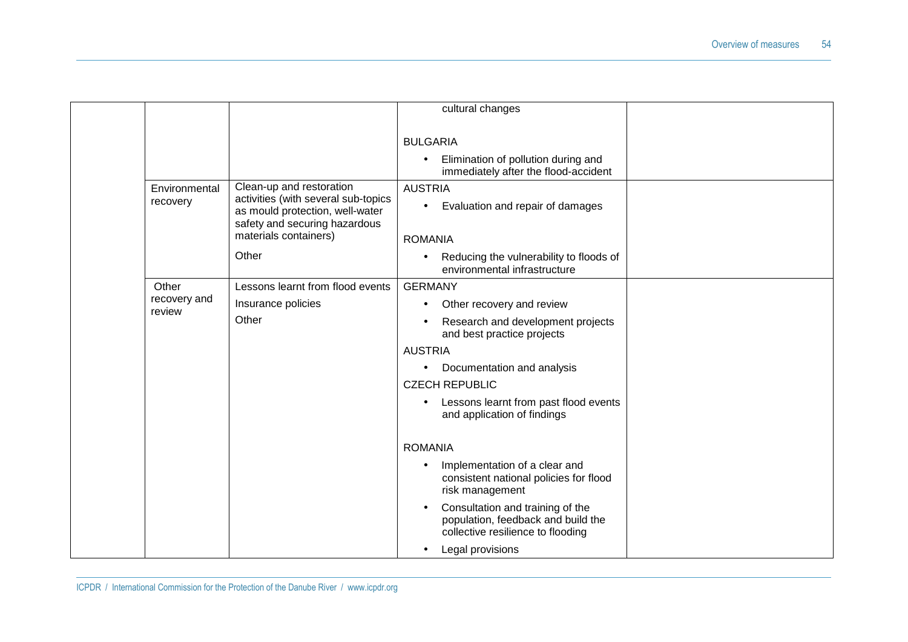|  |                           |                                                                                                                                                              | cultural changes                                                                                                         |  |
|--|---------------------------|--------------------------------------------------------------------------------------------------------------------------------------------------------------|--------------------------------------------------------------------------------------------------------------------------|--|
|  |                           |                                                                                                                                                              | <b>BULGARIA</b><br>Elimination of pollution during and<br>$\bullet$<br>immediately after the flood-accident              |  |
|  | Environmental<br>recovery | Clean-up and restoration<br>activities (with several sub-topics<br>as mould protection, well-water<br>safety and securing hazardous<br>materials containers) | <b>AUSTRIA</b><br>Evaluation and repair of damages<br>$\bullet$<br><b>ROMANIA</b>                                        |  |
|  |                           | Other                                                                                                                                                        | Reducing the vulnerability to floods of<br>$\bullet$<br>environmental infrastructure                                     |  |
|  | Other                     | Lessons learnt from flood events                                                                                                                             | <b>GERMANY</b>                                                                                                           |  |
|  | recovery and<br>review    | Insurance policies                                                                                                                                           | Other recovery and review<br>$\bullet$                                                                                   |  |
|  |                           | Other                                                                                                                                                        | Research and development projects<br>$\bullet$<br>and best practice projects                                             |  |
|  |                           |                                                                                                                                                              | <b>AUSTRIA</b>                                                                                                           |  |
|  |                           |                                                                                                                                                              | Documentation and analysis<br>$\bullet$                                                                                  |  |
|  |                           |                                                                                                                                                              | <b>CZECH REPUBLIC</b>                                                                                                    |  |
|  |                           |                                                                                                                                                              | Lessons learnt from past flood events<br>$\bullet$<br>and application of findings                                        |  |
|  |                           |                                                                                                                                                              | <b>ROMANIA</b>                                                                                                           |  |
|  |                           |                                                                                                                                                              | Implementation of a clear and<br>$\bullet$<br>consistent national policies for flood<br>risk management                  |  |
|  |                           |                                                                                                                                                              | Consultation and training of the<br>$\bullet$<br>population, feedback and build the<br>collective resilience to flooding |  |
|  |                           |                                                                                                                                                              | Legal provisions<br>$\bullet$                                                                                            |  |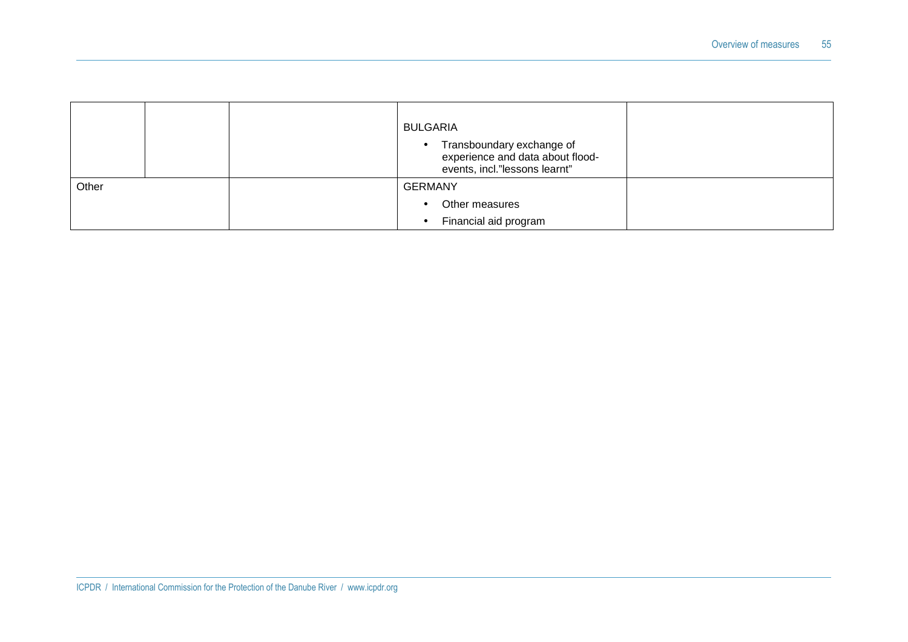|       |  | <b>BULGARIA</b><br>Transboundary exchange of<br>$\bullet$<br>experience and data about flood-<br>events, incl."lessons learnt" |
|-------|--|--------------------------------------------------------------------------------------------------------------------------------|
| Other |  | <b>GERMANY</b>                                                                                                                 |
|       |  | Other measures                                                                                                                 |
|       |  | Financial aid program                                                                                                          |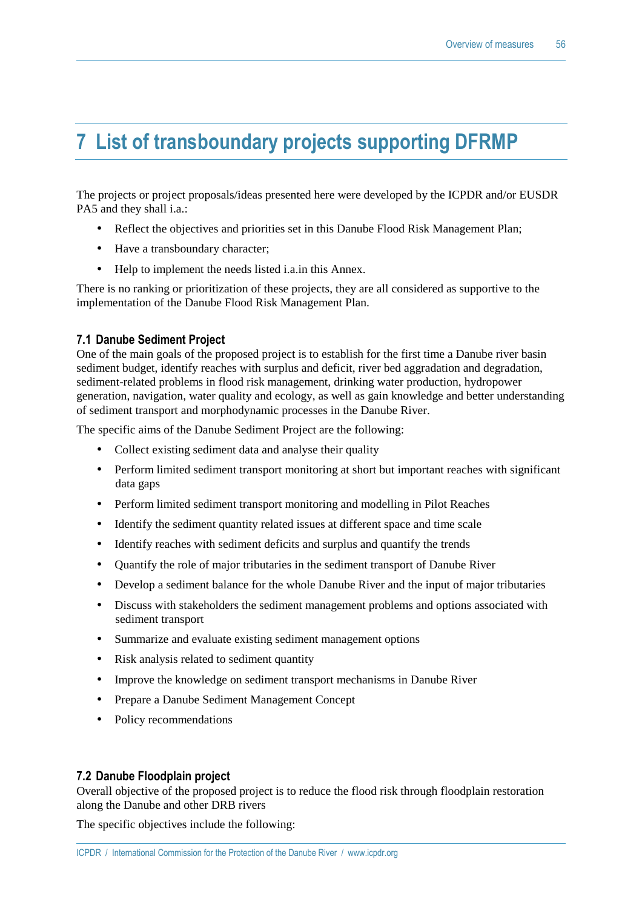### **7 List of transboundary projects supporting DFRMP**

The projects or project proposals/ideas presented here were developed by the ICPDR and/or EUSDR PA5 and they shall i.a.:

- Reflect the objectives and priorities set in this Danube Flood Risk Management Plan;
- Have a transboundary character;
- Help to implement the needs listed *i.a.* in this Annex.

There is no ranking or prioritization of these projects, they are all considered as supportive to the implementation of the Danube Flood Risk Management Plan.

#### **7.1 Danube Sediment Project**

One of the main goals of the proposed project is to establish for the first time a Danube river basin sediment budget, identify reaches with surplus and deficit, river bed aggradation and degradation, sediment-related problems in flood risk management, drinking water production, hydropower generation, navigation, water quality and ecology, as well as gain knowledge and better understanding of sediment transport and morphodynamic processes in the Danube River.

The specific aims of the Danube Sediment Project are the following:

- Collect existing sediment data and analyse their quality
- Perform limited sediment transport monitoring at short but important reaches with significant data gaps
- Perform limited sediment transport monitoring and modelling in Pilot Reaches
- Identify the sediment quantity related issues at different space and time scale
- Identify reaches with sediment deficits and surplus and quantify the trends
- Quantify the role of major tributaries in the sediment transport of Danube River
- Develop a sediment balance for the whole Danube River and the input of major tributaries
- Discuss with stakeholders the sediment management problems and options associated with sediment transport
- Summarize and evaluate existing sediment management options
- Risk analysis related to sediment quantity
- Improve the knowledge on sediment transport mechanisms in Danube River
- Prepare a Danube Sediment Management Concept
- Policy recommendations

#### **7.2 Danube Floodplain project**

Overall objective of the proposed project is to reduce the flood risk through floodplain restoration along the Danube and other DRB rivers

The specific objectives include the following: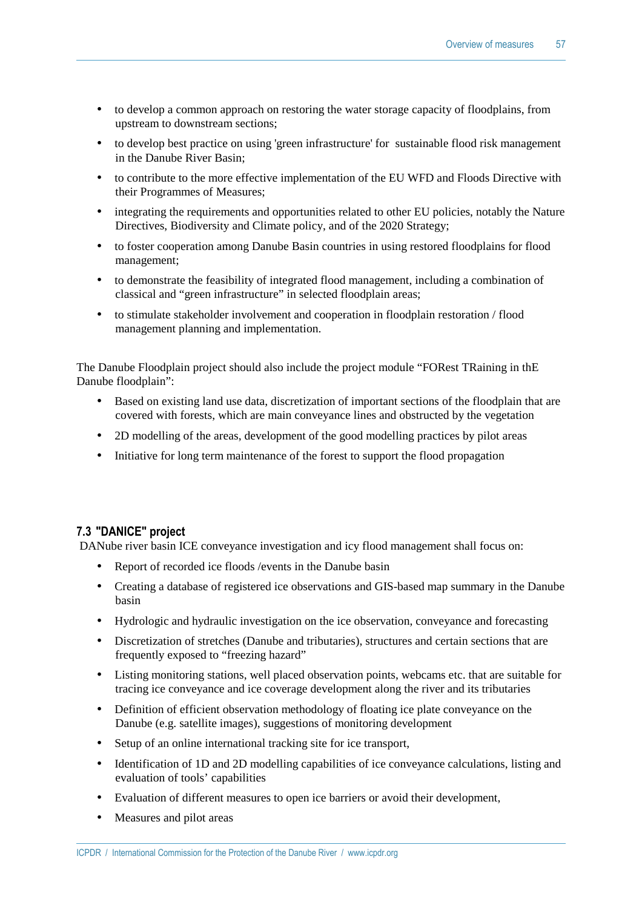- to develop a common approach on restoring the water storage capacity of floodplains, from upstream to downstream sections;
- to develop best practice on using 'green infrastructure' for sustainable flood risk management in the Danube River Basin;
- to contribute to the more effective implementation of the EU WFD and Floods Directive with their Programmes of Measures;
- integrating the requirements and opportunities related to other EU policies, notably the Nature Directives, Biodiversity and Climate policy, and of the 2020 Strategy;
- to foster cooperation among Danube Basin countries in using restored floodplains for flood management;
- to demonstrate the feasibility of integrated flood management, including a combination of classical and "green infrastructure" in selected floodplain areas;
- to stimulate stakeholder involvement and cooperation in floodplain restoration / flood management planning and implementation.

The Danube Floodplain project should also include the project module "FORest TRaining in thE Danube floodplain":

- Based on existing land use data, discretization of important sections of the floodplain that are covered with forests, which are main conveyance lines and obstructed by the vegetation
- 2D modelling of the areas, development of the good modelling practices by pilot areas
- Initiative for long term maintenance of the forest to support the flood propagation

#### **7.3 "DANICE" project**

DANube river basin ICE conveyance investigation and icy flood management shall focus on:

- Report of recorded ice floods / events in the Danube basin
- Creating a database of registered ice observations and GIS-based map summary in the Danube basin
- Hydrologic and hydraulic investigation on the ice observation, conveyance and forecasting
- Discretization of stretches (Danube and tributaries), structures and certain sections that are frequently exposed to "freezing hazard"
- Listing monitoring stations, well placed observation points, webcams etc. that are suitable for tracing ice conveyance and ice coverage development along the river and its tributaries
- Definition of efficient observation methodology of floating ice plate conveyance on the Danube (e.g. satellite images), suggestions of monitoring development
- Setup of an online international tracking site for ice transport,
- Identification of 1D and 2D modelling capabilities of ice conveyance calculations, listing and evaluation of tools' capabilities
- Evaluation of different measures to open ice barriers or avoid their development,
- Measures and pilot areas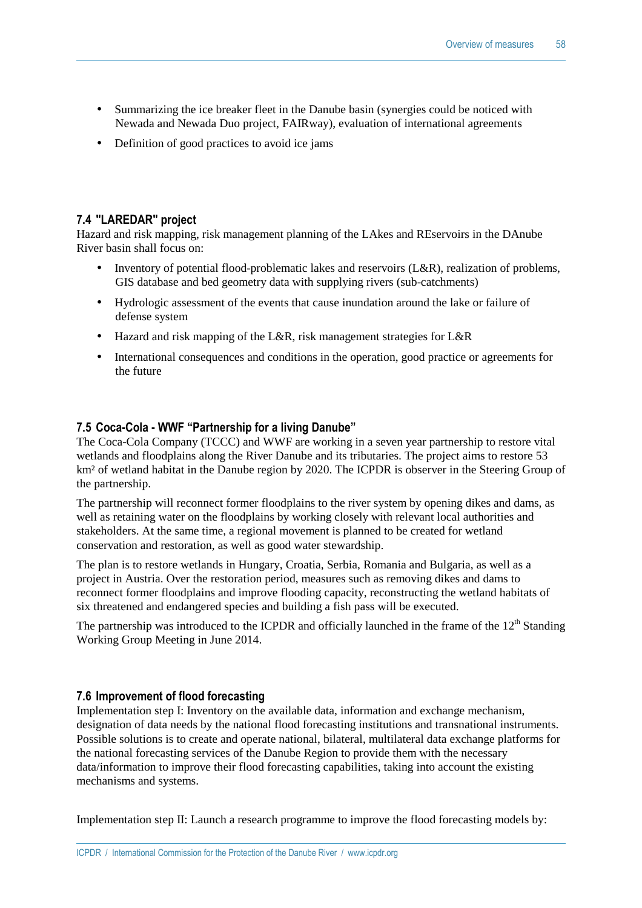- Summarizing the ice breaker fleet in the Danube basin (synergies could be noticed with Newada and Newada Duo project, FAIRway), evaluation of international agreements
- Definition of good practices to avoid ice jams

#### **7.4 "LAREDAR" project**

Hazard and risk mapping, risk management planning of the LAkes and REservoirs in the DAnube River basin shall focus on:

- Inventory of potential flood-problematic lakes and reservoirs (L&R), realization of problems, GIS database and bed geometry data with supplying rivers (sub-catchments)
- Hydrologic assessment of the events that cause inundation around the lake or failure of defense system
- Hazard and risk mapping of the L&R, risk management strategies for L&R
- International consequences and conditions in the operation, good practice or agreements for the future

#### **7.5 Coca-Cola - WWF "Partnership for a living Danube"**

The Coca-Cola Company (TCCC) and WWF are working in a seven year partnership to restore vital wetlands and floodplains along the River Danube and its tributaries. The project aims to restore 53 km<sup>2</sup> of wetland habitat in the Danube region by 2020. The ICPDR is observer in the Steering Group of the partnership.

The partnership will reconnect former floodplains to the river system by opening dikes and dams, as well as retaining water on the floodplains by working closely with relevant local authorities and stakeholders. At the same time, a regional movement is planned to be created for wetland conservation and restoration, as well as good water stewardship.

The plan is to restore wetlands in Hungary, Croatia, Serbia, Romania and Bulgaria, as well as a project in Austria. Over the restoration period, measures such as removing dikes and dams to reconnect former floodplains and improve flooding capacity, reconstructing the wetland habitats of six threatened and endangered species and building a fish pass will be executed.

The partnership was introduced to the ICPDR and officially launched in the frame of the  $12<sup>th</sup>$  Standing Working Group Meeting in June 2014.

#### **7.6 Improvement of flood forecasting**

Implementation step I: Inventory on the available data, information and exchange mechanism, designation of data needs by the national flood forecasting institutions and transnational instruments. Possible solutions is to create and operate national, bilateral, multilateral data exchange platforms for the national forecasting services of the Danube Region to provide them with the necessary data/information to improve their flood forecasting capabilities, taking into account the existing mechanisms and systems.

Implementation step II: Launch a research programme to improve the flood forecasting models by: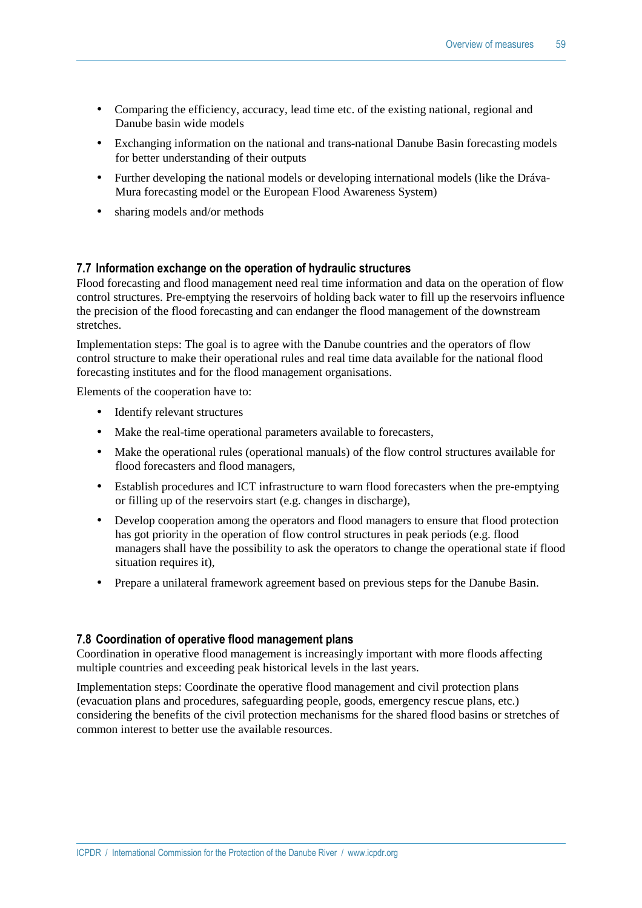- Comparing the efficiency, accuracy, lead time etc. of the existing national, regional and Danube basin wide models
- Exchanging information on the national and trans-national Danube Basin forecasting models for better understanding of their outputs
- Further developing the national models or developing international models (like the Dráva-Mura forecasting model or the European Flood Awareness System)
- sharing models and/or methods

#### **7.7 Information exchange on the operation of hydraulic structures**

Flood forecasting and flood management need real time information and data on the operation of flow control structures. Pre-emptying the reservoirs of holding back water to fill up the reservoirs influence the precision of the flood forecasting and can endanger the flood management of the downstream stretches.

Implementation steps: The goal is to agree with the Danube countries and the operators of flow control structure to make their operational rules and real time data available for the national flood forecasting institutes and for the flood management organisations.

Elements of the cooperation have to:

- Identify relevant structures
- Make the real-time operational parameters available to forecasters,
- Make the operational rules (operational manuals) of the flow control structures available for flood forecasters and flood managers,
- Establish procedures and ICT infrastructure to warn flood forecasters when the pre-emptying or filling up of the reservoirs start (e.g. changes in discharge),
- Develop cooperation among the operators and flood managers to ensure that flood protection has got priority in the operation of flow control structures in peak periods (e.g. flood managers shall have the possibility to ask the operators to change the operational state if flood situation requires it),
- Prepare a unilateral framework agreement based on previous steps for the Danube Basin.

#### **7.8 Coordination of operative flood management plans**

Coordination in operative flood management is increasingly important with more floods affecting multiple countries and exceeding peak historical levels in the last years.

Implementation steps: Coordinate the operative flood management and civil protection plans (evacuation plans and procedures, safeguarding people, goods, emergency rescue plans, etc.) considering the benefits of the civil protection mechanisms for the shared flood basins or stretches of common interest to better use the available resources.